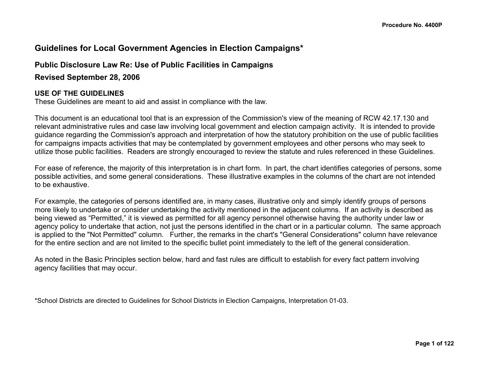# **Guidelines for Local Government Agencies in Election Campaigns\***

### **Public Disclosure Law Re: Use of Public Facilities in Campaigns**

**Revised September 28, 2006**

#### **USE OF THE GUIDELINES**

These Guidelines are meant to aid and assist in compliance with the law.

This document is an educational tool that is an expression of the Commission's view of the meaning of RCW 42.17.130 and relevant administrative rules and case law involving local government and election campaign activity. It is intended to provide guidance regarding the Commission's approach and interpretation of how the statutory prohibition on the use of public facilities for campaigns impacts activities that may be contemplated by government employees and other persons who may seek to utilize those public facilities. Readers are strongly encouraged to review the statute and rules referenced in these Guidelines.

For ease of reference, the majority of this interpretation is in chart form. In part, the chart identifies categories of persons, some possible activities, and some general considerations. These illustrative examples in the columns of the chart are not intended to be exhaustive.

For example, the categories of persons identified are, in many cases, illustrative only and simply identify groups of persons more likely to undertake or consider undertaking the activity mentioned in the adjacent columns. If an activity is described as being viewed as "Permitted," it is viewed as permitted for all agency personnel otherwise having the authority under law or agency policy to undertake that action, not just the persons identified in the chart or in a particular column. The same approach is applied to the "Not Permitted" column. Further, the remarks in the chart's "General Considerations" column have relevance for the entire section and are not limited to the specific bullet point immediately to the left of the general consideration.

As noted in the Basic Principles section below, hard and fast rules are difficult to establish for every fact pattern involving agency facilities that may occur.

\*School Districts are directed to Guidelines for School Districts in Election Campaigns, Interpretation 01-03.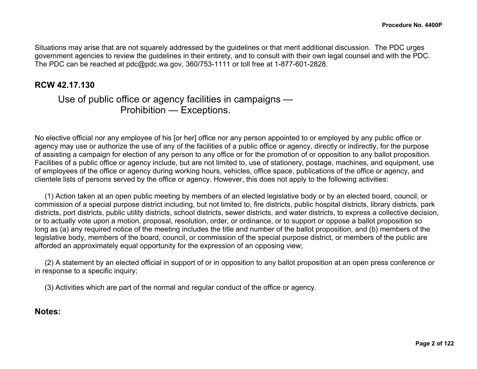Situations may arise that are not squarely addressed by the guidelines or that merit additional discussion. The PDC urges government agencies to review the guidelines in their entirety, and to consult with their own legal counsel and with the PDC. The PDC can be reached at pdc@pdc.wa.gov, 360/753-1111 or toll free at 1-877-601-2828.

## **RCW 42.17.130**

# Use of public office or agency facilities in campaigns — Prohibition — Exceptions.

No elective official nor any employee of his [or her] office nor any person appointed to or employed by any public office or agency may use or authorize the use of any of the facilities of a public office or agency, directly or indirectly, for the purpose of assisting a campaign for election of any person to any office or for the promotion of or opposition to any ballot proposition. Facilities of a public office or agency include, but are not limited to, use of stationery, postage, machines, and equipment, use of employees of the office or agency during working hours, vehicles, office space, publications of the office or agency, and clientele lists of persons served by the office or agency. However, this does not apply to the following activities:

 (1) Action taken at an open public meeting by members of an elected legislative body or by an elected board, council, or commission of a special purpose district including, but not limited to, fire districts, public hospital districts, library districts, park districts, port districts, public utility districts, school districts, sewer districts, and water districts, to express a collective decision, or to actually vote upon a motion, proposal, resolution, order, or ordinance, or to support or oppose a ballot proposition so long as (a) any required notice of the meeting includes the title and number of the ballot proposition, and (b) members of the legislative body, members of the board, council, or commission of the special purpose district, or members of the public are afforded an approximately equal opportunity for the expression of an opposing view;

 (2) A statement by an elected official in support of or in opposition to any ballot proposition at an open press conference or in response to a specific inquiry;

(3) Activities which are part of the normal and regular conduct of the office or agency.

## **Notes:**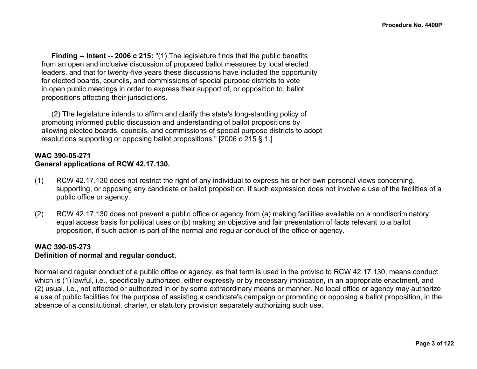**Finding -- Intent -- 2006 c 215:** "(1) The legislature finds that the public benefits from an open and inclusive discussion of proposed ballot measures by local elected leaders, and that for twenty-five years these discussions have included the opportunity for elected boards, councils, and commissions of special purpose districts to vote in open public meetings in order to express their support of, or opposition to, ballot propositions affecting their jurisdictions.

 (2) The legislature intends to affirm and clarify the state's long-standing policy of promoting informed public discussion and understanding of ballot propositions by allowing elected boards, councils, and commissions of special purpose districts to adopt resolutions supporting or opposing ballot propositions." [2006 c 215 § 1.]

#### **WAC 390-05-271 General applications of RCW 42.17.130.**

- (1) RCW 42.17.130 does not restrict the right of any individual to express his or her own personal views concerning, supporting, or opposing any candidate or ballot proposition, if such expression does not involve a use of the facilities of a public office or agency.
- (2) RCW 42.17.130 does not prevent a public office or agency from (a) making facilities available on a nondiscriminatory, equal access basis for political uses or (b) making an objective and fair presentation of facts relevant to a ballot proposition, if such action is part of the normal and regular conduct of the office or agency.

### **WAC 390-05-273**

#### **Definition of normal and regular conduct.**

Normal and regular conduct of a public office or agency, as that term is used in the proviso to RCW 42.17.130, means conduct which is (1) lawful, i.e., specifically authorized, either expressly or by necessary implication, in an appropriate enactment, and (2) usual, i.e., not effected or authorized in or by some extraordinary means or manner. No local office or agency may authorize a use of public facilities for the purpose of assisting a candidate's campaign or promoting or opposing a ballot proposition, in the absence of a constitutional, charter, or statutory provision separately authorizing such use.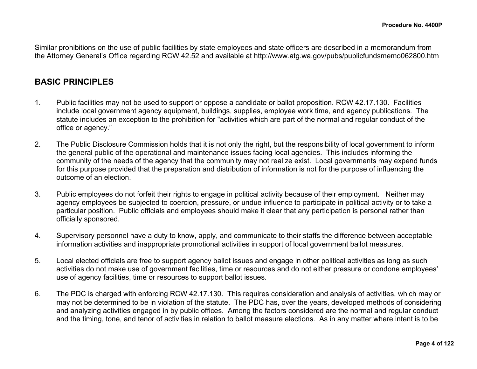Similar prohibitions on the use of public facilities by state employees and state officers are described in a memorandum from the Attorney General's Office regarding RCW 42.52 and available at http://www.atg.wa.gov/pubs/publicfundsmemo062800.htm

## **BASIC PRINCIPLES**

- 1. Public facilities may not be used to support or oppose a candidate or ballot proposition. RCW 42.17.130. Facilities include local government agency equipment, buildings, supplies, employee work time, and agency publications. The statute includes an exception to the prohibition for "activities which are part of the normal and regular conduct of the office or agency."
- 2. The Public Disclosure Commission holds that it is not only the right, but the responsibility of local government to inform the general public of the operational and maintenance issues facing local agencies. This includes informing the community of the needs of the agency that the community may not realize exist. Local governments may expend funds for this purpose provided that the preparation and distribution of information is not for the purpose of influencing the outcome of an election.
- 3. Public employees do not forfeit their rights to engage in political activity because of their employment. Neither may agency employees be subjected to coercion, pressure, or undue influence to participate in political activity or to take a particular position. Public officials and employees should make it clear that any participation is personal rather than officially sponsored.
- 4. Supervisory personnel have a duty to know, apply, and communicate to their staffs the difference between acceptable information activities and inappropriate promotional activities in support of local government ballot measures.
- 5. Local elected officials are free to support agency ballot issues and engage in other political activities as long as such activities do not make use of government facilities, time or resources and do not either pressure or condone employees' use of agency facilities, time or resources to support ballot issues.
- 6. The PDC is charged with enforcing RCW 42.17.130. This requires consideration and analysis of activities, which may or may not be determined to be in violation of the statute. The PDC has, over the years, developed methods of considering and analyzing activities engaged in by public offices. Among the factors considered are the normal and regular conduct and the timing, tone, and tenor of activities in relation to ballot measure elections. As in any matter where intent is to be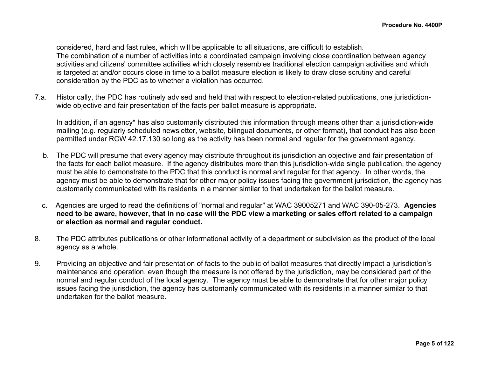considered, hard and fast rules, which will be applicable to all situations, are difficult to establish. The combination of a number of activities into a coordinated campaign involving close coordination between agency activities and citizens' committee activities which closely resembles traditional election campaign activities and which is targeted at and/or occurs close in time to a ballot measure election is likely to draw close scrutiny and careful consideration by the PDC as to whether a violation has occurred.

7.a. Historically, the PDC has routinely advised and held that with respect to election-related publications, one jurisdictionwide objective and fair presentation of the facts per ballot measure is appropriate.

In addition, if an agency\* has also customarily distributed this information through means other than a jurisdiction-wide mailing (e.g. regularly scheduled newsletter, website, bilingual documents, or other format), that conduct has also been permitted under RCW 42.17.130 so long as the activity has been normal and regular for the government agency.

- b. The PDC will presume that every agency may distribute throughout its jurisdiction an objective and fair presentation of the facts for each ballot measure. If the agency distributes more than this jurisdiction-wide single publication, the agency must be able to demonstrate to the PDC that this conduct is normal and regular for that agency. In other words, the agency must be able to demonstrate that for other major policy issues facing the government jurisdiction, the agency has customarily communicated with its residents in a manner similar to that undertaken for the ballot measure.
- c. Agencies are urged to read the definitions of "normal and regular" at WAC 39005271 and WAC 390-05-273. **Agencies need to be aware, however, that in no case will the PDC view a marketing or sales effort related to a campaign or election as normal and regular conduct.**
- 8. The PDC attributes publications or other informational activity of a department or subdivision as the product of the local agency as a whole.
- 9. Providing an objective and fair presentation of facts to the public of ballot measures that directly impact a jurisdiction's maintenance and operation, even though the measure is not offered by the jurisdiction, may be considered part of the normal and regular conduct of the local agency. The agency must be able to demonstrate that for other major policy issues facing the jurisdiction, the agency has customarily communicated with its residents in a manner similar to that undertaken for the ballot measure.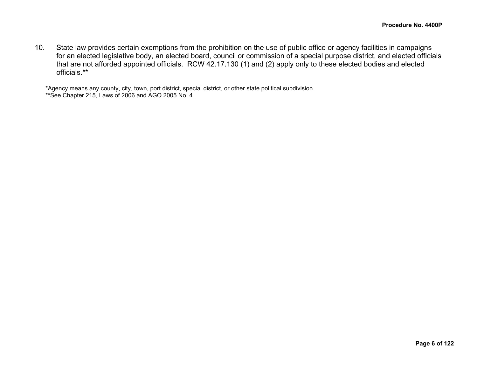10. State law provides certain exemptions from the prohibition on the use of public office or agency facilities in campaigns for an elected legislative body, an elected board, council or commission of a special purpose district, and elected officials that are not afforded appointed officials. RCW 42.17.130 (1) and (2) apply only to these elected bodies and elected officials.\*\*

\*Agency means any county, city, town, port district, special district, or other state political subdivision. \*\*See Chapter 215, Laws of 2006 and AGO 2005 No. 4.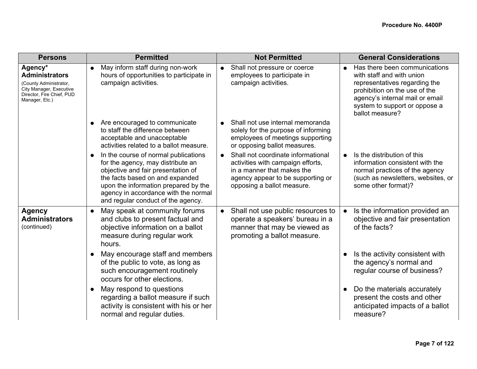| <b>Persons</b>                                                                                                                       | <b>Permitted</b>                                                                                                                                                                                                                                                         | <b>Not Permitted</b>                                                                                                                                                     | <b>General Considerations</b>                                                                                                                                                                                                    |
|--------------------------------------------------------------------------------------------------------------------------------------|--------------------------------------------------------------------------------------------------------------------------------------------------------------------------------------------------------------------------------------------------------------------------|--------------------------------------------------------------------------------------------------------------------------------------------------------------------------|----------------------------------------------------------------------------------------------------------------------------------------------------------------------------------------------------------------------------------|
| Agency*<br><b>Administrators</b><br>(County Administrator,<br>City Manager, Executive<br>Director, Fire Chief, PUD<br>Manager, Etc.) | May inform staff during non-work<br>$\bullet$<br>hours of opportunities to participate in<br>campaign activities.                                                                                                                                                        | Shall not pressure or coerce<br>$\bullet$<br>employees to participate in<br>campaign activities.                                                                         | Has there been communications<br>$\bullet$<br>with staff and with union<br>representatives regarding the<br>prohibition on the use of the<br>agency's internal mail or email<br>system to support or oppose a<br>ballot measure? |
|                                                                                                                                      | Are encouraged to communicate<br>to staff the difference between<br>acceptable and unacceptable<br>activities related to a ballot measure.                                                                                                                               | Shall not use internal memoranda<br>solely for the purpose of informing<br>employees of meetings supporting<br>or opposing ballot measures.                              |                                                                                                                                                                                                                                  |
|                                                                                                                                      | In the course of normal publications<br>for the agency, may distribute an<br>objective and fair presentation of<br>the facts based on and expanded<br>upon the information prepared by the<br>agency in accordance with the normal<br>and regular conduct of the agency. | Shall not coordinate informational<br>activities with campaign efforts,<br>in a manner that makes the<br>agency appear to be supporting or<br>opposing a ballot measure. | Is the distribution of this<br>$\bullet$<br>information consistent with the<br>normal practices of the agency<br>(such as newsletters, websites, or<br>some other format)?                                                       |
| <b>Agency</b><br><b>Administrators</b><br>(continued)                                                                                | May speak at community forums<br>$\bullet$<br>and clubs to present factual and<br>objective information on a ballot<br>measure during regular work<br>hours.                                                                                                             | Shall not use public resources to<br>$\bullet$<br>operate a speakers' bureau in a<br>manner that may be viewed as<br>promoting a ballot measure.                         | Is the information provided an<br>$\bullet$<br>objective and fair presentation<br>of the facts?                                                                                                                                  |
|                                                                                                                                      | May encourage staff and members<br>of the public to vote, as long as<br>such encouragement routinely<br>occurs for other elections.                                                                                                                                      |                                                                                                                                                                          | Is the activity consistent with<br>$\bullet$<br>the agency's normal and<br>regular course of business?                                                                                                                           |
|                                                                                                                                      | May respond to questions<br>$\bullet$<br>regarding a ballot measure if such<br>activity is consistent with his or her<br>normal and regular duties.                                                                                                                      |                                                                                                                                                                          | Do the materials accurately<br>$\bullet$<br>present the costs and other<br>anticipated impacts of a ballot<br>measure?                                                                                                           |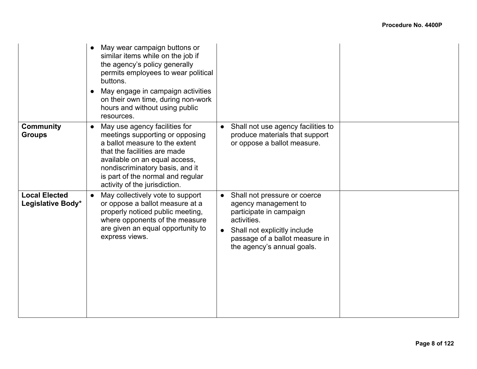|                                           | May wear campaign buttons or<br>similar items while on the job if<br>the agency's policy generally<br>permits employees to wear political<br>buttons.<br>May engage in campaign activities<br>$\bullet$<br>on their own time, during non-work<br>hours and without using public<br>resources. |                                                                                                                                                                                                             |  |
|-------------------------------------------|-----------------------------------------------------------------------------------------------------------------------------------------------------------------------------------------------------------------------------------------------------------------------------------------------|-------------------------------------------------------------------------------------------------------------------------------------------------------------------------------------------------------------|--|
| <b>Community</b><br><b>Groups</b>         | May use agency facilities for<br>$\bullet$<br>meetings supporting or opposing<br>a ballot measure to the extent<br>that the facilities are made<br>available on an equal access,<br>nondiscriminatory basis, and it<br>is part of the normal and regular<br>activity of the jurisdiction.     | Shall not use agency facilities to<br>produce materials that support<br>or oppose a ballot measure.                                                                                                         |  |
| <b>Local Elected</b><br>Legislative Body* | May collectively vote to support<br>$\bullet$<br>or oppose a ballot measure at a<br>properly noticed public meeting,<br>where opponents of the measure<br>are given an equal opportunity to<br>express views.                                                                                 | Shall not pressure or coerce<br>$\bullet$<br>agency management to<br>participate in campaign<br>activities.<br>Shall not explicitly include<br>passage of a ballot measure in<br>the agency's annual goals. |  |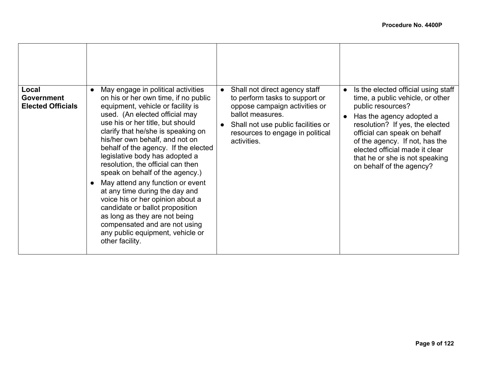| Local<br><b>Government</b><br><b>Elected Officials</b> | May engage in political activities<br>$\bullet$<br>on his or her own time, if no public<br>equipment, vehicle or facility is<br>used. (An elected official may<br>use his or her title, but should<br>clarify that he/she is speaking on<br>his/her own behalf, and not on<br>behalf of the agency. If the elected<br>legislative body has adopted a<br>resolution, the official can then<br>speak on behalf of the agency.)<br>May attend any function or event<br>at any time during the day and<br>voice his or her opinion about a<br>candidate or ballot proposition<br>as long as they are not being<br>compensated and are not using<br>any public equipment, vehicle or<br>other facility. | Shall not direct agency staff<br>$\bullet$<br>to perform tasks to support or<br>oppose campaign activities or<br>ballot measures.<br>Shall not use public facilities or<br>resources to engage in political<br>activities. | Is the elected official using staff<br>time, a public vehicle, or other<br>public resources?<br>Has the agency adopted a<br>$\bullet$<br>resolution? If yes, the elected<br>official can speak on behalf<br>of the agency. If not, has the<br>elected official made it clear<br>that he or she is not speaking<br>on behalf of the agency? |
|--------------------------------------------------------|----------------------------------------------------------------------------------------------------------------------------------------------------------------------------------------------------------------------------------------------------------------------------------------------------------------------------------------------------------------------------------------------------------------------------------------------------------------------------------------------------------------------------------------------------------------------------------------------------------------------------------------------------------------------------------------------------|----------------------------------------------------------------------------------------------------------------------------------------------------------------------------------------------------------------------------|--------------------------------------------------------------------------------------------------------------------------------------------------------------------------------------------------------------------------------------------------------------------------------------------------------------------------------------------|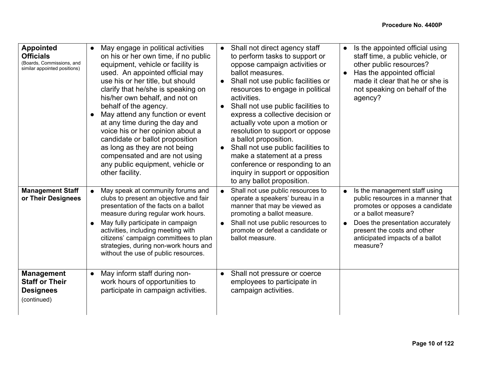| <b>Appointed</b><br><b>Officials</b><br>(Boards, Commissions, and<br>similar appointed positions) | May engage in political activities<br>$\bullet$<br>on his or her own time, if no public<br>equipment, vehicle or facility is<br>used. An appointed official may<br>use his or her title, but should<br>clarify that he/she is speaking on<br>his/her own behalf, and not on<br>behalf of the agency.<br>May attend any function or event<br>at any time during the day and<br>voice his or her opinion about a<br>candidate or ballot proposition<br>as long as they are not being<br>compensated and are not using<br>any public equipment, vehicle or<br>other facility. | Shall not direct agency staff<br>$\bullet$<br>to perform tasks to support or<br>oppose campaign activities or<br>ballot measures.<br>Shall not use public facilities or<br>resources to engage in political<br>activities.<br>Shall not use public facilities to<br>$\bullet$<br>express a collective decision or<br>actually vote upon a motion or<br>resolution to support or oppose<br>a ballot proposition.<br>Shall not use public facilities to<br>make a statement at a press<br>conference or responding to an<br>inquiry in support or opposition<br>to any ballot proposition. | Is the appointed official using<br>$\bullet$<br>staff time, a public vehicle, or<br>other public resources?<br>Has the appointed official<br>$\bullet$<br>made it clear that he or she is<br>not speaking on behalf of the<br>agency?                        |
|---------------------------------------------------------------------------------------------------|----------------------------------------------------------------------------------------------------------------------------------------------------------------------------------------------------------------------------------------------------------------------------------------------------------------------------------------------------------------------------------------------------------------------------------------------------------------------------------------------------------------------------------------------------------------------------|------------------------------------------------------------------------------------------------------------------------------------------------------------------------------------------------------------------------------------------------------------------------------------------------------------------------------------------------------------------------------------------------------------------------------------------------------------------------------------------------------------------------------------------------------------------------------------------|--------------------------------------------------------------------------------------------------------------------------------------------------------------------------------------------------------------------------------------------------------------|
| <b>Management Staff</b><br>or Their Designees                                                     | May speak at community forums and<br>clubs to present an objective and fair<br>presentation of the facts on a ballot<br>measure during regular work hours.<br>May fully participate in campaign<br>activities, including meeting with<br>citizens' campaign committees to plan<br>strategies, during non-work hours and<br>without the use of public resources.                                                                                                                                                                                                            | Shall not use public resources to<br>operate a speakers' bureau in a<br>manner that may be viewed as<br>promoting a ballot measure.<br>Shall not use public resources to<br>$\bullet$<br>promote or defeat a candidate or<br>ballot measure.                                                                                                                                                                                                                                                                                                                                             | Is the management staff using<br>public resources in a manner that<br>promotes or opposes a candidate<br>or a ballot measure?<br>Does the presentation accurately<br>$\bullet$<br>present the costs and other<br>anticipated impacts of a ballot<br>measure? |
| <b>Management</b><br><b>Staff or Their</b><br><b>Designees</b><br>(continued)                     | May inform staff during non-<br>$\bullet$<br>work hours of opportunities to<br>participate in campaign activities.                                                                                                                                                                                                                                                                                                                                                                                                                                                         | Shall not pressure or coerce<br>employees to participate in<br>campaign activities.                                                                                                                                                                                                                                                                                                                                                                                                                                                                                                      |                                                                                                                                                                                                                                                              |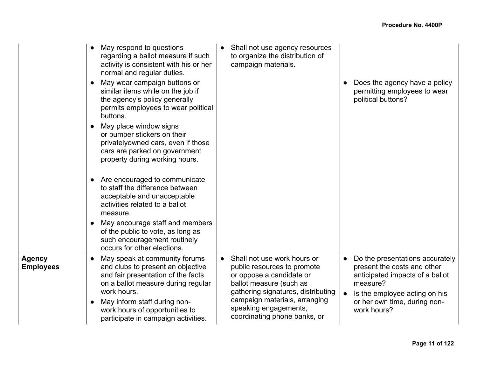|                            | May respond to questions<br>regarding a ballot measure if such<br>activity is consistent with his or her<br>normal and regular duties.<br>May wear campaign buttons or<br>similar items while on the job if<br>the agency's policy generally<br>permits employees to wear political<br>buttons.<br>May place window signs<br>or bumper stickers on their<br>privatelyowned cars, even if those<br>cars are parked on government<br>property during working hours. | Shall not use agency resources<br>to organize the distribution of<br>campaign materials.                                                                                                                                                                       | Does the agency have a policy<br>permitting employees to wear<br>political buttons?                                                                                                                                     |
|----------------------------|-------------------------------------------------------------------------------------------------------------------------------------------------------------------------------------------------------------------------------------------------------------------------------------------------------------------------------------------------------------------------------------------------------------------------------------------------------------------|----------------------------------------------------------------------------------------------------------------------------------------------------------------------------------------------------------------------------------------------------------------|-------------------------------------------------------------------------------------------------------------------------------------------------------------------------------------------------------------------------|
|                            | • Are encouraged to communicate<br>to staff the difference between<br>acceptable and unacceptable<br>activities related to a ballot<br>measure.                                                                                                                                                                                                                                                                                                                   |                                                                                                                                                                                                                                                                |                                                                                                                                                                                                                         |
|                            | May encourage staff and members<br>of the public to vote, as long as<br>such encouragement routinely<br>occurs for other elections.                                                                                                                                                                                                                                                                                                                               |                                                                                                                                                                                                                                                                |                                                                                                                                                                                                                         |
| Agency<br><b>Employees</b> | May speak at community forums<br>and clubs to present an objective<br>and fair presentation of the facts<br>on a ballot measure during regular<br>work hours.<br>May inform staff during non-<br>work hours of opportunities to<br>participate in campaign activities.                                                                                                                                                                                            | Shall not use work hours or<br>$\bullet$<br>public resources to promote<br>or oppose a candidate or<br>ballot measure (such as<br>gathering signatures, distributing<br>campaign materials, arranging<br>speaking engagements,<br>coordinating phone banks, or | Do the presentations accurately<br>$\bullet$<br>present the costs and other<br>anticipated impacts of a ballot<br>measure?<br>Is the employee acting on his<br>$\bullet$<br>or her own time, during non-<br>work hours? |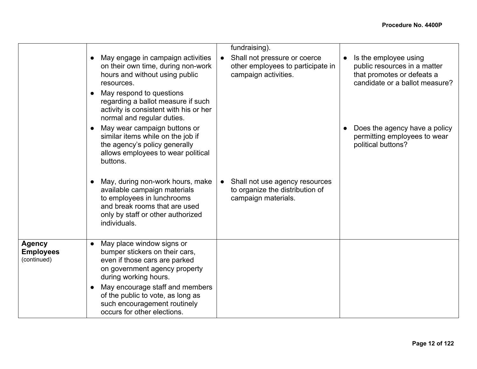|                                                  |                                                                                                                                                                                                                                                                                               | fundraising).                                                                             |           |                                                                                                                       |
|--------------------------------------------------|-----------------------------------------------------------------------------------------------------------------------------------------------------------------------------------------------------------------------------------------------------------------------------------------------|-------------------------------------------------------------------------------------------|-----------|-----------------------------------------------------------------------------------------------------------------------|
|                                                  | May engage in campaign activities<br>on their own time, during non-work<br>hours and without using public<br>resources.<br>May respond to questions<br>regarding a ballot measure if such<br>activity is consistent with his or her<br>normal and regular duties.                             | Shall not pressure or coerce<br>other employees to participate in<br>campaign activities. | $\bullet$ | Is the employee using<br>public resources in a matter<br>that promotes or defeats a<br>candidate or a ballot measure? |
|                                                  | May wear campaign buttons or<br>similar items while on the job if<br>the agency's policy generally<br>allows employees to wear political<br>buttons.                                                                                                                                          |                                                                                           |           | Does the agency have a policy<br>permitting employees to wear<br>political buttons?                                   |
|                                                  | May, during non-work hours, make<br>available campaign materials<br>to employees in lunchrooms<br>and break rooms that are used<br>only by staff or other authorized<br>individuals.                                                                                                          | Shall not use agency resources<br>to organize the distribution of<br>campaign materials.  |           |                                                                                                                       |
| <b>Agency</b><br><b>Employees</b><br>(continued) | May place window signs or<br>bumper stickers on their cars,<br>even if those cars are parked<br>on government agency property<br>during working hours.<br>May encourage staff and members<br>of the public to vote, as long as<br>such encouragement routinely<br>occurs for other elections. |                                                                                           |           |                                                                                                                       |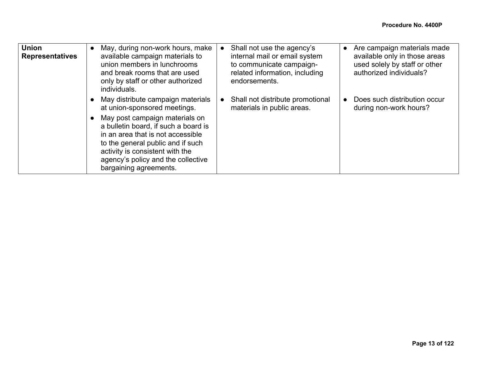| <b>Union</b><br><b>Representatives</b> | May, during non-work hours, make<br>$\bullet$<br>available campaign materials to<br>union members in lunchrooms<br>and break rooms that are used<br>only by staff or other authorized<br>individuals.                                                            | Shall not use the agency's<br>internal mail or email system<br>to communicate campaign-<br>related information, including<br>endorsements. | Are campaign materials made<br>$\bullet$<br>available only in those areas<br>used solely by staff or other<br>authorized individuals? |
|----------------------------------------|------------------------------------------------------------------------------------------------------------------------------------------------------------------------------------------------------------------------------------------------------------------|--------------------------------------------------------------------------------------------------------------------------------------------|---------------------------------------------------------------------------------------------------------------------------------------|
|                                        | May distribute campaign materials<br>$\bullet$<br>at union-sponsored meetings.                                                                                                                                                                                   | Shall not distribute promotional<br>materials in public areas.                                                                             | Does such distribution occur<br>during non-work hours?                                                                                |
|                                        | May post campaign materials on<br>$\bullet$<br>a bulletin board, if such a board is<br>in an area that is not accessible<br>to the general public and if such<br>activity is consistent with the<br>agency's policy and the collective<br>bargaining agreements. |                                                                                                                                            |                                                                                                                                       |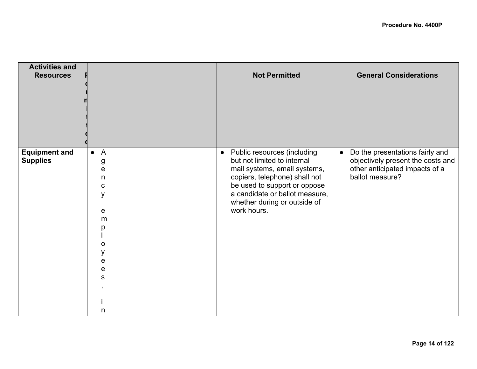| <b>Activities and</b><br><b>Resources</b> |                                                                                         | <b>Not Permitted</b>                                                                                                                                                                                                                           | <b>General Considerations</b>                                                                                                          |
|-------------------------------------------|-----------------------------------------------------------------------------------------|------------------------------------------------------------------------------------------------------------------------------------------------------------------------------------------------------------------------------------------------|----------------------------------------------------------------------------------------------------------------------------------------|
| <b>Equipment and</b><br><b>Supplies</b>   | $\overline{A}$<br>$\bullet$<br>g<br>е<br>n<br>C<br>y<br>e<br>m<br>Ω<br>e<br>е<br>S<br>n | • Public resources (including<br>but not limited to internal<br>mail systems, email systems,<br>copiers, telephone) shall not<br>be used to support or oppose<br>a candidate or ballot measure,<br>whether during or outside of<br>work hours. | Do the presentations fairly and<br>$\bullet$<br>objectively present the costs and<br>other anticipated impacts of a<br>ballot measure? |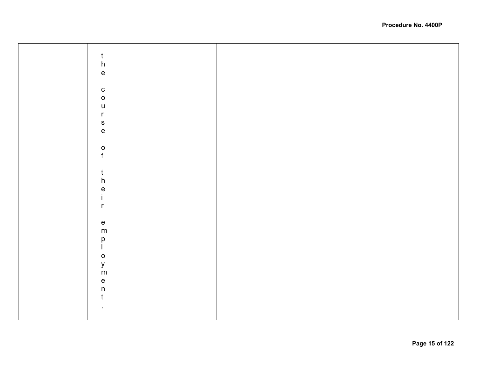| $\mathsf{t}$<br>$\boldsymbol{\mathsf{h}}$                         |  |
|-------------------------------------------------------------------|--|
| $\mathsf{e}% _{t}\left( t\right)$<br>${\bf c}$                    |  |
| $\mathsf{o}$<br>$\sf U$<br>$\mathsf{r}$<br>$\mathsf{s}$           |  |
| $\mathsf{e}% _{0}\left( \mathsf{e}\right)$                        |  |
| $\rm _f^o$<br>$\mathsf{t}$                                        |  |
| $\boldsymbol{\mathsf{h}}$<br>$\mathsf{e}\,$<br>İ.<br>$\mathsf{r}$ |  |
| ${\bf e}$<br>${\sf m}$                                            |  |
| $_{\rm l}^{\rm p}$<br>$\mathsf{o}$<br>y<br>m                      |  |
| $\mathsf{e}% _{t}\left( t\right)$<br>$\mathsf{n}$<br>$\mathbf t$  |  |
| $\,$ ,                                                            |  |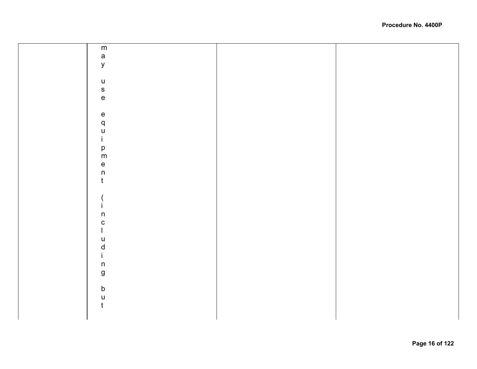|  | m                                                                     |  |
|--|-----------------------------------------------------------------------|--|
|  |                                                                       |  |
|  | $\mathsf{a}$                                                          |  |
|  | У                                                                     |  |
|  |                                                                       |  |
|  |                                                                       |  |
|  | $\sf U$                                                               |  |
|  | $\mathsf{s}$                                                          |  |
|  | $\mathsf{e}% _{t}\left( t\right) \equiv\mathsf{e}_{t}\left( t\right)$ |  |
|  |                                                                       |  |
|  |                                                                       |  |
|  | ${\bf e}$                                                             |  |
|  | q                                                                     |  |
|  |                                                                       |  |
|  | $\sf U$                                                               |  |
|  | İ.                                                                    |  |
|  |                                                                       |  |
|  | p<br>m                                                                |  |
|  |                                                                       |  |
|  | $\mathsf{e}% _{t}\left( t\right)$                                     |  |
|  | $\sf n$                                                               |  |
|  | $\mathfrak t$                                                         |  |
|  |                                                                       |  |
|  |                                                                       |  |
|  |                                                                       |  |
|  |                                                                       |  |
|  |                                                                       |  |
|  | $\sf n$                                                               |  |
|  | ${\bf C}$                                                             |  |
|  |                                                                       |  |
|  |                                                                       |  |
|  | $\sf U$                                                               |  |
|  | $\mathsf d$                                                           |  |
|  | i.                                                                    |  |
|  |                                                                       |  |
|  | $\mathsf n$                                                           |  |
|  | $\boldsymbol{g}$                                                      |  |
|  |                                                                       |  |
|  |                                                                       |  |
|  | $\sf b$                                                               |  |
|  | u                                                                     |  |
|  | t                                                                     |  |
|  |                                                                       |  |
|  |                                                                       |  |
|  |                                                                       |  |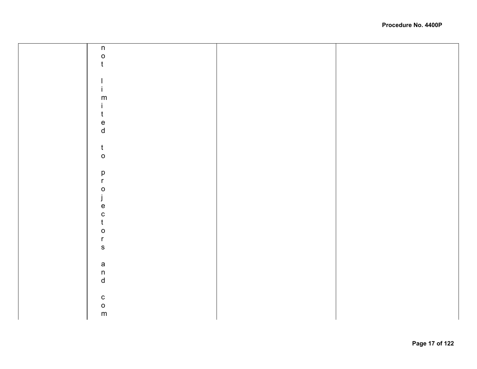| $\mathsf n$                                       |  |
|---------------------------------------------------|--|
| $\circ$                                           |  |
| $\mathfrak t$                                     |  |
|                                                   |  |
|                                                   |  |
|                                                   |  |
|                                                   |  |
| ${\sf m}$                                         |  |
| $\mathbf{I}$                                      |  |
| $\mathbf t$                                       |  |
| $\mathsf{e}% _{t}\left( t\right)$                 |  |
| ${\sf d}$                                         |  |
|                                                   |  |
| $\mathsf{t}$                                      |  |
| $\mathsf{o}$                                      |  |
|                                                   |  |
|                                                   |  |
| $\mathsf{p}% _{T}\left( t\right)$<br>$\mathsf{r}$ |  |
|                                                   |  |
| $\mathbf O$<br>$\mathbf{r}$                       |  |
| $\mathsf{I}$                                      |  |
| $\mathbf e$                                       |  |
| $\mathbf{C}$                                      |  |
| $\mathfrak t$                                     |  |
| $\mathsf{o}$                                      |  |
| $\mathsf{r}$                                      |  |
| $\mathsf S$                                       |  |
|                                                   |  |
|                                                   |  |
| $\frac{a}{n}$                                     |  |
| $\operatorname{\mathsf{d}}$                       |  |
|                                                   |  |
| ${\bf C}$                                         |  |
|                                                   |  |
| $\frac{0}{m}$                                     |  |
|                                                   |  |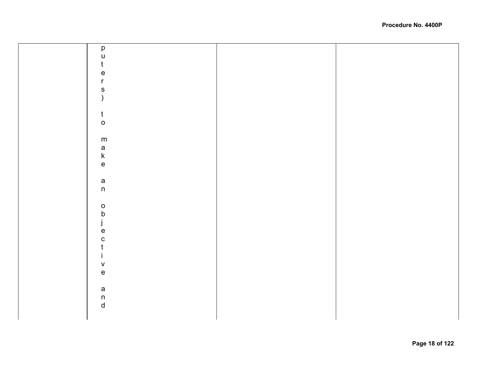| $\mathsf{p}% _{T}$                                                    |  |
|-----------------------------------------------------------------------|--|
| $\mathsf{u}%$                                                         |  |
| $\mathfrak t$                                                         |  |
|                                                                       |  |
| $\mathsf{e}$                                                          |  |
| $\mathbf{r}$                                                          |  |
| ${\sf s}$                                                             |  |
| $\mathcal{E}$                                                         |  |
|                                                                       |  |
|                                                                       |  |
| $\mathsf{t}$                                                          |  |
| $\mathsf{o}$                                                          |  |
|                                                                       |  |
| ${\sf m}$                                                             |  |
|                                                                       |  |
| a<br>k                                                                |  |
|                                                                       |  |
| $\mathsf{e}% _{t}\left( t\right) \equiv\mathsf{e}_{t}\left( t\right)$ |  |
|                                                                       |  |
| $\mathsf a$                                                           |  |
| $\mathsf{n}$                                                          |  |
|                                                                       |  |
|                                                                       |  |
| $\mathsf{o}$                                                          |  |
| $\mathsf b$                                                           |  |
| j                                                                     |  |
| $\mathbf e$                                                           |  |
| $\mathbf C$                                                           |  |
|                                                                       |  |
| t                                                                     |  |
| T                                                                     |  |
| ${\sf V}$                                                             |  |
| $\mathsf{e}% _{t}\left( t\right)$                                     |  |
|                                                                       |  |
|                                                                       |  |
| $\mathsf a$                                                           |  |
|                                                                       |  |
| $\begin{matrix} n \\ d \end{matrix}$                                  |  |
|                                                                       |  |
|                                                                       |  |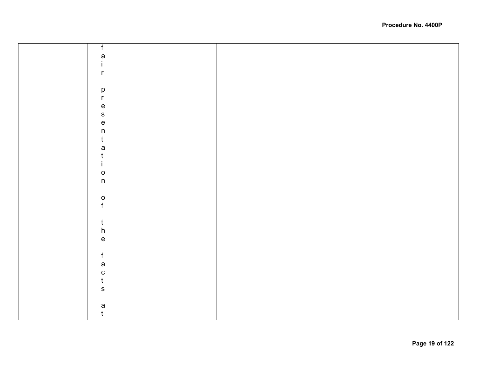| f                                 |  |
|-----------------------------------|--|
| a                                 |  |
| İ.                                |  |
| $\mathsf{r}$                      |  |
|                                   |  |
|                                   |  |
| $\mathsf{p}% _{T}$                |  |
| $\mathsf{r}$                      |  |
| $\mathsf{e}\,$                    |  |
| $\mathsf{s}$                      |  |
| $\mathsf{e}\,$                    |  |
| $\sf n$                           |  |
| $\mathfrak t$                     |  |
| a                                 |  |
| $\mathfrak t$                     |  |
| j.                                |  |
| $\circ$                           |  |
| $\sf n$                           |  |
|                                   |  |
|                                   |  |
| $\frac{0}{f}$                     |  |
|                                   |  |
|                                   |  |
| $\frac{t}{h}$                     |  |
| $\mathsf{e}% _{t}\left( t\right)$ |  |
|                                   |  |
|                                   |  |
| $\mathsf f$                       |  |
| a                                 |  |
| $\mathbf{C}$                      |  |
| $\mathfrak{t}$                    |  |
| $\mathbf S$                       |  |
|                                   |  |
| a                                 |  |
| $\mathfrak t$                     |  |
|                                   |  |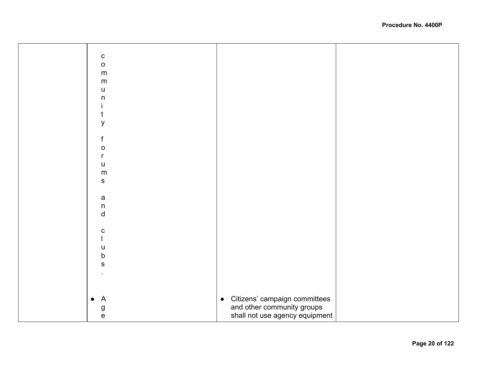| $\mathbf C$<br>$\mathsf{o}$<br>${\sf m}$<br>${\sf m}$<br>$\sf u$<br>$\sf n$<br>t<br>У<br>$\mathsf f$<br>$\mathsf{o}$<br>r<br>$\sf U$<br>${\sf m}$<br>${\sf S}$<br>a<br>$\mathsf{n}$<br>$\sf d$<br>${\bf C}$<br>$\sf U$<br>$\sf b$<br>$\mathbf S$<br>Citizens' campaign committees<br>and other community groups<br>$\overline{A}$<br>$\bullet$<br>$\bullet$<br>g<br>e<br>shall not use agency equipment |  |  |
|---------------------------------------------------------------------------------------------------------------------------------------------------------------------------------------------------------------------------------------------------------------------------------------------------------------------------------------------------------------------------------------------------------|--|--|
|                                                                                                                                                                                                                                                                                                                                                                                                         |  |  |
|                                                                                                                                                                                                                                                                                                                                                                                                         |  |  |
|                                                                                                                                                                                                                                                                                                                                                                                                         |  |  |
|                                                                                                                                                                                                                                                                                                                                                                                                         |  |  |
|                                                                                                                                                                                                                                                                                                                                                                                                         |  |  |
|                                                                                                                                                                                                                                                                                                                                                                                                         |  |  |
|                                                                                                                                                                                                                                                                                                                                                                                                         |  |  |
|                                                                                                                                                                                                                                                                                                                                                                                                         |  |  |
|                                                                                                                                                                                                                                                                                                                                                                                                         |  |  |
|                                                                                                                                                                                                                                                                                                                                                                                                         |  |  |
|                                                                                                                                                                                                                                                                                                                                                                                                         |  |  |
|                                                                                                                                                                                                                                                                                                                                                                                                         |  |  |
|                                                                                                                                                                                                                                                                                                                                                                                                         |  |  |
|                                                                                                                                                                                                                                                                                                                                                                                                         |  |  |
|                                                                                                                                                                                                                                                                                                                                                                                                         |  |  |
|                                                                                                                                                                                                                                                                                                                                                                                                         |  |  |
|                                                                                                                                                                                                                                                                                                                                                                                                         |  |  |
|                                                                                                                                                                                                                                                                                                                                                                                                         |  |  |
|                                                                                                                                                                                                                                                                                                                                                                                                         |  |  |
|                                                                                                                                                                                                                                                                                                                                                                                                         |  |  |
|                                                                                                                                                                                                                                                                                                                                                                                                         |  |  |
|                                                                                                                                                                                                                                                                                                                                                                                                         |  |  |
|                                                                                                                                                                                                                                                                                                                                                                                                         |  |  |
|                                                                                                                                                                                                                                                                                                                                                                                                         |  |  |
|                                                                                                                                                                                                                                                                                                                                                                                                         |  |  |
|                                                                                                                                                                                                                                                                                                                                                                                                         |  |  |
|                                                                                                                                                                                                                                                                                                                                                                                                         |  |  |
|                                                                                                                                                                                                                                                                                                                                                                                                         |  |  |
|                                                                                                                                                                                                                                                                                                                                                                                                         |  |  |
|                                                                                                                                                                                                                                                                                                                                                                                                         |  |  |
|                                                                                                                                                                                                                                                                                                                                                                                                         |  |  |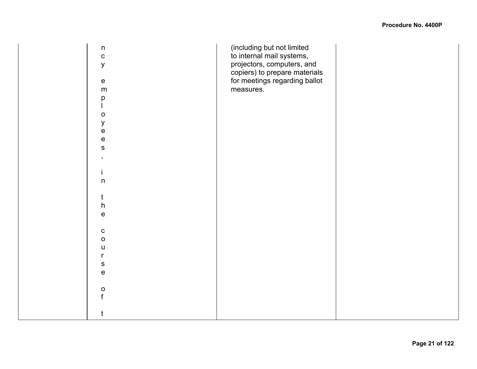| $\mathsf n$<br>$\mathbf C$<br>$\mathsf{y}$ | (including but not limited<br>to internal mail systems,<br>projectors, computers, and<br>copiers) to prepare materials |  |
|--------------------------------------------|------------------------------------------------------------------------------------------------------------------------|--|
| ${\bf e}$                                  | for meetings regarding ballot                                                                                          |  |
| ${\sf m}$                                  | measures.                                                                                                              |  |
| р                                          |                                                                                                                        |  |
| $\mathsf{o}$                               |                                                                                                                        |  |
| $\mathsf y$                                |                                                                                                                        |  |
| $\mathsf{e}% _{t}\left( t\right)$          |                                                                                                                        |  |
| $\mathsf{e}% _{t}\left( t\right)$          |                                                                                                                        |  |
| $\mathbf S$                                |                                                                                                                        |  |
| $\,$                                       |                                                                                                                        |  |
|                                            |                                                                                                                        |  |
| İ.                                         |                                                                                                                        |  |
| $\mathsf n$                                |                                                                                                                        |  |
|                                            |                                                                                                                        |  |
| t                                          |                                                                                                                        |  |
| $\boldsymbol{\mathsf{h}}$                  |                                                                                                                        |  |
| $\mathsf{e}% _{t}\left( t\right)$          |                                                                                                                        |  |
|                                            |                                                                                                                        |  |
| ${\bf c}$                                  |                                                                                                                        |  |
| $\mathsf{o}$                               |                                                                                                                        |  |
| $\sf U$                                    |                                                                                                                        |  |
| $\mathsf{r}$                               |                                                                                                                        |  |
| ${\sf S}$                                  |                                                                                                                        |  |
| $\mathsf{e}% _{t}\left( t\right)$          |                                                                                                                        |  |
|                                            |                                                                                                                        |  |
| $\mathsf O$                                |                                                                                                                        |  |
| f                                          |                                                                                                                        |  |
|                                            |                                                                                                                        |  |
| t                                          |                                                                                                                        |  |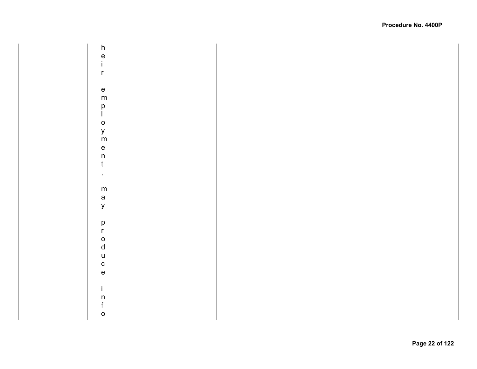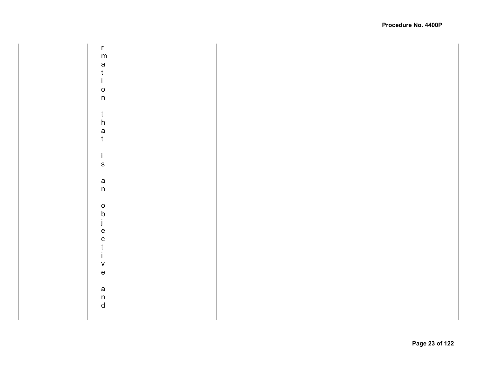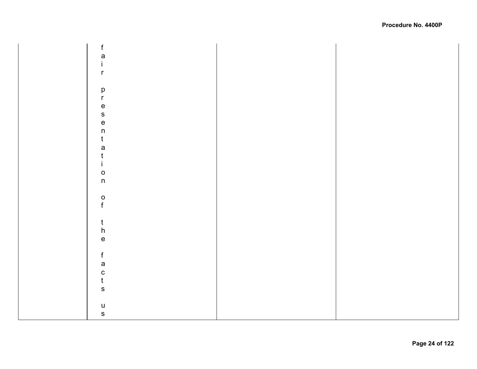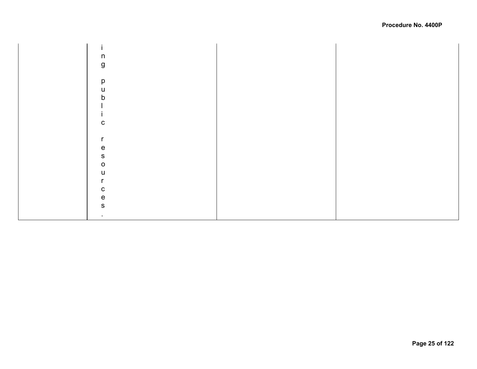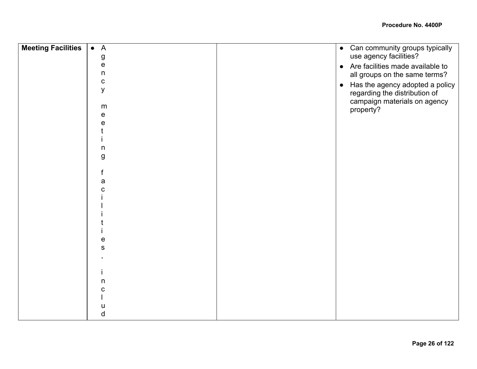| <b>Meeting Facilities</b> | $\overline{A}$<br>$\bullet$ | • Can community groups typically             |
|---------------------------|-----------------------------|----------------------------------------------|
|                           | g                           | use agency facilities?                       |
|                           | e                           | • Are facilities made available to           |
|                           | n                           | all groups on the same terms?                |
|                           | $\mathbf C$                 | Has the agency adopted a policy<br>$\bullet$ |
|                           | y                           | regarding the distribution of                |
|                           | m                           | campaign materials on agency                 |
|                           | e                           | property?                                    |
|                           | е                           |                                              |
|                           |                             |                                              |
|                           |                             |                                              |
|                           | $\mathsf{n}$                |                                              |
|                           | g                           |                                              |
|                           |                             |                                              |
|                           |                             |                                              |
|                           | a                           |                                              |
|                           |                             |                                              |
|                           |                             |                                              |
|                           |                             |                                              |
|                           |                             |                                              |
|                           |                             |                                              |
|                           |                             |                                              |
|                           | е                           |                                              |
|                           | ${\bf S}$                   |                                              |
|                           |                             |                                              |
|                           |                             |                                              |
|                           |                             |                                              |
|                           | n                           |                                              |
|                           | С                           |                                              |
|                           |                             |                                              |
|                           | u                           |                                              |
|                           | d                           |                                              |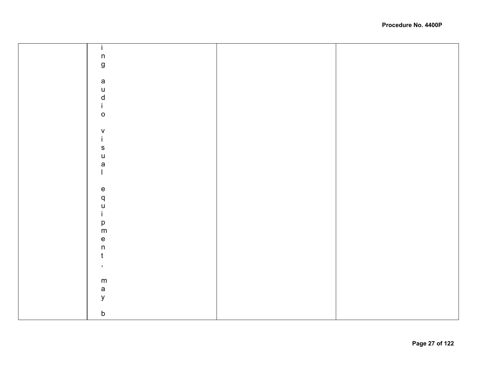| $\mathbf i$        |  |
|--------------------|--|
| $\sf n$            |  |
|                    |  |
| $\mathsf{g}$       |  |
|                    |  |
| $\mathsf a$        |  |
| $\mathsf{u}$       |  |
|                    |  |
|                    |  |
| $\frac{d}{i}$      |  |
| $\circ$            |  |
|                    |  |
|                    |  |
| $\frac{V}{i}$      |  |
|                    |  |
| $\mathbf{s}$       |  |
| $\cup$             |  |
| $\mathsf{a}$       |  |
| $\mathbf{I}$       |  |
|                    |  |
|                    |  |
|                    |  |
|                    |  |
| $a$ <sub>u</sub>   |  |
|                    |  |
| $\mathbf i$        |  |
| p<br>m             |  |
|                    |  |
|                    |  |
| $\frac{e}{n}$      |  |
|                    |  |
| $\mathbf t$        |  |
| $\bar{\mathbf{z}}$ |  |
|                    |  |
| ${\sf m}$          |  |
|                    |  |
| $\mathsf{a}$       |  |
| $\mathsf{y}$       |  |
|                    |  |
| $\mathsf b$        |  |
|                    |  |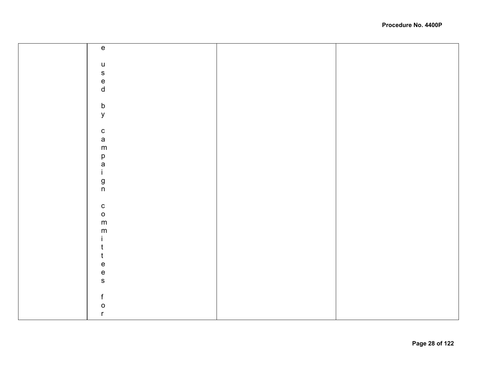| $\mathbf{e}% _{0}\in \mathbb{R}^{d}\times \mathbb{R}$ |  |
|-------------------------------------------------------|--|
|                                                       |  |
|                                                       |  |
| $\sf u$                                               |  |
| ${\sf s}$                                             |  |
| $\frac{e}{d}$                                         |  |
|                                                       |  |
|                                                       |  |
| $\mathsf b$                                           |  |
|                                                       |  |
| $\mathsf{y}$                                          |  |
|                                                       |  |
| $\frac{c}{a}$                                         |  |
|                                                       |  |
| ${\sf m}$                                             |  |
|                                                       |  |
|                                                       |  |
| p<br>a<br>i                                           |  |
|                                                       |  |
| $\mathbf g$ n                                         |  |
|                                                       |  |
|                                                       |  |
|                                                       |  |
| ${\bf c}$                                             |  |
| $\mathsf{o}$                                          |  |
| ${\sf m}$                                             |  |
| ${\sf m}$                                             |  |
|                                                       |  |
| τ                                                     |  |
|                                                       |  |
| t                                                     |  |
| e                                                     |  |
| $\mathsf{e}% _{t}\left( t\right)$                     |  |
| $\mathsf{s}$                                          |  |
|                                                       |  |
| f                                                     |  |
|                                                       |  |
| 0                                                     |  |
| r                                                     |  |
|                                                       |  |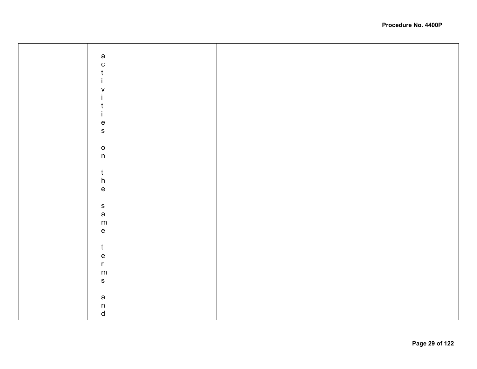| a<br>c                            |  |
|-----------------------------------|--|
| $\mathfrak t$                     |  |
|                                   |  |
| İ                                 |  |
| $\sf V$                           |  |
| j.                                |  |
| t                                 |  |
| $\mathbf i$                       |  |
|                                   |  |
|                                   |  |
| e<br>s                            |  |
|                                   |  |
| $\mathsf{o}$                      |  |
| $\mathsf{n}$                      |  |
|                                   |  |
|                                   |  |
| $\mathfrak t$                     |  |
|                                   |  |
| $h$ e                             |  |
|                                   |  |
|                                   |  |
| s<br>a                            |  |
|                                   |  |
| ${\sf m}$                         |  |
| $\mathsf{e}% _{t}\left( t\right)$ |  |
|                                   |  |
| $\mathfrak t$                     |  |
|                                   |  |
| e<br>r                            |  |
|                                   |  |
| ${\sf m}$                         |  |
| $\mathbf S$                       |  |
|                                   |  |
| a<br>n<br>d                       |  |
|                                   |  |
|                                   |  |
|                                   |  |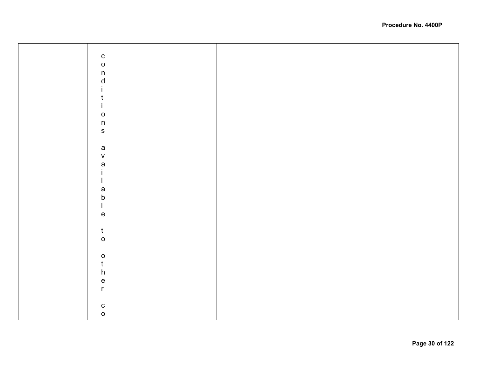| $\begin{matrix} 0 \\ 0 \end{matrix}$<br>$\mathsf n$<br>$\mathsf{d}$<br>İ.<br>$\mathbf t$<br>$\mathbf{i}$<br>$\circ$ |  |
|---------------------------------------------------------------------------------------------------------------------|--|
| $\mathsf{n}$                                                                                                        |  |
|                                                                                                                     |  |
| $\mathbf{s}$                                                                                                        |  |
|                                                                                                                     |  |
| $\mathsf{a}$                                                                                                        |  |
|                                                                                                                     |  |
| $\mathsf{V}$                                                                                                        |  |
| a<br>i                                                                                                              |  |
|                                                                                                                     |  |
| $\overline{1}$                                                                                                      |  |
|                                                                                                                     |  |
| a<br>b<br>l                                                                                                         |  |
|                                                                                                                     |  |
|                                                                                                                     |  |
| $\mathbf e$                                                                                                         |  |
|                                                                                                                     |  |
|                                                                                                                     |  |
| $\mathsf{t}$                                                                                                        |  |
| $\mathsf{o}$                                                                                                        |  |
|                                                                                                                     |  |
| $\begin{matrix} 0 \\ t \\ h \end{matrix}$                                                                           |  |
|                                                                                                                     |  |
|                                                                                                                     |  |
|                                                                                                                     |  |
| e<br>r                                                                                                              |  |
|                                                                                                                     |  |
|                                                                                                                     |  |
|                                                                                                                     |  |
| $\frac{c}{0}$                                                                                                       |  |
|                                                                                                                     |  |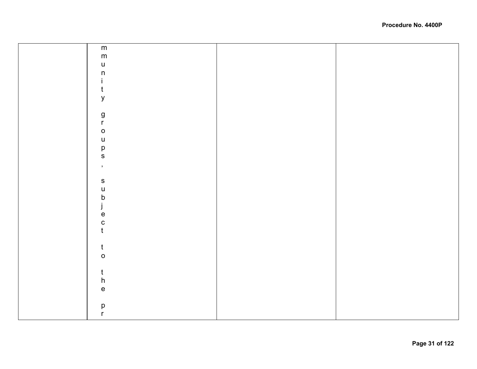| ${\sf m}$                         |  |
|-----------------------------------|--|
| ${\sf m}$                         |  |
| $\mathsf{u}%$                     |  |
| $\sf n$                           |  |
|                                   |  |
| $\mathbf i$                       |  |
| $\mathfrak t$                     |  |
| y                                 |  |
|                                   |  |
|                                   |  |
| g<br>r                            |  |
| $\mathsf{o}$                      |  |
| $\mathsf{u}%$                     |  |
|                                   |  |
| p<br>s                            |  |
|                                   |  |
| $\mathcal{I}$                     |  |
|                                   |  |
| $\mathbf{s}$                      |  |
| $\mathsf{u}$                      |  |
| $\mathsf b$                       |  |
|                                   |  |
| ject                              |  |
|                                   |  |
|                                   |  |
|                                   |  |
|                                   |  |
| $\mathfrak{t}$                    |  |
| $\circ$                           |  |
|                                   |  |
| $\frac{t}{h}$                     |  |
|                                   |  |
| $\mathsf{e}% _{t}\left( t\right)$ |  |
|                                   |  |
|                                   |  |
| р<br>r                            |  |
|                                   |  |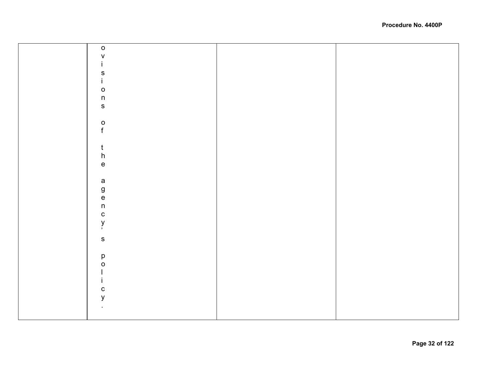| $\mathsf{o}$            |  |
|-------------------------|--|
|                         |  |
| $\mathsf V$             |  |
| $\mathbf i$             |  |
|                         |  |
|                         |  |
| $\frac{s}{i}$           |  |
| $\circ$                 |  |
| $\overline{\mathsf{n}}$ |  |
|                         |  |
| $\mathbf S$             |  |
|                         |  |
|                         |  |
|                         |  |
| $\frac{0}{f}$           |  |
|                         |  |
|                         |  |
|                         |  |
| $\frac{t}{h}$           |  |
|                         |  |
| $\mathsf{e}\,$          |  |
|                         |  |
|                         |  |
|                         |  |
|                         |  |
|                         |  |
| a<br>g<br>n<br>n        |  |
|                         |  |
| $\mathbf{C}$            |  |
|                         |  |
| y<br>,                  |  |
|                         |  |
| $\mathbf s$             |  |
|                         |  |
|                         |  |
| p<br>O<br>I             |  |
|                         |  |
|                         |  |
|                         |  |
| $\mathbf{i}$            |  |
| ${\bf c}$               |  |
|                         |  |
| $\mathsf{y}$            |  |
| $\bullet$               |  |
|                         |  |
|                         |  |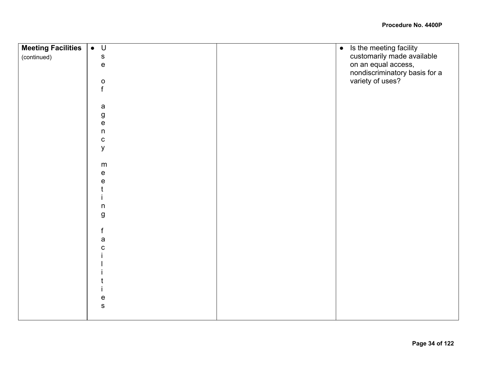| <b>Meeting Facilities</b> | $\bullet$ U                       | Is the meeting facility<br>$\bullet$ |
|---------------------------|-----------------------------------|--------------------------------------|
| (continued)               | ${\bf S}$                         | customarily made available           |
|                           | $\mathsf{e}% _{t}\left( t\right)$ | on an equal access,                  |
|                           |                                   | nondiscriminatory basis for a        |
|                           | $\mathbf{o}$                      | variety of uses?                     |
|                           | f                                 |                                      |
|                           |                                   |                                      |
|                           | $\mathsf a$                       |                                      |
|                           | $\boldsymbol{g}$                  |                                      |
|                           | e                                 |                                      |
|                           | $\sf n$                           |                                      |
|                           | ${\bf C}$                         |                                      |
|                           | У                                 |                                      |
|                           |                                   |                                      |
|                           | m                                 |                                      |
|                           | е                                 |                                      |
|                           | е                                 |                                      |
|                           |                                   |                                      |
|                           | $\sf n$                           |                                      |
|                           | $\boldsymbol{g}$                  |                                      |
|                           |                                   |                                      |
|                           | $\mathsf{f}$                      |                                      |
|                           | a                                 |                                      |
|                           | с                                 |                                      |
|                           |                                   |                                      |
|                           |                                   |                                      |
|                           |                                   |                                      |
|                           |                                   |                                      |
|                           |                                   |                                      |
|                           | е                                 |                                      |
|                           | ${\bf S}$                         |                                      |
|                           |                                   |                                      |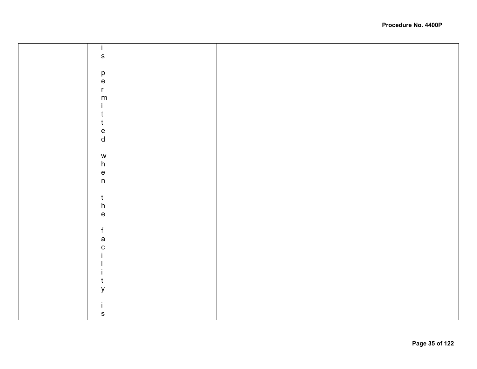| $\mathbf{i}$                      |  |
|-----------------------------------|--|
| $\mathbf s$                       |  |
|                                   |  |
|                                   |  |
| $_{\rm e}^{\rm p}$                |  |
| $\mathsf{r}$                      |  |
| ${\sf m}$                         |  |
| İ.                                |  |
| $\mathfrak t$                     |  |
| $\mathfrak t$                     |  |
|                                   |  |
| e<br>d                            |  |
|                                   |  |
| ${\mathsf W}$                     |  |
| $\boldsymbol{\mathsf{h}}$         |  |
|                                   |  |
| $\frac{e}{n}$                     |  |
|                                   |  |
| $\frac{t}{h}$                     |  |
|                                   |  |
| $\mathsf{e}% _{t}\left( t\right)$ |  |
|                                   |  |
| $\mathsf f$                       |  |
| $\mathsf{a}$                      |  |
| $\mathbf C$                       |  |
|                                   |  |
|                                   |  |
|                                   |  |
| $\mathsf{t}$                      |  |
| $\mathsf y$                       |  |
|                                   |  |
| İ.                                |  |
| ${\sf s}$                         |  |
|                                   |  |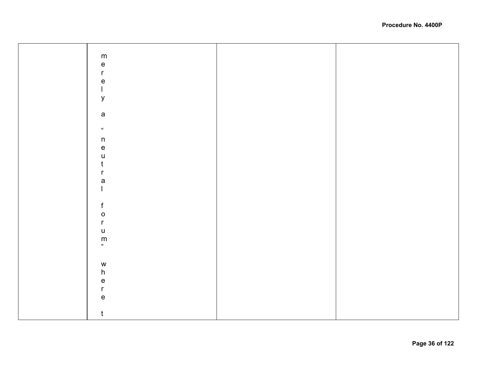| ${\sf m}$                             |  |
|---------------------------------------|--|
|                                       |  |
| $\mathsf{e}% _{t}\left( t_{0}\right)$ |  |
|                                       |  |
| $\mathsf{r}$                          |  |
|                                       |  |
| $\mathsf{e}% _{t}\left( t\right)$     |  |
| $\mathsf{I}$                          |  |
|                                       |  |
| y                                     |  |
|                                       |  |
|                                       |  |
|                                       |  |
| $\mathsf a$                           |  |
|                                       |  |
|                                       |  |
| $\boldsymbol{\mu}$                    |  |
|                                       |  |
| $\sf n$                               |  |
|                                       |  |
| $\mathsf{e}% _{t}\left( t\right)$     |  |
|                                       |  |
| $\mathsf{u}%$                         |  |
| t                                     |  |
|                                       |  |
| r                                     |  |
|                                       |  |
| $\mathsf{a}$                          |  |
|                                       |  |
|                                       |  |
|                                       |  |
|                                       |  |
| $\mathsf f$                           |  |
|                                       |  |
| $\mathsf{o}$                          |  |
|                                       |  |
| $\mathsf{r}$                          |  |
| $\sf U$                               |  |
|                                       |  |
| $\mathsf{m}$                          |  |
|                                       |  |
|                                       |  |
|                                       |  |
|                                       |  |
| ${\mathsf W}$                         |  |
|                                       |  |
| $\boldsymbol{\mathsf{h}}$             |  |
|                                       |  |
| $\mathsf{e}\,$                        |  |
| $\mathsf{r}$                          |  |
|                                       |  |
| $\mathsf{e}% _{t}\left( t\right)$     |  |
|                                       |  |
|                                       |  |
|                                       |  |
| $\mathsf{t}$                          |  |
|                                       |  |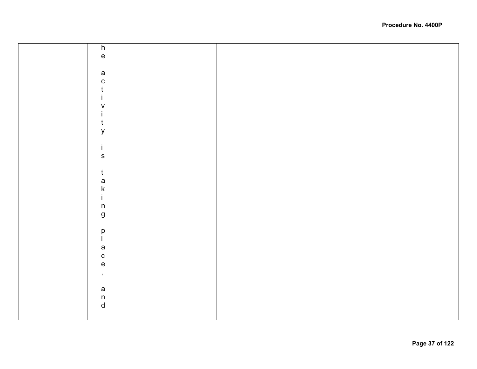| $\overline{h}$                             |  |
|--------------------------------------------|--|
|                                            |  |
| $\mathsf{e}% _{0}\left( \mathsf{e}\right)$ |  |
|                                            |  |
|                                            |  |
| $\mathsf a$                                |  |
|                                            |  |
| $\mathbf{C}$                               |  |
| $\mathfrak t$                              |  |
|                                            |  |
| L                                          |  |
|                                            |  |
| $\sf V$                                    |  |
|                                            |  |
| L                                          |  |
| $\mathfrak{t}$                             |  |
|                                            |  |
| y                                          |  |
|                                            |  |
|                                            |  |
| i.                                         |  |
|                                            |  |
| $\mathbf S$                                |  |
|                                            |  |
|                                            |  |
| $\mathfrak{t}$                             |  |
|                                            |  |
| a<br>k<br>i                                |  |
|                                            |  |
|                                            |  |
|                                            |  |
|                                            |  |
| $\sf n$                                    |  |
|                                            |  |
| $\boldsymbol{g}$                           |  |
|                                            |  |
|                                            |  |
|                                            |  |
| p<br>I                                     |  |
|                                            |  |
| $\mathsf{a}$                               |  |
|                                            |  |
| $\mathbf{C}$                               |  |
| $\mathbf{e}$                               |  |
|                                            |  |
| $\bar{\mathbf{z}}$                         |  |
|                                            |  |
|                                            |  |
| $\mathsf a$                                |  |
|                                            |  |
|                                            |  |
| $\begin{matrix} n \\ d \end{matrix}$       |  |
|                                            |  |
|                                            |  |
|                                            |  |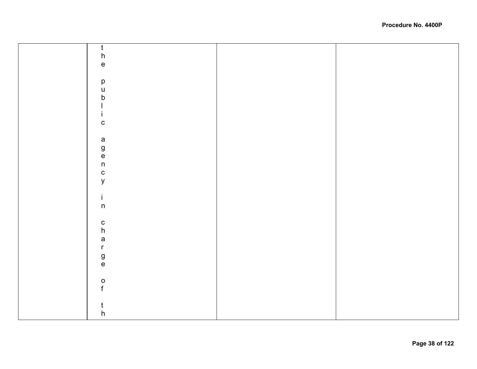| $\frac{1}{h}$                                        |  |
|------------------------------------------------------|--|
|                                                      |  |
|                                                      |  |
| $\mathsf{e}\,$                                       |  |
|                                                      |  |
|                                                      |  |
|                                                      |  |
|                                                      |  |
|                                                      |  |
|                                                      |  |
|                                                      |  |
|                                                      |  |
| $\begin{array}{c} p \\ u \\ b \\ l \\ i \end{array}$ |  |
|                                                      |  |
| $\mathbf c$                                          |  |
|                                                      |  |
|                                                      |  |
|                                                      |  |
|                                                      |  |
|                                                      |  |
|                                                      |  |
|                                                      |  |
|                                                      |  |
| a<br>g<br>e<br>n<br>c<br>y                           |  |
|                                                      |  |
|                                                      |  |
|                                                      |  |
|                                                      |  |
|                                                      |  |
| $\frac{1}{n}$                                        |  |
|                                                      |  |
|                                                      |  |
|                                                      |  |
|                                                      |  |
| $\frac{c}{h}$                                        |  |
|                                                      |  |
| a<br>r<br>g<br>e                                     |  |
|                                                      |  |
|                                                      |  |
|                                                      |  |
|                                                      |  |
|                                                      |  |
|                                                      |  |
|                                                      |  |
| $\frac{0}{f}$                                        |  |
|                                                      |  |
|                                                      |  |
|                                                      |  |
| $\frac{t}{h}$                                        |  |
|                                                      |  |
|                                                      |  |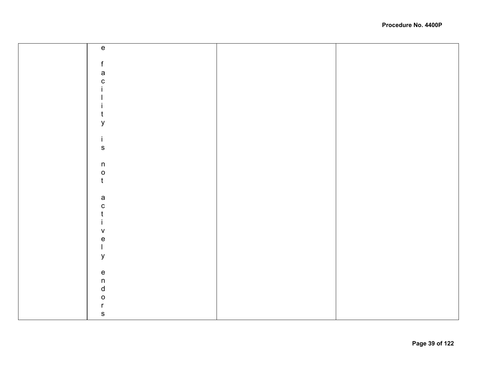| $\mathsf{e}% _{t}\left( t_{0}\right) \in\mathsf{e}_{t}$                                                                                                                                                                                                                                                                                                                          |  |
|----------------------------------------------------------------------------------------------------------------------------------------------------------------------------------------------------------------------------------------------------------------------------------------------------------------------------------------------------------------------------------|--|
|                                                                                                                                                                                                                                                                                                                                                                                  |  |
|                                                                                                                                                                                                                                                                                                                                                                                  |  |
| f                                                                                                                                                                                                                                                                                                                                                                                |  |
| $\mathsf a$                                                                                                                                                                                                                                                                                                                                                                      |  |
| $\mathbf C$                                                                                                                                                                                                                                                                                                                                                                      |  |
|                                                                                                                                                                                                                                                                                                                                                                                  |  |
|                                                                                                                                                                                                                                                                                                                                                                                  |  |
|                                                                                                                                                                                                                                                                                                                                                                                  |  |
|                                                                                                                                                                                                                                                                                                                                                                                  |  |
|                                                                                                                                                                                                                                                                                                                                                                                  |  |
| y                                                                                                                                                                                                                                                                                                                                                                                |  |
|                                                                                                                                                                                                                                                                                                                                                                                  |  |
|                                                                                                                                                                                                                                                                                                                                                                                  |  |
| i.                                                                                                                                                                                                                                                                                                                                                                               |  |
| ${\sf s}$                                                                                                                                                                                                                                                                                                                                                                        |  |
|                                                                                                                                                                                                                                                                                                                                                                                  |  |
| $\sf n$                                                                                                                                                                                                                                                                                                                                                                          |  |
|                                                                                                                                                                                                                                                                                                                                                                                  |  |
| $\mathsf{o}$                                                                                                                                                                                                                                                                                                                                                                     |  |
| $\mathbf t$                                                                                                                                                                                                                                                                                                                                                                      |  |
|                                                                                                                                                                                                                                                                                                                                                                                  |  |
| $\mathsf{a}$                                                                                                                                                                                                                                                                                                                                                                     |  |
|                                                                                                                                                                                                                                                                                                                                                                                  |  |
| ${\bf C}$                                                                                                                                                                                                                                                                                                                                                                        |  |
|                                                                                                                                                                                                                                                                                                                                                                                  |  |
|                                                                                                                                                                                                                                                                                                                                                                                  |  |
| $\sf V$                                                                                                                                                                                                                                                                                                                                                                          |  |
| $\mathsf{e}% _{t}\left( t\right)$                                                                                                                                                                                                                                                                                                                                                |  |
| $\begin{array}{c} \rule{0pt}{2.5ex} \rule{0pt}{2.5ex} \rule{0pt}{2.5ex} \rule{0pt}{2.5ex} \rule{0pt}{2.5ex} \rule{0pt}{2.5ex} \rule{0pt}{2.5ex} \rule{0pt}{2.5ex} \rule{0pt}{2.5ex} \rule{0pt}{2.5ex} \rule{0pt}{2.5ex} \rule{0pt}{2.5ex} \rule{0pt}{2.5ex} \rule{0pt}{2.5ex} \rule{0pt}{2.5ex} \rule{0pt}{2.5ex} \rule{0pt}{2.5ex} \rule{0pt}{2.5ex} \rule{0pt}{2.5ex} \rule{0$ |  |
|                                                                                                                                                                                                                                                                                                                                                                                  |  |
| $\mathsf y$                                                                                                                                                                                                                                                                                                                                                                      |  |
|                                                                                                                                                                                                                                                                                                                                                                                  |  |
| $\mathsf{e}% _{t}\left( t\right)$                                                                                                                                                                                                                                                                                                                                                |  |
| $\sf n$                                                                                                                                                                                                                                                                                                                                                                          |  |
| $\sf d$                                                                                                                                                                                                                                                                                                                                                                          |  |
|                                                                                                                                                                                                                                                                                                                                                                                  |  |
| $\mathsf O$                                                                                                                                                                                                                                                                                                                                                                      |  |
| r                                                                                                                                                                                                                                                                                                                                                                                |  |
| ${\mathbb S}$                                                                                                                                                                                                                                                                                                                                                                    |  |
|                                                                                                                                                                                                                                                                                                                                                                                  |  |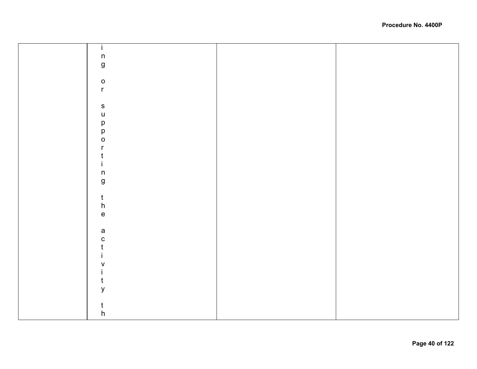| $\overline{1}$                    |  |
|-----------------------------------|--|
| $\mathsf{n}$                      |  |
| $\mathsf g$                       |  |
|                                   |  |
| $\mathsf{o}$                      |  |
| $\mathsf{r}$                      |  |
|                                   |  |
| ${\sf s}$                         |  |
| $\mathsf{u}$                      |  |
|                                   |  |
| p<br>p<br>o                       |  |
|                                   |  |
| $\mathsf{r}$                      |  |
| t                                 |  |
| $\mathbf i$                       |  |
| $\sf n$                           |  |
| $\mathsf{g}\,$                    |  |
|                                   |  |
| $\frac{t}{h}$                     |  |
|                                   |  |
| $\mathsf{e}% _{t}\left( t\right)$ |  |
|                                   |  |
| $\mathsf{a}$                      |  |
| $\mathbf{c}$                      |  |
| $\mathfrak t$                     |  |
| $\mathbf i$                       |  |
| $\mathsf V$                       |  |
| $\mathbf{i}$                      |  |
| $\mathfrak t$                     |  |
| ${\mathsf y}$                     |  |
|                                   |  |
| $\mathfrak{t}$                    |  |
| $\boldsymbol{\mathsf{h}}$         |  |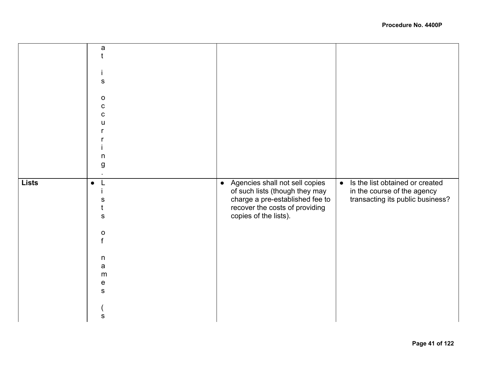|              | a            |                                             |                                              |
|--------------|--------------|---------------------------------------------|----------------------------------------------|
|              |              |                                             |                                              |
|              |              |                                             |                                              |
|              |              |                                             |                                              |
|              | s            |                                             |                                              |
|              |              |                                             |                                              |
|              | $\mathsf{o}$ |                                             |                                              |
|              | C            |                                             |                                              |
|              | C            |                                             |                                              |
|              | u            |                                             |                                              |
|              |              |                                             |                                              |
|              |              |                                             |                                              |
|              |              |                                             |                                              |
|              | n            |                                             |                                              |
|              | g            |                                             |                                              |
|              |              |                                             |                                              |
| <b>Lists</b> | $\bullet$    | Agencies shall not sell copies<br>$\bullet$ | Is the list obtained or created<br>$\bullet$ |
|              |              | of such lists (though they may              | in the course of the agency                  |
|              | s            | charge a pre-established fee to             | transacting its public business?             |
|              |              | recover the costs of providing              |                                              |
|              | s            | copies of the lists).                       |                                              |
|              |              |                                             |                                              |
|              | $\mathbf O$  |                                             |                                              |
|              | f            |                                             |                                              |
|              |              |                                             |                                              |
|              | n            |                                             |                                              |
|              | a            |                                             |                                              |
|              | m            |                                             |                                              |
|              | е            |                                             |                                              |
|              | S            |                                             |                                              |
|              |              |                                             |                                              |
|              |              |                                             |                                              |
|              | s            |                                             |                                              |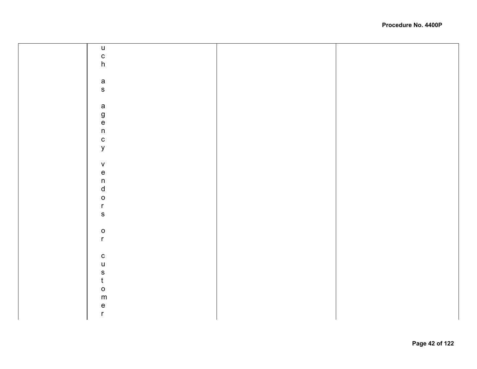| $\sf u$                                    |  |
|--------------------------------------------|--|
|                                            |  |
|                                            |  |
| $\frac{c}{h}$                              |  |
|                                            |  |
|                                            |  |
|                                            |  |
| a<br>s                                     |  |
|                                            |  |
|                                            |  |
|                                            |  |
|                                            |  |
|                                            |  |
| agency                                     |  |
|                                            |  |
|                                            |  |
|                                            |  |
|                                            |  |
| $\mathsf V$                                |  |
|                                            |  |
| $n$<br>$n$<br>$n$<br>$o$<br>$n$            |  |
|                                            |  |
|                                            |  |
|                                            |  |
|                                            |  |
|                                            |  |
| $\mathbf{s}$                               |  |
|                                            |  |
| $\mathsf{o}$                               |  |
| $\mathsf{r}$                               |  |
|                                            |  |
|                                            |  |
| $\mathtt{C}$                               |  |
|                                            |  |
| $\begin{array}{c} u \\ s \\ t \end{array}$ |  |
|                                            |  |
|                                            |  |
| $\circ$                                    |  |
| ${\sf m}$                                  |  |
|                                            |  |
| $\frac{e}{r}$                              |  |
|                                            |  |
|                                            |  |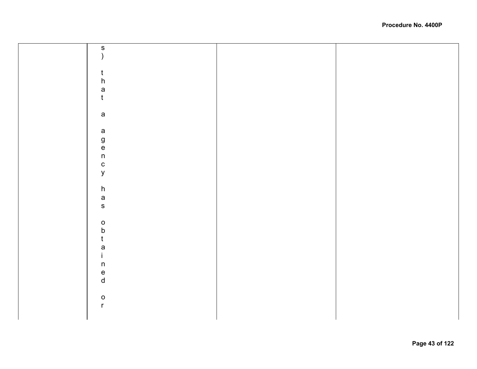|  | $\begin{array}{c} S \\ 0 \end{array}$ |  |
|--|---------------------------------------|--|
|  |                                       |  |
|  |                                       |  |
|  |                                       |  |
|  |                                       |  |
|  |                                       |  |
|  |                                       |  |
|  |                                       |  |
|  |                                       |  |
|  | $\mathsf{t}$                          |  |
|  |                                       |  |
|  |                                       |  |
|  | $\boldsymbol{\mathsf{h}}$             |  |
|  |                                       |  |
|  | $\mathsf{a}$                          |  |
|  |                                       |  |
|  |                                       |  |
|  | $\mathfrak{t}$                        |  |
|  |                                       |  |
|  |                                       |  |
|  |                                       |  |
|  |                                       |  |
|  |                                       |  |
|  | $\mathsf a$                           |  |
|  |                                       |  |
|  |                                       |  |
|  |                                       |  |
|  |                                       |  |
|  |                                       |  |
|  | $\mathsf a$                           |  |
|  |                                       |  |
|  |                                       |  |
|  |                                       |  |
|  |                                       |  |
|  | g<br>e<br>n                           |  |
|  |                                       |  |
|  |                                       |  |
|  |                                       |  |
|  |                                       |  |
|  | $\mathbf{C}$                          |  |
|  |                                       |  |
|  |                                       |  |
|  | $\mathsf{y}$                          |  |
|  |                                       |  |
|  |                                       |  |
|  |                                       |  |
|  |                                       |  |
|  | $\boldsymbol{\mathsf{h}}$             |  |
|  |                                       |  |
|  |                                       |  |
|  | $\mathsf{a}$                          |  |
|  |                                       |  |
|  | $\mathsf{s}$                          |  |
|  |                                       |  |
|  |                                       |  |
|  |                                       |  |
|  |                                       |  |
|  |                                       |  |
|  | $\mathsf{o}$                          |  |
|  |                                       |  |
|  |                                       |  |
|  | $\sf b$                               |  |
|  |                                       |  |
|  | $\mathfrak t$                         |  |
|  |                                       |  |
|  |                                       |  |
|  | $\mathsf{a}$                          |  |
|  |                                       |  |
|  |                                       |  |
|  | $\mathbf{i}$                          |  |
|  |                                       |  |
|  | $\mathsf n$                           |  |
|  |                                       |  |
|  |                                       |  |
|  |                                       |  |
|  |                                       |  |
|  |                                       |  |
|  | $\frac{e}{d}$                         |  |
|  |                                       |  |
|  |                                       |  |
|  |                                       |  |
|  |                                       |  |
|  | $\mathsf{o}$                          |  |
|  |                                       |  |
|  |                                       |  |
|  | $\mathsf{r}$                          |  |
|  |                                       |  |
|  |                                       |  |
|  |                                       |  |
|  |                                       |  |
|  |                                       |  |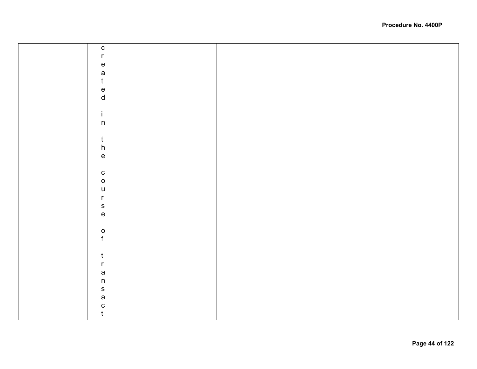| $\mathtt{C}$                              |  |
|-------------------------------------------|--|
| $\mathsf{r}$                              |  |
|                                           |  |
| e<br>a                                    |  |
| $\mathfrak t$                             |  |
|                                           |  |
| e<br>d                                    |  |
|                                           |  |
| $\mathbf i$                               |  |
| $\mathsf{n}$                              |  |
|                                           |  |
|                                           |  |
|                                           |  |
| $\begin{matrix} t \\ h \\ e \end{matrix}$ |  |
|                                           |  |
|                                           |  |
| $\begin{matrix} 0 \\ 0 \end{matrix}$      |  |
|                                           |  |
|                                           |  |
| u<br>r<br>s<br>e                          |  |
|                                           |  |
|                                           |  |
|                                           |  |
| $\frac{0}{f}$                             |  |
|                                           |  |
|                                           |  |
| $\mathbf t$                               |  |
| $\mathsf{r}$                              |  |
| $\frac{a}{n}$                             |  |
|                                           |  |
| $\mathsf{s}$                              |  |
| $\mathsf{a}$                              |  |
| $\mathbf C$                               |  |
| $\mathfrak t$                             |  |
|                                           |  |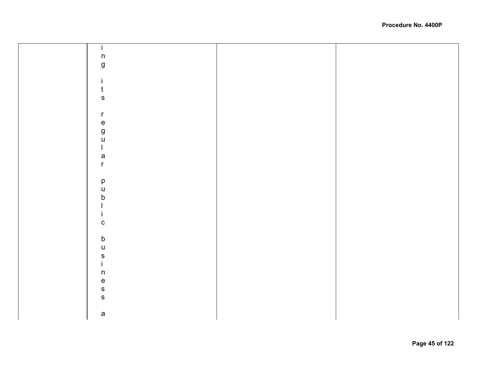| Ť.                                |  |
|-----------------------------------|--|
| $\sf n$                           |  |
|                                   |  |
| $\boldsymbol{g}$                  |  |
|                                   |  |
| j.                                |  |
| $\mathsf{t}$                      |  |
|                                   |  |
| ${\sf S}$                         |  |
|                                   |  |
| $\mathsf{r}$                      |  |
| $\mathsf{e}% _{t}\left( t\right)$ |  |
|                                   |  |
| g<br>u                            |  |
|                                   |  |
| $\mathbf{L}$                      |  |
| $\mathsf a$                       |  |
| $\mathsf{r}$                      |  |
|                                   |  |
|                                   |  |
| $\mathsf{p}% _{T}$                |  |
| $\sf U$                           |  |
| $\sf b$                           |  |
|                                   |  |
| j.                                |  |
|                                   |  |
| $\mathtt{C}$                      |  |
|                                   |  |
| $\mathsf b$                       |  |
| $\cup$                            |  |
|                                   |  |
| s<br>i                            |  |
|                                   |  |
| $\sf n$                           |  |
| $\mathsf{e}% _{t}\left( t\right)$ |  |
| $\mathbf S$                       |  |
| ${\bf S}$                         |  |
|                                   |  |
|                                   |  |
| $\mathsf{a}$                      |  |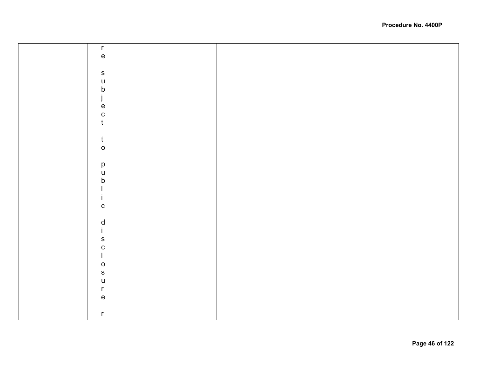| $\mathsf{r}$                                                                                                                                                                                                                                                                                                                                                                     |  |
|----------------------------------------------------------------------------------------------------------------------------------------------------------------------------------------------------------------------------------------------------------------------------------------------------------------------------------------------------------------------------------|--|
| $\mathsf{e}% _{t}\left( t\right)$                                                                                                                                                                                                                                                                                                                                                |  |
|                                                                                                                                                                                                                                                                                                                                                                                  |  |
| ${\bf S}$                                                                                                                                                                                                                                                                                                                                                                        |  |
| $\sf U$                                                                                                                                                                                                                                                                                                                                                                          |  |
| b                                                                                                                                                                                                                                                                                                                                                                                |  |
| j                                                                                                                                                                                                                                                                                                                                                                                |  |
| $\mathsf{e}% _{t}\left( t\right)$                                                                                                                                                                                                                                                                                                                                                |  |
| $\mathbf{C}$                                                                                                                                                                                                                                                                                                                                                                     |  |
| $\mathfrak t$                                                                                                                                                                                                                                                                                                                                                                    |  |
|                                                                                                                                                                                                                                                                                                                                                                                  |  |
|                                                                                                                                                                                                                                                                                                                                                                                  |  |
| $\mathsf{t}$                                                                                                                                                                                                                                                                                                                                                                     |  |
| $\mathsf{o}$                                                                                                                                                                                                                                                                                                                                                                     |  |
|                                                                                                                                                                                                                                                                                                                                                                                  |  |
| $\mathsf{p}% _{T}$                                                                                                                                                                                                                                                                                                                                                               |  |
| $\mathsf{u}%$                                                                                                                                                                                                                                                                                                                                                                    |  |
| b                                                                                                                                                                                                                                                                                                                                                                                |  |
|                                                                                                                                                                                                                                                                                                                                                                                  |  |
|                                                                                                                                                                                                                                                                                                                                                                                  |  |
| $\mathbf C$                                                                                                                                                                                                                                                                                                                                                                      |  |
|                                                                                                                                                                                                                                                                                                                                                                                  |  |
| $\frac{d}{i}$                                                                                                                                                                                                                                                                                                                                                                    |  |
|                                                                                                                                                                                                                                                                                                                                                                                  |  |
| ${\sf s}$                                                                                                                                                                                                                                                                                                                                                                        |  |
| ${\bf c}$                                                                                                                                                                                                                                                                                                                                                                        |  |
| $\begin{array}{c} \rule{0pt}{2.5ex} \rule{0pt}{2.5ex} \rule{0pt}{2.5ex} \rule{0pt}{2.5ex} \rule{0pt}{2.5ex} \rule{0pt}{2.5ex} \rule{0pt}{2.5ex} \rule{0pt}{2.5ex} \rule{0pt}{2.5ex} \rule{0pt}{2.5ex} \rule{0pt}{2.5ex} \rule{0pt}{2.5ex} \rule{0pt}{2.5ex} \rule{0pt}{2.5ex} \rule{0pt}{2.5ex} \rule{0pt}{2.5ex} \rule{0pt}{2.5ex} \rule{0pt}{2.5ex} \rule{0pt}{2.5ex} \rule{0$ |  |
| $\mathsf{o}$                                                                                                                                                                                                                                                                                                                                                                     |  |
| $\mathbf{s}$                                                                                                                                                                                                                                                                                                                                                                     |  |
| $\sf U$                                                                                                                                                                                                                                                                                                                                                                          |  |
| $\mathsf{r}$                                                                                                                                                                                                                                                                                                                                                                     |  |
| $\mathsf{e}% _{t}\left( t\right)$                                                                                                                                                                                                                                                                                                                                                |  |
|                                                                                                                                                                                                                                                                                                                                                                                  |  |
| $\mathsf{r}$                                                                                                                                                                                                                                                                                                                                                                     |  |
|                                                                                                                                                                                                                                                                                                                                                                                  |  |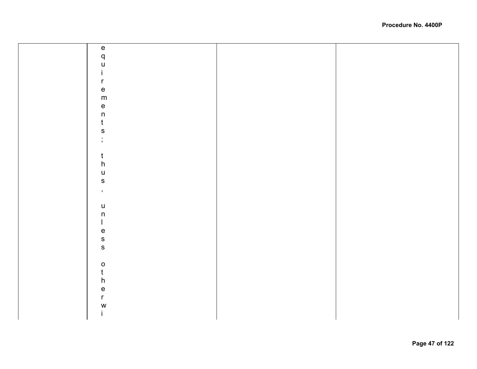| $\mathsf{e}% _{t}\left( t\right)$          |  |
|--------------------------------------------|--|
|                                            |  |
| $\begin{array}{c} q \\ u \\ i \end{array}$ |  |
|                                            |  |
| $\mathsf{r}$                               |  |
| $\mathsf{e}% _{t}\left( t\right)$          |  |
| ${\sf m}$                                  |  |
|                                            |  |
| $\frac{e}{n}$                              |  |
| $\mathfrak t$                              |  |
| $\mathbf{s}$                               |  |
| $\ddot{ }$                                 |  |
|                                            |  |
| $\mathfrak t$                              |  |
| $\boldsymbol{\mathsf{h}}$                  |  |
| $\mathsf{u}$                               |  |
| $\mathbf S$                                |  |
| $\bar{\mathbf{y}}$                         |  |
|                                            |  |
| $\mathsf{u}$                               |  |
| $\mathsf n$                                |  |
| $\mathbf{I}$                               |  |
|                                            |  |
| $rac{e}{s}$                                |  |
|                                            |  |
|                                            |  |
|                                            |  |
| $\begin{matrix} 0 \\ t \\ h \end{matrix}$  |  |
|                                            |  |
| $\frac{e}{r}$                              |  |
|                                            |  |
| W                                          |  |
| $\mathbf{i}$                               |  |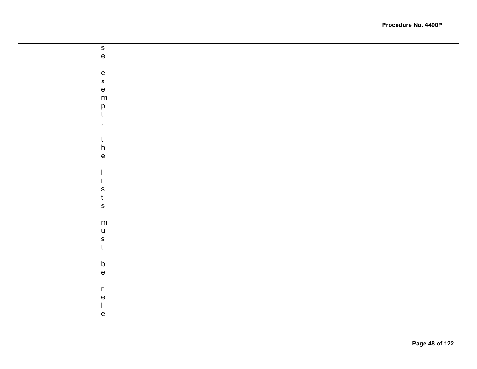| $\frac{s}{e}$                     |  |
|-----------------------------------|--|
|                                   |  |
|                                   |  |
|                                   |  |
|                                   |  |
|                                   |  |
|                                   |  |
| e<br>x<br>e<br>m                  |  |
|                                   |  |
| $_{\rm t}^{\rm p}$                |  |
|                                   |  |
|                                   |  |
| $\,$                              |  |
|                                   |  |
| $t$                               |  |
|                                   |  |
| $\frac{\mathsf{h}}{\mathsf{e}}$   |  |
|                                   |  |
|                                   |  |
| J.                                |  |
| İ.                                |  |
|                                   |  |
| $\frac{s}{t}$                     |  |
|                                   |  |
|                                   |  |
|                                   |  |
| ${\sf m}$                         |  |
| $\sf U$                           |  |
|                                   |  |
| $\frac{s}{t}$                     |  |
|                                   |  |
|                                   |  |
|                                   |  |
| $\frac{b}{e}$                     |  |
|                                   |  |
|                                   |  |
| $\mathsf{r}$                      |  |
| $\mathsf{e}\,$                    |  |
| $\overline{\mathsf{I}}$           |  |
|                                   |  |
| $\mathsf{e}% _{t}\left( t\right)$ |  |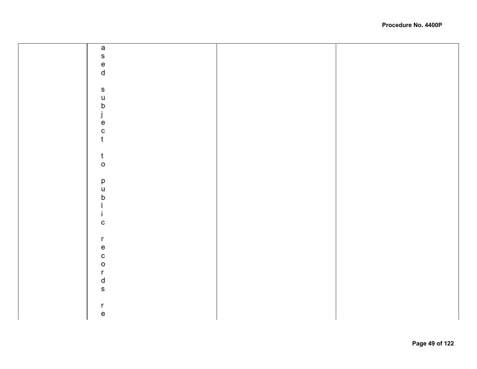| $\mathsf{a}$                                      |  |
|---------------------------------------------------|--|
| $\mathbf{s}$                                      |  |
|                                                   |  |
| $\frac{e}{d}$                                     |  |
|                                                   |  |
|                                                   |  |
| ${\sf s}$                                         |  |
| $\mathsf{u}$                                      |  |
|                                                   |  |
|                                                   |  |
| b<br>j<br>e                                       |  |
| $\mathbf c$                                       |  |
| $\mathfrak t$                                     |  |
|                                                   |  |
| $\mathbf t$                                       |  |
| $\mathsf{o}$                                      |  |
|                                                   |  |
|                                                   |  |
| p<br>u<br>b                                       |  |
|                                                   |  |
|                                                   |  |
|                                                   |  |
|                                                   |  |
| ${\bf C}$                                         |  |
|                                                   |  |
| $\mathsf{r}$                                      |  |
| $\mathsf{e}% _{t}\left( t\right)$                 |  |
| $\mathbf c$                                       |  |
| $\circ$                                           |  |
| $\mathsf{r}$                                      |  |
| $\mathsf{d}$                                      |  |
|                                                   |  |
| $\mathbf S$                                       |  |
|                                                   |  |
| $\mathsf{r}$                                      |  |
| $\mathsf{e}% _{t}\!\left( \mathcal{A}_{t}\right)$ |  |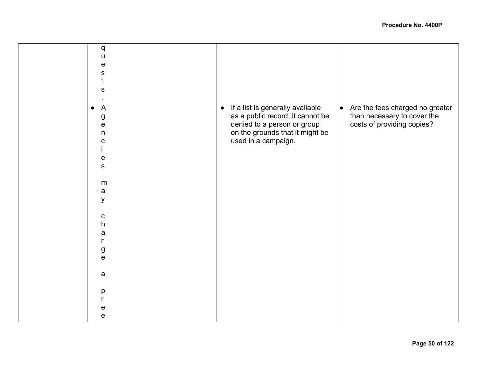| q<br>$\mathsf{u}$<br>e<br>${\bf S}$<br>t<br>${\bf S}$<br>$\overline{A}$<br>g<br>e | If a list is generally available<br>$\bullet$<br>as a public record, it cannot be<br>denied to a person or group | Are the fees charged no greater<br>$\bullet$<br>than necessary to cover the<br>costs of providing copies? |
|-----------------------------------------------------------------------------------|------------------------------------------------------------------------------------------------------------------|-----------------------------------------------------------------------------------------------------------|
| n<br>с<br>${\bf e}$<br>$\mathbf{s}$<br>m<br>$\mathsf{a}$<br>y<br>$\mathbf C$      | on the grounds that it might be<br>used in a campaign.                                                           |                                                                                                           |
| h<br>a<br>r<br>$\frac{g}{e}$                                                      |                                                                                                                  |                                                                                                           |
| $\mathsf{a}$<br>р<br>e<br>$\mathsf{e}$                                            |                                                                                                                  |                                                                                                           |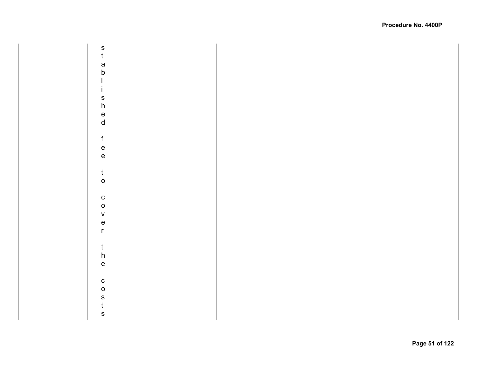$\mathsf S$ stablishedfeetocoverthecosts  $\mathbf t$ a  $\mathsf b$  $\mathbf{I}$  $\mathbf{i}$  $\mathbf{s}$  $h$  $\mathsf{e}% _{0}\left( \mathsf{e}\right)$  $\mathsf{d}$  $f$  $\mathsf{e}% _{t}\left( t\right) \equiv\mathsf{e}_{t}\left( t\right) ,$  $\mathbf{e}$  $\mathfrak{t}$  $\mathsf{o}$  $\mathbf{C}$  $\circ$  $\mathsf V$  $\mathbf{e}$  $\mathsf{r}$  $\mathfrak{t}$  $h$  $\mathsf{e}% _{0}\left( \mathsf{e}\right)$  $\mathbf{c}$  $\mathsf{o}$  $\mathbf{s}$  $\mathfrak{t}$  $\mathsf{s}$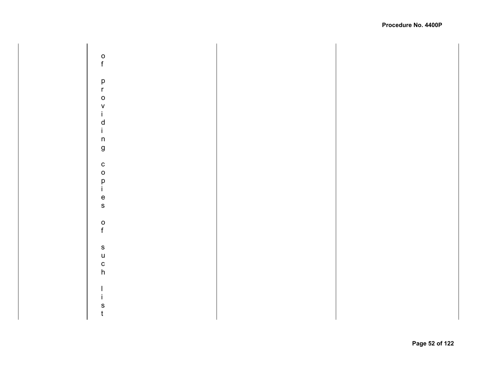$\mathsf{o}$ of providing copies of such list  $f$ p<br>r  $\circ$  $\mathsf{V}$  $\mathbf{i}$  $\mathsf{d}$  $\mathbf{i}$  $\mathsf{n}$  $\boldsymbol{g}$  $\mathbf c$  $\circ$ p<br>i  $\mathsf{e}$  $\mathsf{s}$  $\mathsf{o}$  $\mathsf f$  $\mathsf{s}$  $\mathsf{u}$  $\mathbf{c}$  $h$  $\mathbf{I}$  $\mathbf{i}$  $\mathsf S$  $\mathsf t$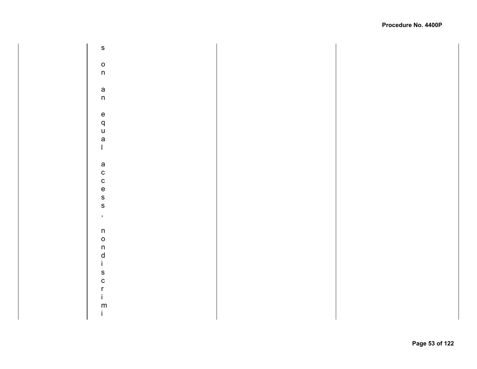${\sf s}$ sonanequalaccess,nondiscrimi  $\mathsf{o}$  $n$  $\mathsf{a}$  $n$  $\mathsf{e}% _{0}\left( \mathsf{e}\right)$  $\mathsf{q}$  $\overline{u}$ a  $\mathbf{I}$  $\mathsf{a}$  $\mathbf{c}$  $\mathbf c$  $\mathbf{e}$  $\mathsf{s}$  $\mathbf{s}$  $\bar{\mathbf{z}}$  $\sf n$  $\mathsf{o}$  $n$  $\mathsf{d}$  $\mathbf{i}$  $\mathbf{s}$  $\mathbf{c}$  $\mathsf{r}$  $\mathbf{i}$  ${\sf m}$  $\mathbf{i}$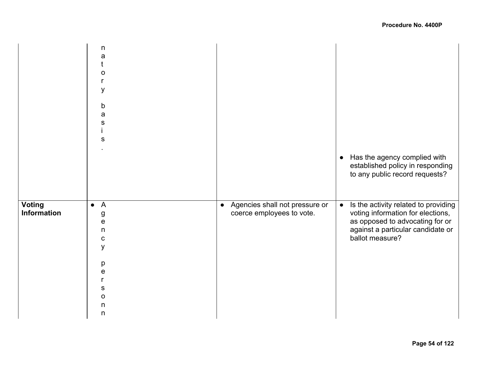|                              | n<br>a<br>0<br>y<br>$\mathsf b$<br>a<br>S<br>${\mathbb S}$                                                                             |                                                               | Has the agency complied with<br>$\bullet$<br>established policy in responding<br>to any public record requests?                                                                   |
|------------------------------|----------------------------------------------------------------------------------------------------------------------------------------|---------------------------------------------------------------|-----------------------------------------------------------------------------------------------------------------------------------------------------------------------------------|
| <b>Voting</b><br>Information | $\bullet$ A<br>g<br>$\mathsf{e}% _{t}\left( t\right)$<br>n<br>$\mathbf c$<br>y<br>p<br>е<br>r<br>s<br>O<br>$\mathsf{n}$<br>$\mathsf n$ | • Agencies shall not pressure or<br>coerce employees to vote. | Is the activity related to providing<br>$\bullet$<br>voting information for elections,<br>as opposed to advocating for or<br>against a particular candidate or<br>ballot measure? |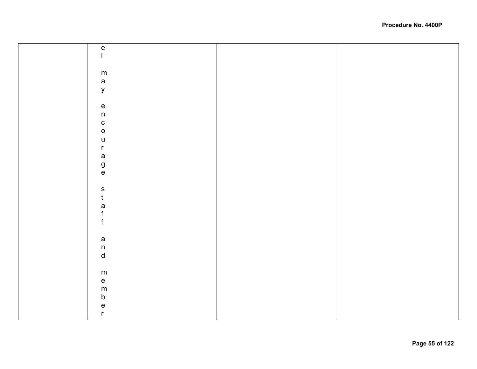| $\mathsf{e}% _{t}\left( t\right)$    |  |
|--------------------------------------|--|
|                                      |  |
|                                      |  |
|                                      |  |
|                                      |  |
| ${\sf m}$                            |  |
| $\mathsf{a}$                         |  |
|                                      |  |
| $\mathsf{y}$                         |  |
|                                      |  |
|                                      |  |
|                                      |  |
| $\frac{e}{n}$                        |  |
|                                      |  |
|                                      |  |
| $\begin{matrix} 0 \\ 0 \end{matrix}$ |  |
| $\mathsf{u}%$                        |  |
|                                      |  |
| $\mathsf{r}$                         |  |
| a<br>g<br>e                          |  |
|                                      |  |
|                                      |  |
|                                      |  |
|                                      |  |
|                                      |  |
|                                      |  |
| $\frac{\mathsf{s}}{\mathsf{t}}$      |  |
|                                      |  |
| a<br>f<br>f                          |  |
|                                      |  |
|                                      |  |
|                                      |  |
|                                      |  |
|                                      |  |
| a<br>n<br>d                          |  |
|                                      |  |
|                                      |  |
|                                      |  |
|                                      |  |
| ${\sf m}$                            |  |
| $\mathsf{e}% _{t}\left( t\right)$    |  |
|                                      |  |
| ${\sf m}$                            |  |
| $\mathsf b$                          |  |
|                                      |  |
| $\mathsf{e}% _{t}\left( t\right)$    |  |
| $\mathsf{r}$                         |  |
|                                      |  |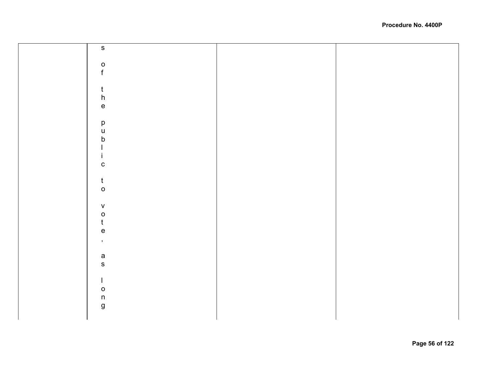| ${\bf S}$                                             |  |
|-------------------------------------------------------|--|
|                                                       |  |
|                                                       |  |
| $\frac{0}{f}$                                         |  |
|                                                       |  |
|                                                       |  |
| $\mathfrak{t}$                                        |  |
| $\boldsymbol{\mathsf{h}}$                             |  |
| $\mathbf{e}% _{0}\in \mathbb{R}^{d}\times \mathbb{R}$ |  |
|                                                       |  |
| $\mathsf{p}% _{T}$                                    |  |
| $\sf u$                                               |  |
| $\sf b$                                               |  |
|                                                       |  |
|                                                       |  |
|                                                       |  |
| $\mathbf{C}$                                          |  |
|                                                       |  |
| $\mathfrak{t}$                                        |  |
| $\mathsf{o}$                                          |  |
|                                                       |  |
| ${\mathsf V}$                                         |  |
| $\mathsf{o}$                                          |  |
| $\mathbf t$                                           |  |
| $\mathsf{e}% _{t}\left( t\right)$                     |  |
|                                                       |  |
| $\mathcal{F}$                                         |  |
|                                                       |  |
| $\mathsf a$                                           |  |
| ${\sf S}$                                             |  |
|                                                       |  |
| $\mathbf{I}$                                          |  |
| $\mathsf{o}$                                          |  |
| $\sf n$                                               |  |
| $\boldsymbol{g}$                                      |  |
|                                                       |  |
|                                                       |  |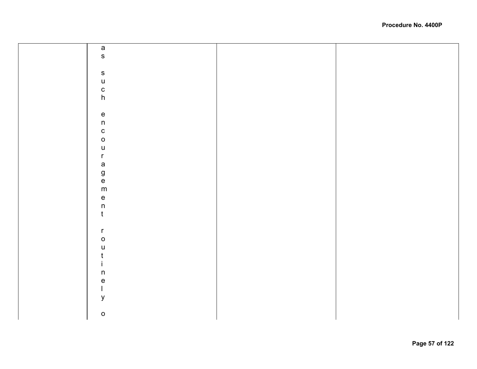|  | a<br>s                               |  |
|--|--------------------------------------|--|
|  |                                      |  |
|  |                                      |  |
|  |                                      |  |
|  | such                                 |  |
|  |                                      |  |
|  |                                      |  |
|  |                                      |  |
|  | $\frac{e}{n}$                        |  |
|  |                                      |  |
|  |                                      |  |
|  | $\begin{matrix} 0 \\ 0 \end{matrix}$ |  |
|  |                                      |  |
|  | u<br>r                               |  |
|  |                                      |  |
|  |                                      |  |
|  |                                      |  |
|  | a<br>g<br>e<br>m                     |  |
|  |                                      |  |
|  |                                      |  |
|  | $\frac{e}{n}$                        |  |
|  |                                      |  |
|  |                                      |  |
|  | $\mathsf{r}$                         |  |
|  | $\circ$                              |  |
|  | $\mathsf{u}$                         |  |
|  |                                      |  |
|  |                                      |  |
|  | t<br>ine<br>l                        |  |
|  |                                      |  |
|  |                                      |  |
|  | $\mathsf{y}$                         |  |
|  |                                      |  |
|  | $\mathsf{o}$                         |  |
|  |                                      |  |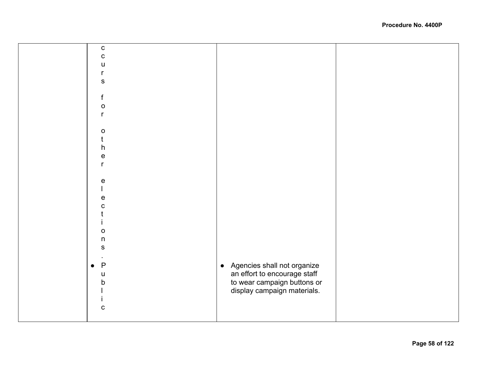| ${\bf C}$                         |                                                             |  |
|-----------------------------------|-------------------------------------------------------------|--|
| $\mathbf C$                       |                                                             |  |
| u                                 |                                                             |  |
|                                   |                                                             |  |
| r                                 |                                                             |  |
| ${\sf S}$                         |                                                             |  |
|                                   |                                                             |  |
| f                                 |                                                             |  |
| $\mathbf O$                       |                                                             |  |
| $\mathsf{r}$                      |                                                             |  |
|                                   |                                                             |  |
|                                   |                                                             |  |
| $\mathbf O$                       |                                                             |  |
| t                                 |                                                             |  |
| $\boldsymbol{\mathsf{h}}$         |                                                             |  |
| $\mathsf{e}% _{t}\left( t\right)$ |                                                             |  |
| $\mathsf{r}$                      |                                                             |  |
|                                   |                                                             |  |
| ${\mathsf e}$                     |                                                             |  |
|                                   |                                                             |  |
|                                   |                                                             |  |
| ${\bf e}$                         |                                                             |  |
| $\mathbf C$                       |                                                             |  |
|                                   |                                                             |  |
|                                   |                                                             |  |
| $\mathsf O$                       |                                                             |  |
| $\sf n$                           |                                                             |  |
| ${\sf S}$                         |                                                             |  |
|                                   |                                                             |  |
|                                   |                                                             |  |
| $\mathsf{P}$<br>$\bullet$         | $\bullet$                                                   |  |
| $\sf U$                           | Agencies shall not organize<br>an effort to encourage staff |  |
| b                                 | to wear campaign buttons or                                 |  |
|                                   | display campaign materials.                                 |  |
|                                   |                                                             |  |
|                                   |                                                             |  |
| $\mathbf C$                       |                                                             |  |
|                                   |                                                             |  |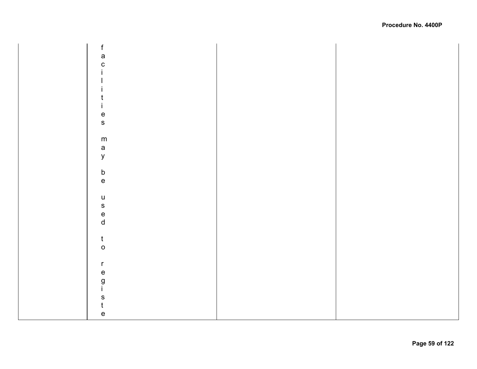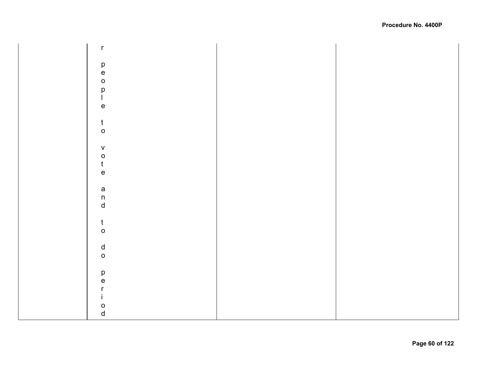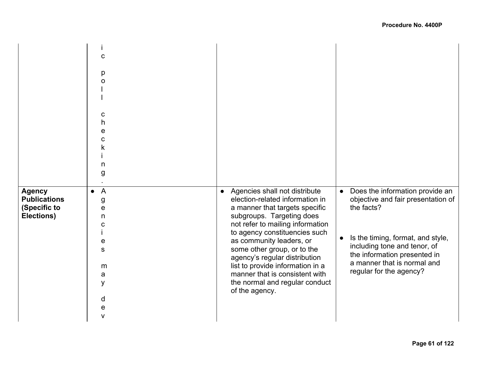|                                                                    | C<br>р<br>С<br>h<br>е<br>n<br>g                                                         |                                                                                                                                                                                                                                                                                                                                                                                                                                         |                                                                                                                                                                                                                                                                              |
|--------------------------------------------------------------------|-----------------------------------------------------------------------------------------|-----------------------------------------------------------------------------------------------------------------------------------------------------------------------------------------------------------------------------------------------------------------------------------------------------------------------------------------------------------------------------------------------------------------------------------------|------------------------------------------------------------------------------------------------------------------------------------------------------------------------------------------------------------------------------------------------------------------------------|
| <b>Agency</b><br><b>Publications</b><br>(Specific to<br>Elections) | $\overline{A}$<br>$\bullet$<br>g<br>е<br>n<br>С<br>е<br>S<br>m<br>a<br>y<br>d<br>e<br>۷ | Agencies shall not distribute<br>$\bullet$<br>election-related information in<br>a manner that targets specific<br>subgroups. Targeting does<br>not refer to mailing information<br>to agency constituencies such<br>as community leaders, or<br>some other group, or to the<br>agency's regular distribution<br>list to provide information in a<br>manner that is consistent with<br>the normal and regular conduct<br>of the agency. | Does the information provide an<br>$\bullet$<br>objective and fair presentation of<br>the facts?<br>Is the timing, format, and style,<br>$\bullet$<br>including tone and tenor, of<br>the information presented in<br>a manner that is normal and<br>regular for the agency? |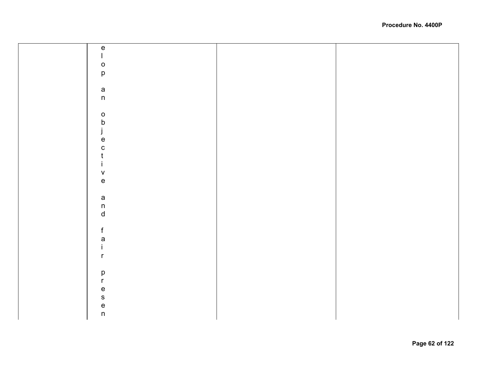| ${\bf e}$                         |  |
|-----------------------------------|--|
| L                                 |  |
|                                   |  |
| $\circ$                           |  |
| $\mathsf{p}% _{T}=\mathsf{p}_{T}$ |  |
|                                   |  |
| $\mathsf a$                       |  |
| $\sf n$                           |  |
|                                   |  |
|                                   |  |
| $\mathsf{o}$                      |  |
| $\mathsf b$                       |  |
| j                                 |  |
| $\mathsf{e}% _{t}\left( t\right)$ |  |
|                                   |  |
| $\mathbf C$                       |  |
| $\mathfrak t$                     |  |
| $\mathbf i$                       |  |
| $\mathsf{V}$                      |  |
| $\mathsf{e}% _{t}\left( t\right)$ |  |
|                                   |  |
|                                   |  |
| $\mathsf{a}$                      |  |
| $\sf n$                           |  |
| $\operatorname{\mathsf{d}}$       |  |
|                                   |  |
| $\mathsf f$                       |  |
|                                   |  |
| $\mathsf{a}$                      |  |
| $\mathbf i$                       |  |
| $\mathsf{r}$                      |  |
|                                   |  |
|                                   |  |
| $\mathsf{p}% _{T}\left( t\right)$ |  |
| $\mathsf{r}$                      |  |
| $\mathsf{e}% _{t}\left( t\right)$ |  |
| $\mathsf{s}$                      |  |
|                                   |  |
| $\frac{e}{n}$                     |  |
|                                   |  |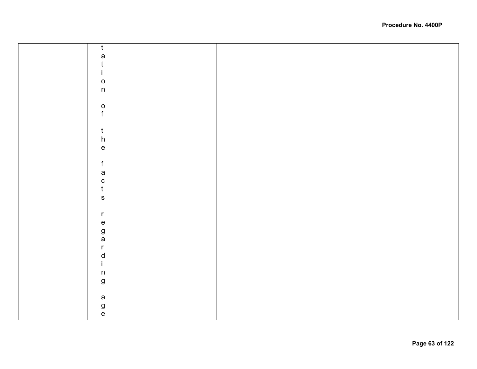| $\mathfrak{t}$                    |  |
|-----------------------------------|--|
|                                   |  |
| a<br>t                            |  |
| İ.                                |  |
| $\mathsf{o}$                      |  |
| $\mathsf{n}$                      |  |
|                                   |  |
|                                   |  |
| $\frac{0}{f}$                     |  |
|                                   |  |
|                                   |  |
| $\frac{t}{h}$                     |  |
| $\mathsf{e}% _{t}\left( t\right)$ |  |
|                                   |  |
| $\mathsf f$                       |  |
| a<br>c<br>t<br>s                  |  |
|                                   |  |
|                                   |  |
|                                   |  |
|                                   |  |
| $\mathsf{r}$                      |  |
|                                   |  |
| e<br>g<br>a                       |  |
|                                   |  |
| $\mathsf{r}$                      |  |
| $\mathsf{d}$                      |  |
| $\mathbf{i}$                      |  |
| $\mathsf{n}$                      |  |
| $\mathsf g$                       |  |
|                                   |  |
| a<br>g<br>e                       |  |
|                                   |  |
|                                   |  |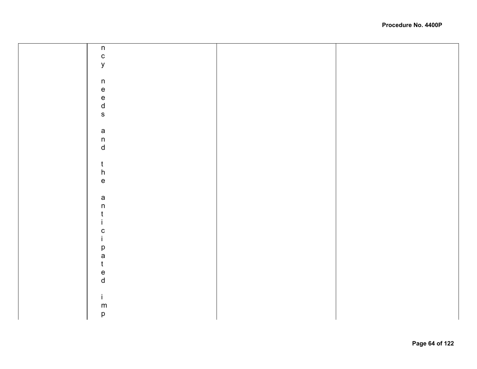| $\mathsf{n}$                      |  |
|-----------------------------------|--|
| $\mathbf{C}$                      |  |
|                                   |  |
| $\mathsf{y}$                      |  |
|                                   |  |
| $\sf n$                           |  |
|                                   |  |
|                                   |  |
|                                   |  |
| e<br>e<br>d<br>s                  |  |
|                                   |  |
|                                   |  |
|                                   |  |
|                                   |  |
| a<br>n<br>d                       |  |
|                                   |  |
|                                   |  |
| $\mathbf t$                       |  |
| $\boldsymbol{\mathsf{h}}$         |  |
| $\mathsf{e}% _{t}\left( t\right)$ |  |
|                                   |  |
|                                   |  |
| a<br>n                            |  |
| t                                 |  |
|                                   |  |
|                                   |  |
| $\mathbf C$                       |  |
|                                   |  |
| p                                 |  |
| $\mathsf{a}$                      |  |
| $\mathfrak t$                     |  |
|                                   |  |
| e<br>d                            |  |
|                                   |  |
|                                   |  |
| $\mathbf{i}$                      |  |
| ${\sf m}$                         |  |
| $\mathsf{p}% _{T}=\mathsf{p}_{T}$ |  |
|                                   |  |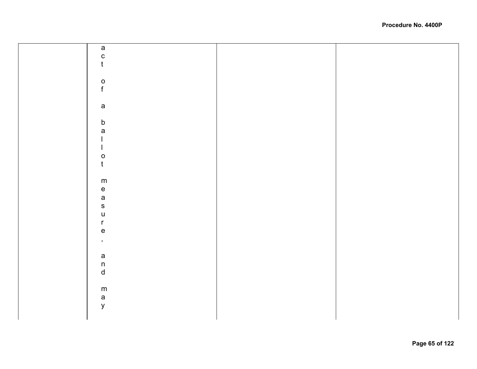| $\mathsf a$                           |  |
|---------------------------------------|--|
|                                       |  |
| $\mathbf{C}$                          |  |
|                                       |  |
| $\mathsf{t}$                          |  |
|                                       |  |
|                                       |  |
|                                       |  |
|                                       |  |
|                                       |  |
| $\frac{0}{f}$                         |  |
|                                       |  |
|                                       |  |
|                                       |  |
|                                       |  |
| $\mathsf{a}$                          |  |
|                                       |  |
|                                       |  |
|                                       |  |
| $\mathsf b$                           |  |
|                                       |  |
|                                       |  |
| $\mathsf a$                           |  |
|                                       |  |
|                                       |  |
|                                       |  |
|                                       |  |
|                                       |  |
|                                       |  |
| $\mathsf{o}$                          |  |
|                                       |  |
| $\mathfrak{t}$                        |  |
|                                       |  |
|                                       |  |
|                                       |  |
| ${\sf m}$                             |  |
|                                       |  |
| $\mathsf{e}% _{t}\left( t_{0}\right)$ |  |
|                                       |  |
| $\mathsf{a}$                          |  |
|                                       |  |
|                                       |  |
| ${\mathsf s}$                         |  |
|                                       |  |
| $\sf U$                               |  |
|                                       |  |
| $\mathsf{r}$                          |  |
|                                       |  |
| $\mathsf{e}% _{t}\left( t\right)$     |  |
|                                       |  |
|                                       |  |
| $\overline{\phantom{a}}$              |  |
|                                       |  |
|                                       |  |
|                                       |  |
| $\mathsf a$                           |  |
|                                       |  |
| $\mathsf n$                           |  |
|                                       |  |
| $\operatorname{\mathsf{d}}$           |  |
|                                       |  |
|                                       |  |
|                                       |  |
|                                       |  |
| ${\sf m}$                             |  |
|                                       |  |
|                                       |  |
|                                       |  |
| a<br>y                                |  |
|                                       |  |
|                                       |  |
|                                       |  |
|                                       |  |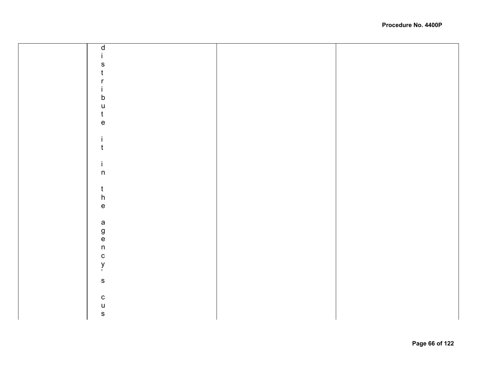| ${\sf d}$                             |  |
|---------------------------------------|--|
|                                       |  |
| S                                     |  |
| $\mathfrak t$                         |  |
| r                                     |  |
|                                       |  |
| İ.                                    |  |
| $\mathsf b$                           |  |
| $\mathsf{U}$                          |  |
|                                       |  |
| $\frac{t}{e}$                         |  |
|                                       |  |
| $\mathbf i$                           |  |
| $\mathsf t$                           |  |
|                                       |  |
| $\mathbf i$                           |  |
| $\sf n$                               |  |
|                                       |  |
|                                       |  |
|                                       |  |
| t<br>h<br>e                           |  |
|                                       |  |
|                                       |  |
|                                       |  |
|                                       |  |
| a<br>g<br>e<br>n                      |  |
|                                       |  |
|                                       |  |
| $\begin{array}{c} c \\ y \end{array}$ |  |
|                                       |  |
| $\mathbf S$                           |  |
|                                       |  |
|                                       |  |
| c<br>u<br>s                           |  |
|                                       |  |
|                                       |  |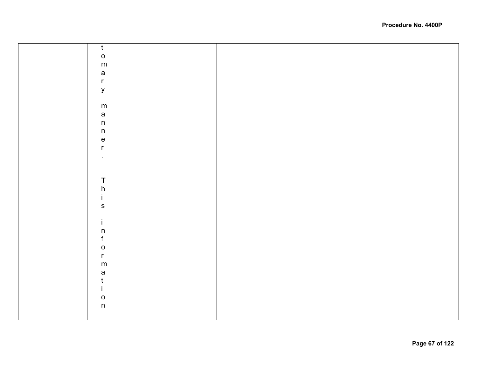|  | $\mathsf{t}$                      |  |
|--|-----------------------------------|--|
|  |                                   |  |
|  | $\mathsf{o}$                      |  |
|  | ${\sf m}$                         |  |
|  |                                   |  |
|  | $\mathsf{a}$                      |  |
|  |                                   |  |
|  | $\mathsf{r}$                      |  |
|  | $\mathsf{y}$                      |  |
|  |                                   |  |
|  |                                   |  |
|  |                                   |  |
|  | ${\sf m}$                         |  |
|  | $\mathsf{a}$                      |  |
|  |                                   |  |
|  | $\mathsf n$                       |  |
|  | $\mathsf n$                       |  |
|  |                                   |  |
|  | $\mathsf{e}% _{t}\left( t\right)$ |  |
|  | $\mathsf{r}$                      |  |
|  |                                   |  |
|  | $\bullet$                         |  |
|  |                                   |  |
|  |                                   |  |
|  |                                   |  |
|  |                                   |  |
|  | $\sf T$                           |  |
|  | $\frac{h}{i}$                     |  |
|  |                                   |  |
|  |                                   |  |
|  |                                   |  |
|  | ${\sf s}$                         |  |
|  |                                   |  |
|  |                                   |  |
|  | $\mathbf{i}$                      |  |
|  | $\mathsf n$                       |  |
|  |                                   |  |
|  | f                                 |  |
|  | $\mathsf{o}$                      |  |
|  |                                   |  |
|  | $\mathsf{r}$                      |  |
|  | ${\sf m}$                         |  |
|  |                                   |  |
|  | $\mathsf a$                       |  |
|  | t                                 |  |
|  |                                   |  |
|  | $\mathbf{L}$                      |  |
|  |                                   |  |
|  | $\mathsf{o}$                      |  |
|  | n                                 |  |
|  |                                   |  |
|  |                                   |  |
|  |                                   |  |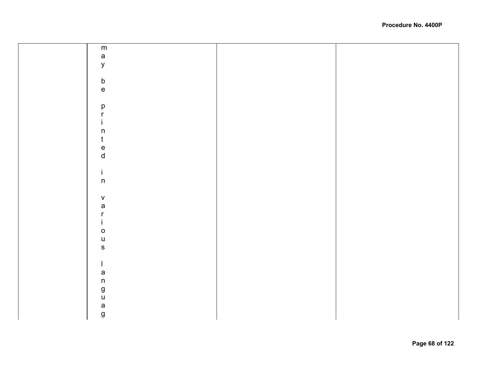| ${\sf m}$                         |  |
|-----------------------------------|--|
| $\mathsf{a}$                      |  |
| $\mathsf{y}$                      |  |
|                                   |  |
|                                   |  |
| $\mathsf b$                       |  |
| $\mathsf{e}% _{t}\left( t\right)$ |  |
|                                   |  |
| $\mathsf{p}% _{T}$                |  |
| r                                 |  |
|                                   |  |
| $\sf n$                           |  |
| $\mathsf t$                       |  |
|                                   |  |
| $\frac{e}{d}$                     |  |
|                                   |  |
|                                   |  |
| İ.                                |  |
| $\sf n$                           |  |
|                                   |  |
| ${\mathsf V}$                     |  |
| a                                 |  |
| r                                 |  |
|                                   |  |
| $\mathsf O$                       |  |
| $\mathsf{u}$                      |  |
| ${\sf s}$                         |  |
|                                   |  |
|                                   |  |
|                                   |  |
| $\mathsf a$                       |  |
| $\mathsf n$                       |  |
| g<br>u                            |  |
|                                   |  |
| a                                 |  |
| $\boldsymbol{g}$                  |  |
|                                   |  |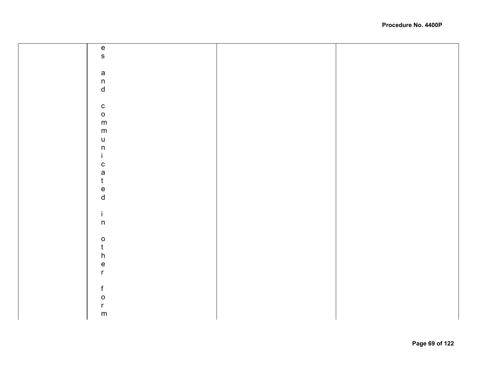| $\frac{e}{s}$                             |  |
|-------------------------------------------|--|
|                                           |  |
|                                           |  |
|                                           |  |
| a<br>n<br>d                               |  |
|                                           |  |
|                                           |  |
| $\mathbf{c}$                              |  |
| $\mathsf{o}$                              |  |
| ${\sf m}$                                 |  |
| ${\sf m}$                                 |  |
| $\mathsf{u}%$                             |  |
| $\sf n$                                   |  |
| $\mathbf i$                               |  |
|                                           |  |
| c<br>a<br>t<br>e<br>d                     |  |
|                                           |  |
|                                           |  |
|                                           |  |
|                                           |  |
|                                           |  |
| $\mathbf i$                               |  |
| $\sf n$                                   |  |
|                                           |  |
| $\begin{matrix} 0 \\ t \\ h \end{matrix}$ |  |
|                                           |  |
|                                           |  |
|                                           |  |
| $\frac{e}{r}$                             |  |
|                                           |  |
| $\mathsf f$                               |  |
|                                           |  |
|                                           |  |
| o<br>r<br>m                               |  |
|                                           |  |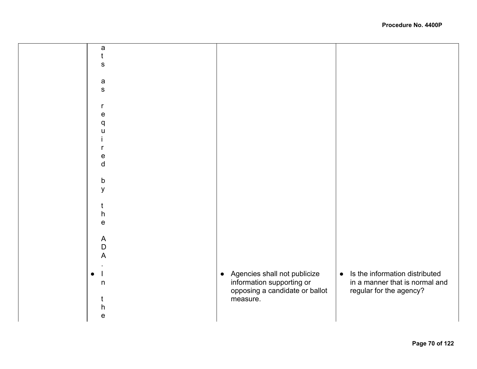| a              |                                           |                                             |
|----------------|-------------------------------------------|---------------------------------------------|
|                |                                           |                                             |
| ${\mathbb S}$  |                                           |                                             |
|                |                                           |                                             |
|                |                                           |                                             |
| $\mathsf{a}$   |                                           |                                             |
| ${\mathbb S}$  |                                           |                                             |
|                |                                           |                                             |
| r              |                                           |                                             |
| e              |                                           |                                             |
| q              |                                           |                                             |
| $\mathbf{H}$   |                                           |                                             |
|                |                                           |                                             |
|                |                                           |                                             |
|                |                                           |                                             |
| e              |                                           |                                             |
| $\sf d$        |                                           |                                             |
|                |                                           |                                             |
| b              |                                           |                                             |
| y              |                                           |                                             |
|                |                                           |                                             |
|                |                                           |                                             |
| h              |                                           |                                             |
| $\mathbf e$    |                                           |                                             |
|                |                                           |                                             |
|                |                                           |                                             |
| $\mathsf{A}$   |                                           |                                             |
| $\mathsf D$    |                                           |                                             |
| $\overline{A}$ |                                           |                                             |
|                |                                           |                                             |
| $\bullet$      | Agencies shall not publicize<br>$\bullet$ | Is the information distributed<br>$\bullet$ |
| $\sf n$        | information supporting or                 | in a manner that is normal and              |
|                | opposing a candidate or ballot            | regular for the agency?                     |
|                | measure.                                  |                                             |
|                |                                           |                                             |
| h              |                                           |                                             |
| $\mathsf{e}$   |                                           |                                             |
|                |                                           |                                             |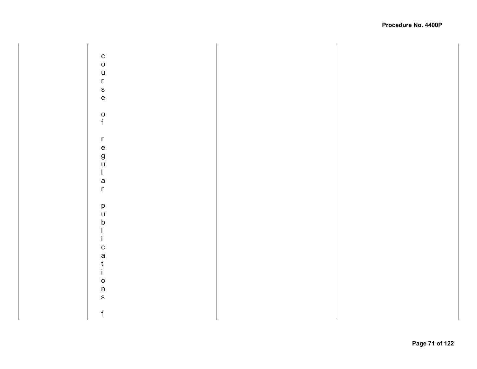$\mathbf{C}$ courseofregularpublicationsf  $\circ$  $\mathsf{u}$  $\mathsf{r}$  $\mathbf S$  $\mathsf{e}% _{0}\left( \mathsf{e}\right)$  $\mathsf{o}$  $f$  $\mathsf{r}$  $\mathbf e$ g<br>u  $\mathbf{I}$ a  $\mathsf{r}$  $\mathsf{p}$  $\mathsf{u}$  $\mathsf b$  $\begin{array}{c} \hline \end{array}$  $\mathbf{i}$  $\mathbf c$ a  $\mathfrak{t}$  $\mathbf{i}$  $\mathsf{o}$  $n$  $\mathbf S$  $\mathsf f$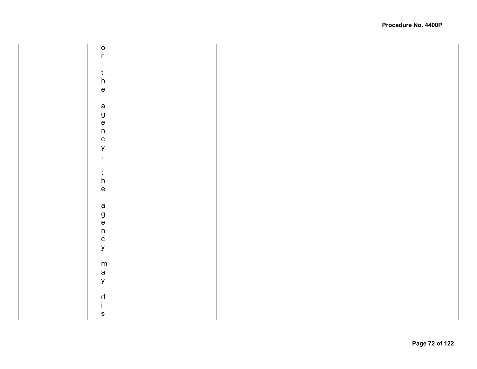$\circ$ ortheagency,theagencymaydis  $\mathsf{r}$  $\frac{t}{h}$  $\mathsf{e}% _{0}\left( \mathsf{e}\right)$  $\mathsf{a}$  $\frac{g}{e}$  $n$  $\mathbf c$  $\mathsf{y}$  $\mathbf{r}$  $\mathfrak{t}$  $\boldsymbol{\mathsf{h}}$  $\mathsf{e}% _{0}\left( \mathsf{e}\right)$  $\mathsf{a}$  $\frac{g}{e}$  $\sf n$  $\mathbf{c}$  $\mathsf{y}$  ${\sf m}$  $\mathsf{a}$  $\mathsf{y}$  $\begin{matrix} d \\ i \end{matrix}$  $\mathsf{s}$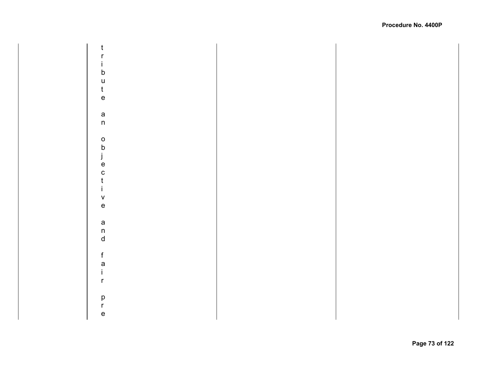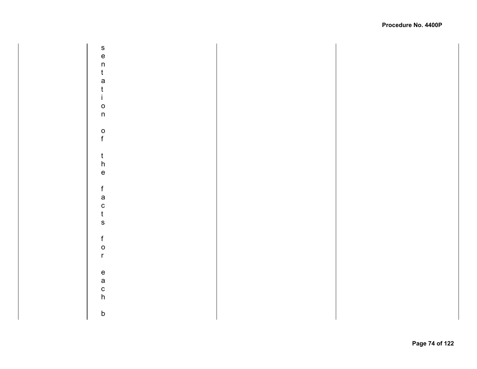s<br>e sentationofthefactsforeachb  $\mathsf{n}$  $\mathbf t$ a  $\mathfrak{t}$  $\mathbf{i}$  $\circ$  $n$  $\frac{0}{f}$  $\frac{t}{h}$  $\mathsf{e}% _{0}\left( \mathsf{e}\right)$  $\mathsf f$ a  $\mathbf c$  $\mathfrak t$  $\mathsf{s}$  $f$  $\circ$  $\mathsf{r}$  $\mathsf{e}% _{t}\left( t\right)$  $\mathsf{a}$  $\mathbf c$  $h$  $\sf b$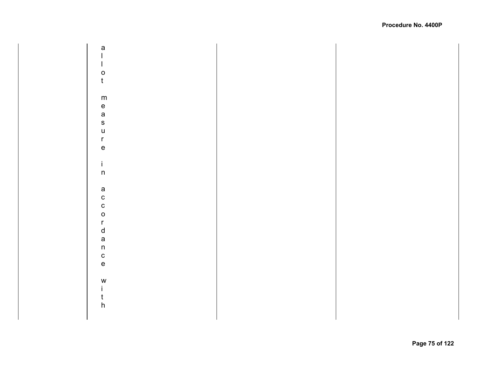a allotmeasureinaccordancewith  $\mathbf{I}$  $\mathbf{I}$  $\circ$  $\mathbf t$  ${\sf m}$  $\mathsf{e}% _{0}\left( \mathsf{e}\right)$ a  $\mathsf{s}$  $\overline{u}$  $\mathsf{r}$  $\mathsf{e}% _{0}\left( \mathsf{e}\right)$  $\mathbf{i}$  $\sf n$  $\mathsf a$  $\mathbf{c}$  $\mathbf c$  $\circ$  $\mathsf{r}$  $\mathsf{d}$  $\mathsf{a}$  $n$  $\mathbf{c}$  $\mathsf{e}% _{0}\left( \mathsf{e}\right)$ W  $\mathbf{i}$  $\mathbf t$  $\boldsymbol{\mathsf{h}}$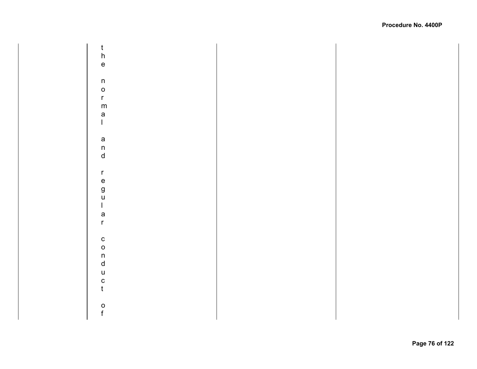$\frac{t}{h}$ thenormalandregularconductof  $\mathbf{e}% _{0}\in \mathbf{P}_{0}$  $n$  $\circ$  $\mathsf{r}$  ${\sf m}$ a  $\mathbf{L}$  $\mathsf a$  $\sf n$  $\sf d$  $\mathsf{r}$  $\mathsf{e}$ g<br>u  $\mathbf{I}$ a  $\mathsf{r}$  $\mathbf{C}$  $\circ$  $\mathsf{n}$  $\mathsf{d}$  $\mathsf{u}$  $\mathbf{c}$  $\mathbf t$  $\frac{0}{f}$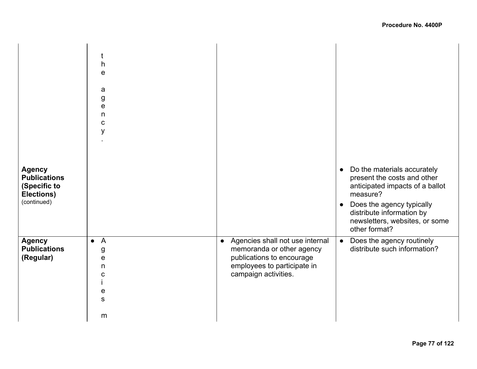| <b>Agency</b><br><b>Publications</b><br>(Specific to<br>Elections)<br>(continued) | t<br>h<br>e<br>a<br>g<br>e<br>n<br>$\mathbf C$<br>У                              |                                                                                                                                                               | Do the materials accurately<br>$\bullet$<br>present the costs and other<br>anticipated impacts of a ballot<br>measure?<br>Does the agency typically<br>$\bullet$<br>distribute information by<br>newsletters, websites, or some<br>other format? |
|-----------------------------------------------------------------------------------|----------------------------------------------------------------------------------|---------------------------------------------------------------------------------------------------------------------------------------------------------------|--------------------------------------------------------------------------------------------------------------------------------------------------------------------------------------------------------------------------------------------------|
| <b>Agency</b><br><b>Publications</b><br>(Regular)                                 | $\overline{A}$<br>$\bullet$<br>g<br>e<br>n<br>$\mathbf C$<br>e<br>${\bf S}$<br>m | Agencies shall not use internal<br>$\bullet$<br>memoranda or other agency<br>publications to encourage<br>employees to participate in<br>campaign activities. | Does the agency routinely<br>$\bullet$<br>distribute such information?                                                                                                                                                                           |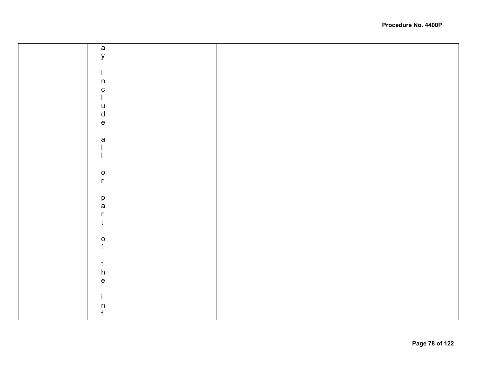| $\mathsf{a}$                                                          |  |
|-----------------------------------------------------------------------|--|
| $\mathsf y$                                                           |  |
|                                                                       |  |
| $\mathbf i$                                                           |  |
| $\sf n$                                                               |  |
| ${\bf C}$                                                             |  |
| $\mathbf{I}$                                                          |  |
|                                                                       |  |
| $\frac{u}{d}$                                                         |  |
|                                                                       |  |
|                                                                       |  |
|                                                                       |  |
| $\mathsf{a}$                                                          |  |
|                                                                       |  |
|                                                                       |  |
|                                                                       |  |
| $\mathsf{o}$                                                          |  |
| $\mathsf{r}$                                                          |  |
|                                                                       |  |
| p<br>a                                                                |  |
|                                                                       |  |
| $\mathsf{r}$                                                          |  |
| $\mathfrak{t}$                                                        |  |
|                                                                       |  |
| $\frac{0}{f}$                                                         |  |
|                                                                       |  |
|                                                                       |  |
| $\mathfrak{t}$                                                        |  |
| $\mathsf{h}%$                                                         |  |
| $\mathsf{e}% _{t}\left( t\right) \equiv\mathsf{e}_{t}\left( t\right)$ |  |
|                                                                       |  |
| $\mathbf i$                                                           |  |
| $\begin{matrix} n \\ f \end{matrix}$                                  |  |
|                                                                       |  |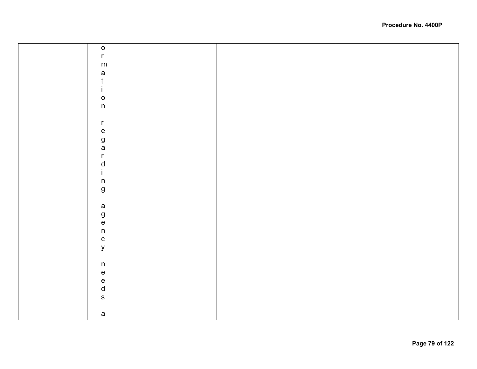| $\mathsf{o}$     |  |
|------------------|--|
| $\mathsf{r}$     |  |
| ${\sf m}$        |  |
|                  |  |
| a<br>t<br>i      |  |
|                  |  |
|                  |  |
| $\mathsf{o}$     |  |
| $\mathsf{n}$     |  |
|                  |  |
| $\mathsf{r}$     |  |
|                  |  |
| e<br>g<br>a      |  |
|                  |  |
|                  |  |
|                  |  |
| $\frac{r}{d}$    |  |
|                  |  |
| $\mathsf n$      |  |
| $\boldsymbol{g}$ |  |
|                  |  |
| $\mathsf{a}$     |  |
|                  |  |
|                  |  |
| g<br>e<br>n      |  |
| $\mathtt{C}$     |  |
| $\mathsf{y}$     |  |
|                  |  |
|                  |  |
| $\mathsf n$      |  |
|                  |  |
|                  |  |
| e<br>e<br>d<br>s |  |
|                  |  |
|                  |  |
| $\mathsf a$      |  |
|                  |  |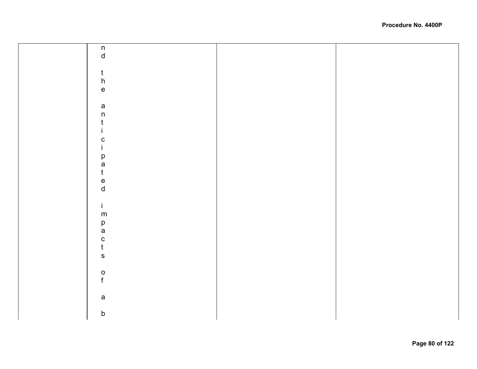| $\begin{array}{c} \mathsf{n} \\ \mathsf{d} \end{array}$ |  |
|---------------------------------------------------------|--|
|                                                         |  |
|                                                         |  |
|                                                         |  |
|                                                         |  |
| $\mathsf{t}$                                            |  |
| ${\sf h}$                                               |  |
|                                                         |  |
| $\mathsf{e}% _{t}\left( t\right)$                       |  |
|                                                         |  |
|                                                         |  |
| $\mathsf a$                                             |  |
| $\sf n$                                                 |  |
|                                                         |  |
| t                                                       |  |
|                                                         |  |
|                                                         |  |
| C                                                       |  |
| L                                                       |  |
|                                                         |  |
| p                                                       |  |
| a                                                       |  |
| $\mathsf{t}$                                            |  |
|                                                         |  |
| $\frac{e}{d}$                                           |  |
|                                                         |  |
|                                                         |  |
|                                                         |  |
| İ.                                                      |  |
|                                                         |  |
| ${\sf m}$                                               |  |
|                                                         |  |
| p<br>a                                                  |  |
|                                                         |  |
|                                                         |  |
|                                                         |  |
| $\frac{c}{t}$                                           |  |
| $\mathbf s$                                             |  |
|                                                         |  |
|                                                         |  |
| $\mathsf{o}$                                            |  |
| $\mathbf{f}$                                            |  |
|                                                         |  |
|                                                         |  |
|                                                         |  |
| $\mathsf a$                                             |  |
|                                                         |  |
| $\mathsf b$                                             |  |
|                                                         |  |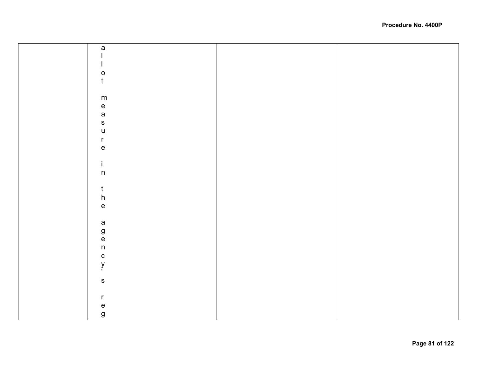| $\mathsf a$                           |  |
|---------------------------------------|--|
|                                       |  |
|                                       |  |
| $\mathsf{o}$                          |  |
| $\mathsf{t}$                          |  |
|                                       |  |
|                                       |  |
| ${\sf m}$                             |  |
| e<br>a                                |  |
|                                       |  |
| $\mathbf{s}$                          |  |
| $\mathsf{u}%$                         |  |
| $\mathsf{r}$                          |  |
|                                       |  |
| $\mathsf{e}% _{t}\left( t\right)$     |  |
|                                       |  |
| $\mathbf i$                           |  |
| $\sf n$                               |  |
|                                       |  |
|                                       |  |
| $\frac{t}{h}$                         |  |
| $\mathsf{e}% _{t}\left( t\right)$     |  |
|                                       |  |
|                                       |  |
|                                       |  |
|                                       |  |
| a<br>g<br>n<br>n                      |  |
|                                       |  |
|                                       |  |
| $\begin{array}{c} c \\ y \end{array}$ |  |
|                                       |  |
| ${\bf S}$                             |  |
|                                       |  |
| $\mathsf{r}$                          |  |
|                                       |  |
| $\mathsf{e}% _{t}\left( t\right)$     |  |
| $\boldsymbol{g}$                      |  |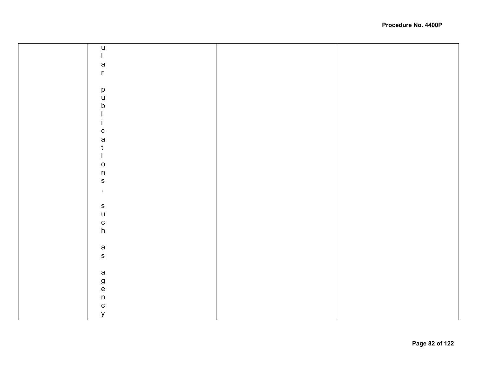| $\mathsf{u}$                                                                                                                                                                                                                                                                                                                                                                                                   |  |
|----------------------------------------------------------------------------------------------------------------------------------------------------------------------------------------------------------------------------------------------------------------------------------------------------------------------------------------------------------------------------------------------------------------|--|
| $\begin{array}{c} \rule{0pt}{2ex} \rule{0pt}{2ex} \rule{0pt}{2ex} \rule{0pt}{2ex} \rule{0pt}{2ex} \rule{0pt}{2ex} \rule{0pt}{2ex} \rule{0pt}{2ex} \rule{0pt}{2ex} \rule{0pt}{2ex} \rule{0pt}{2ex} \rule{0pt}{2ex} \rule{0pt}{2ex} \rule{0pt}{2ex} \rule{0pt}{2ex} \rule{0pt}{2ex} \rule{0pt}{2ex} \rule{0pt}{2ex} \rule{0pt}{2ex} \rule{0pt}{2ex} \rule{0pt}{2ex} \rule{0pt}{2ex} \rule{0pt}{2ex} \rule{0pt}{$ |  |
|                                                                                                                                                                                                                                                                                                                                                                                                                |  |
| a<br>r                                                                                                                                                                                                                                                                                                                                                                                                         |  |
|                                                                                                                                                                                                                                                                                                                                                                                                                |  |
|                                                                                                                                                                                                                                                                                                                                                                                                                |  |
|                                                                                                                                                                                                                                                                                                                                                                                                                |  |
| p<br>u<br>b                                                                                                                                                                                                                                                                                                                                                                                                    |  |
|                                                                                                                                                                                                                                                                                                                                                                                                                |  |
| İ.                                                                                                                                                                                                                                                                                                                                                                                                             |  |
|                                                                                                                                                                                                                                                                                                                                                                                                                |  |
|                                                                                                                                                                                                                                                                                                                                                                                                                |  |
| $\begin{array}{c} c \\ a \\ t \\ i \end{array}$                                                                                                                                                                                                                                                                                                                                                                |  |
|                                                                                                                                                                                                                                                                                                                                                                                                                |  |
|                                                                                                                                                                                                                                                                                                                                                                                                                |  |
| $\mathsf{o}$                                                                                                                                                                                                                                                                                                                                                                                                   |  |
| $\mathsf{n}$                                                                                                                                                                                                                                                                                                                                                                                                   |  |
| $\mathsf{s}$                                                                                                                                                                                                                                                                                                                                                                                                   |  |
| $\,$                                                                                                                                                                                                                                                                                                                                                                                                           |  |
|                                                                                                                                                                                                                                                                                                                                                                                                                |  |
| ${\sf s}$                                                                                                                                                                                                                                                                                                                                                                                                      |  |
| u<br>c<br>h                                                                                                                                                                                                                                                                                                                                                                                                    |  |
|                                                                                                                                                                                                                                                                                                                                                                                                                |  |
|                                                                                                                                                                                                                                                                                                                                                                                                                |  |
|                                                                                                                                                                                                                                                                                                                                                                                                                |  |
| a<br>s                                                                                                                                                                                                                                                                                                                                                                                                         |  |
|                                                                                                                                                                                                                                                                                                                                                                                                                |  |
|                                                                                                                                                                                                                                                                                                                                                                                                                |  |
| $\begin{array}{c}\n a \\  g \\  e \\  n\n \end{array}$                                                                                                                                                                                                                                                                                                                                                         |  |
|                                                                                                                                                                                                                                                                                                                                                                                                                |  |
|                                                                                                                                                                                                                                                                                                                                                                                                                |  |
|                                                                                                                                                                                                                                                                                                                                                                                                                |  |
|                                                                                                                                                                                                                                                                                                                                                                                                                |  |
| c<br>y                                                                                                                                                                                                                                                                                                                                                                                                         |  |
|                                                                                                                                                                                                                                                                                                                                                                                                                |  |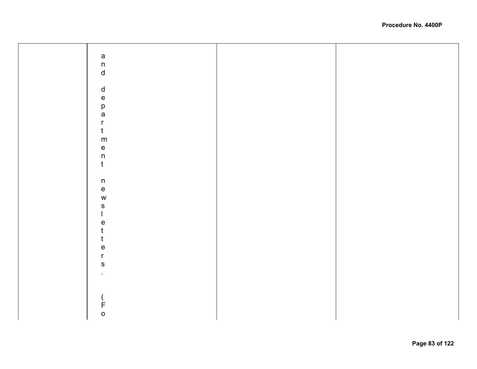| a<br>n<br>d                       |  |
|-----------------------------------|--|
|                                   |  |
|                                   |  |
|                                   |  |
| $\operatorname{\mathsf{d}}$       |  |
|                                   |  |
| e<br>p<br>a                       |  |
|                                   |  |
|                                   |  |
|                                   |  |
| $\mathsf{r}$                      |  |
| $\mathfrak t$                     |  |
|                                   |  |
| ${\sf m}$                         |  |
|                                   |  |
| e<br>n                            |  |
|                                   |  |
| $\mathbf t$                       |  |
|                                   |  |
| $\sf n$                           |  |
|                                   |  |
| $\mathsf{e}% _{t}\left( t\right)$ |  |
| $\mathsf{W}$                      |  |
| ${\sf s}$                         |  |
|                                   |  |
| $\overline{1}$                    |  |
| $\mathsf{e}% _{t}\left( t\right)$ |  |
| $\mathfrak t$                     |  |
|                                   |  |
| t                                 |  |
| $\mathsf{e}% _{t}\left( t\right)$ |  |
| $\mathsf{r}$                      |  |
|                                   |  |
| ${\sf S}$                         |  |
|                                   |  |
|                                   |  |
|                                   |  |
|                                   |  |
|                                   |  |
|                                   |  |
| (F                                |  |
|                                   |  |
|                                   |  |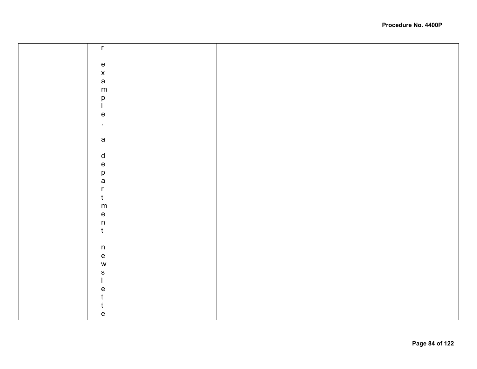| $\mathsf{r}$                                    |  |
|-------------------------------------------------|--|
|                                                 |  |
|                                                 |  |
|                                                 |  |
|                                                 |  |
| $\begin{array}{c} e \\ x \\ a \\ m \end{array}$ |  |
|                                                 |  |
|                                                 |  |
|                                                 |  |
| $_{\rm l}^{\rm p}$                              |  |
| $\mathsf{e}\,$                                  |  |
|                                                 |  |
| $\mathbf{y}$                                    |  |
|                                                 |  |
| $\mathsf{a}$                                    |  |
|                                                 |  |
| $\operatorname{\mathsf{d}}$                     |  |
|                                                 |  |
|                                                 |  |
|                                                 |  |
|                                                 |  |
| e<br>p<br>a<br>r                                |  |
| $\mathfrak{t}$                                  |  |
|                                                 |  |
| ${\sf m}$                                       |  |
| $\frac{e}{n}$                                   |  |
|                                                 |  |
|                                                 |  |
|                                                 |  |
|                                                 |  |
| $\mathsf n$                                     |  |
|                                                 |  |
| e<br>w                                          |  |
| $\mathsf{s}$                                    |  |
| $\mathbf{I}$                                    |  |
|                                                 |  |
| $\mathsf{e}% _{t}\left( t\right)$               |  |
| t                                               |  |
| t                                               |  |
| $\mathsf{e}% _{t}\left( t\right)$               |  |
|                                                 |  |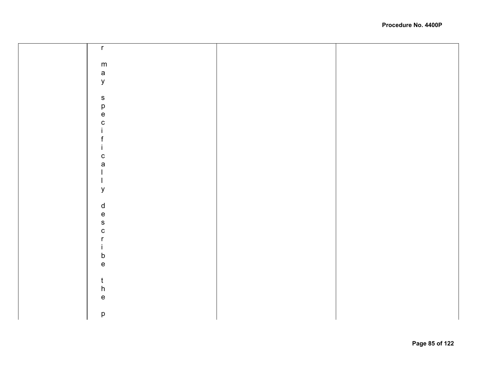| $\mathsf{r}$                      |  |
|-----------------------------------|--|
|                                   |  |
|                                   |  |
|                                   |  |
| ${\sf m}$                         |  |
|                                   |  |
| a<br>y                            |  |
|                                   |  |
|                                   |  |
|                                   |  |
|                                   |  |
| ${\sf s}$                         |  |
|                                   |  |
| p<br>e                            |  |
|                                   |  |
|                                   |  |
| $\mathbf{C}$                      |  |
|                                   |  |
|                                   |  |
|                                   |  |
|                                   |  |
| $\mathbf{I}$                      |  |
| ${\bf C}$                         |  |
|                                   |  |
| $\mathsf{a}$                      |  |
|                                   |  |
|                                   |  |
|                                   |  |
| J.                                |  |
| y                                 |  |
|                                   |  |
|                                   |  |
| $\mathsf{d}$                      |  |
|                                   |  |
| $\mathsf{e}\,$                    |  |
|                                   |  |
| $\mathsf{s}$                      |  |
| $\mathbf C$                       |  |
|                                   |  |
| r                                 |  |
|                                   |  |
| T.                                |  |
| $\mathsf b$                       |  |
|                                   |  |
| $\mathsf{e}% _{t}\left( t\right)$ |  |
|                                   |  |
|                                   |  |
| $\mathfrak t$                     |  |
|                                   |  |
| $\boldsymbol{\mathsf{h}}$         |  |
| $\mathsf{e}% _{t}\left( t\right)$ |  |
|                                   |  |
|                                   |  |
|                                   |  |
| $\mathsf{p}% _{T}$                |  |
|                                   |  |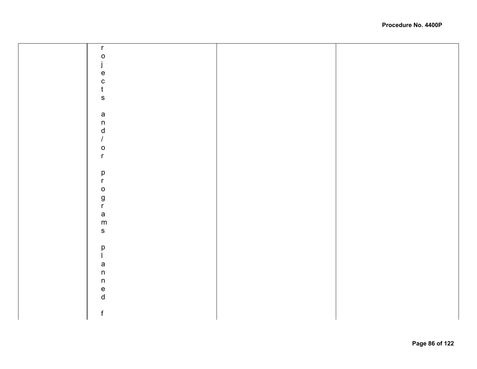| $\mathsf{r}$                      |  |
|-----------------------------------|--|
| $\mathsf{o}$                      |  |
| j                                 |  |
| $\mathsf{e}% _{t}\left( t\right)$ |  |
| $\mathbf{C}$                      |  |
| $\mathfrak t$                     |  |
| ${\sf S}$                         |  |
|                                   |  |
| $\mathsf a$                       |  |
| $\sf n$                           |  |
| $\mathsf{d}$                      |  |
| $\boldsymbol{I}$                  |  |
| $\mathsf{o}$                      |  |
| $\mathsf{r}$                      |  |
|                                   |  |
| $\mathsf{p}% _{T}\left( t\right)$ |  |
| $\mathsf{r}$                      |  |
| $\mathsf{o}$                      |  |
|                                   |  |
| g<br>r                            |  |
| $\mathsf{a}$                      |  |
| ${\sf m}$                         |  |
| ${\sf s}$                         |  |
|                                   |  |
| $\mathsf{p}% _{T}\left( t\right)$ |  |
| $\mathsf{I}$                      |  |
| $\mathsf{a}$                      |  |
| $\sf n$                           |  |
| $\sf n$                           |  |
| $\mathsf{e}% _{t}\left( t\right)$ |  |
| $\operatorname{\mathsf{d}}$       |  |
|                                   |  |
| $\mathsf f$                       |  |
|                                   |  |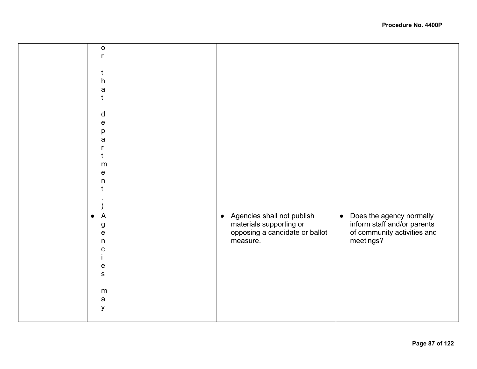| $\mathsf{o}$<br>r                                          |                                                                       |                                                                         |
|------------------------------------------------------------|-----------------------------------------------------------------------|-------------------------------------------------------------------------|
| t<br>h<br>a<br>t                                           |                                                                       |                                                                         |
| d<br>$\mathsf{e}\,$<br>р<br>a                              |                                                                       |                                                                         |
| r<br>t<br>m<br>${\bf e}$<br>$\mathsf{n}$                   |                                                                       |                                                                         |
| A                                                          | Agencies shall not publish<br>$\bullet$                               | Does the agency normally<br>$\bullet$                                   |
| ${\bf g}$<br>$\mathsf e$<br>$\mathsf{n}$<br>${\bf C}$<br>L | materials supporting or<br>opposing a candidate or ballot<br>measure. | inform staff and/or parents<br>of community activities and<br>meetings? |
| ${\bf e}$<br>$\mathbf S$                                   |                                                                       |                                                                         |
| m<br>$\mathsf a$<br>У                                      |                                                                       |                                                                         |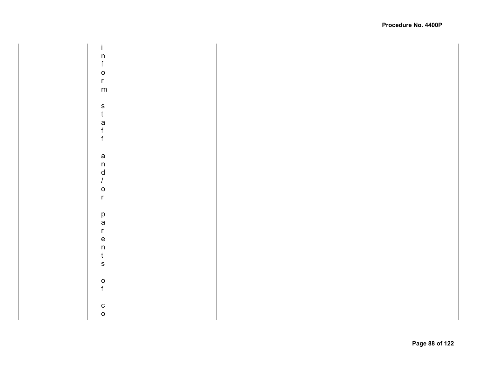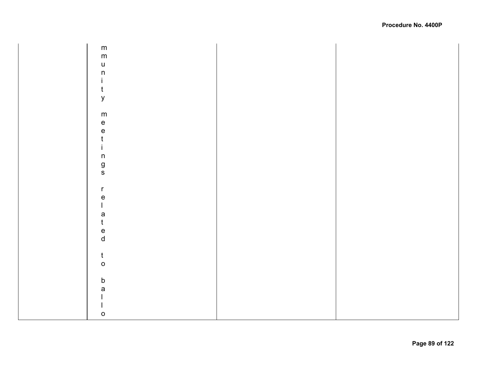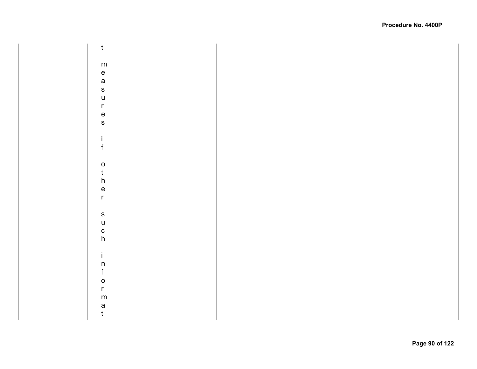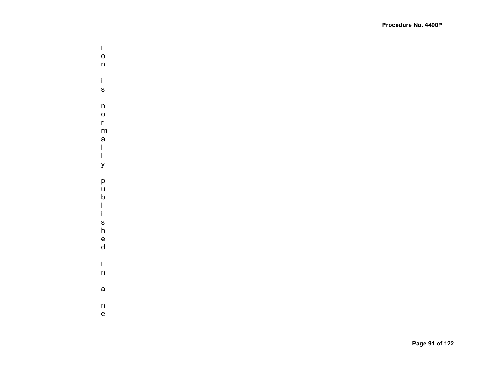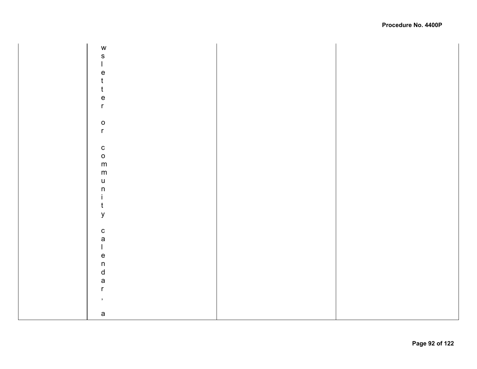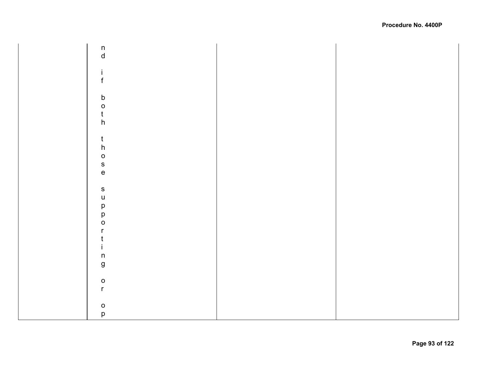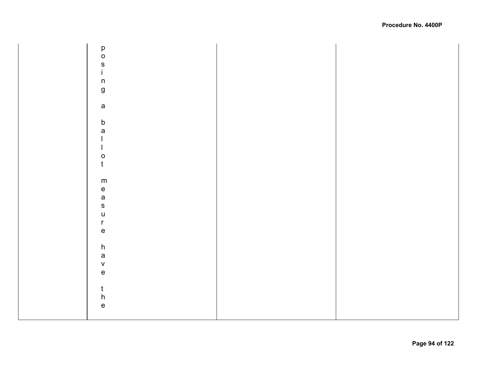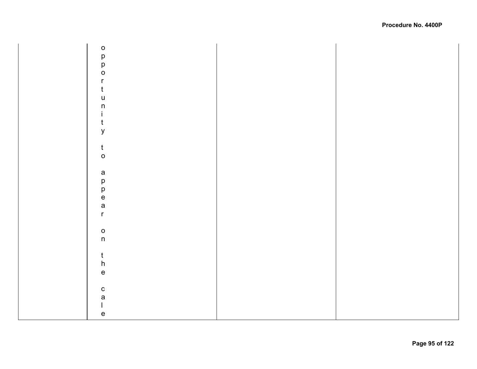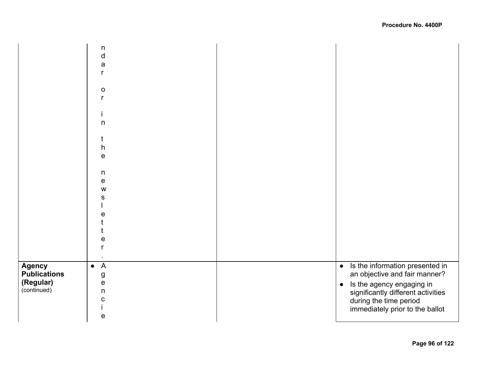|                                                                  | n<br>$\mathsf{d}$<br>$\mathsf{a}$<br>r<br>$\mathsf O$<br>r<br>$\mathsf{n}$<br>t<br>h<br>$\mathbf e$<br>n<br>${\bf e}$<br>W<br>S<br>$\mathsf e$<br>e |                                                                                                                                                                                                                            |
|------------------------------------------------------------------|-----------------------------------------------------------------------------------------------------------------------------------------------------|----------------------------------------------------------------------------------------------------------------------------------------------------------------------------------------------------------------------------|
| <b>Agency</b><br><b>Publications</b><br>(Regular)<br>(continued) | $\overline{A}$<br>$\bullet$<br>${\bf g}$<br>${\bf e}$<br>$\mathsf{n}$<br>$\mathbf C$<br>$\mathbf e$                                                 | Is the information presented in<br>$\bullet$<br>an objective and fair manner?<br>Is the agency engaging in<br>$\bullet$<br>significantly different activities<br>during the time period<br>immediately prior to the ballot |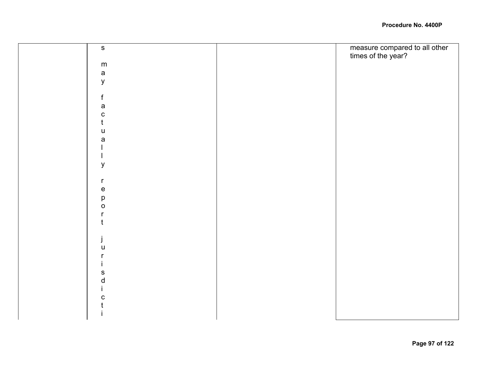| $\mathbf S$                       | measure compared to all other<br>times of the year? |
|-----------------------------------|-----------------------------------------------------|
|                                   |                                                     |
| ${\sf m}$                         |                                                     |
| $\mathsf{a}$                      |                                                     |
| $\mathsf{y}$                      |                                                     |
|                                   |                                                     |
| $\mathsf{f}$                      |                                                     |
| $\mathsf{a}$                      |                                                     |
| $\mathbf C$                       |                                                     |
|                                   |                                                     |
| u                                 |                                                     |
| a                                 |                                                     |
|                                   |                                                     |
|                                   |                                                     |
| $\mathsf y$                       |                                                     |
|                                   |                                                     |
| $\mathsf{r}$                      |                                                     |
| $\mathsf{e}% _{t}\left( t\right)$ |                                                     |
| $\mathsf{p}% _{T}$                |                                                     |
| $\mathsf{o}$                      |                                                     |
| r                                 |                                                     |
|                                   |                                                     |
|                                   |                                                     |
| j                                 |                                                     |
| u                                 |                                                     |
|                                   |                                                     |
|                                   |                                                     |
| ${\mathbb S}$                     |                                                     |
| ${\sf d}$                         |                                                     |
|                                   |                                                     |
| $\mathbf C$                       |                                                     |
|                                   |                                                     |
|                                   |                                                     |
|                                   |                                                     |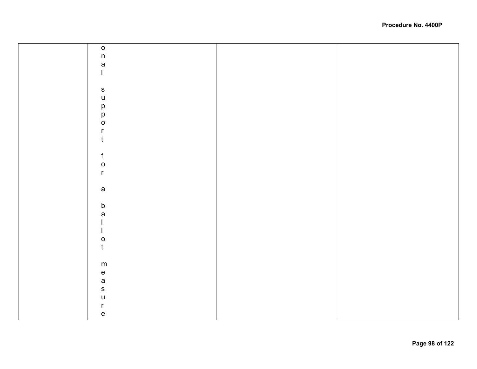| $\mathsf{o}$                      |  |
|-----------------------------------|--|
|                                   |  |
| n<br>a<br>l                       |  |
|                                   |  |
|                                   |  |
| ${\sf s}$                         |  |
| $\mathsf{u}$                      |  |
|                                   |  |
|                                   |  |
| p<br>p<br>o                       |  |
| $\mathsf{r}$                      |  |
| t                                 |  |
|                                   |  |
| f                                 |  |
| $\circ$                           |  |
| $\mathsf{r}$                      |  |
|                                   |  |
| $\mathsf{a}$                      |  |
|                                   |  |
| $\mathsf b$                       |  |
| a                                 |  |
|                                   |  |
|                                   |  |
| $\mathsf O$                       |  |
| $\mathfrak{t}$                    |  |
|                                   |  |
|                                   |  |
|                                   |  |
| m e a s                           |  |
|                                   |  |
| $\mathsf{u}%$                     |  |
| $\mathsf{r}$                      |  |
| $\mathsf{e}% _{t}\left( t\right)$ |  |
|                                   |  |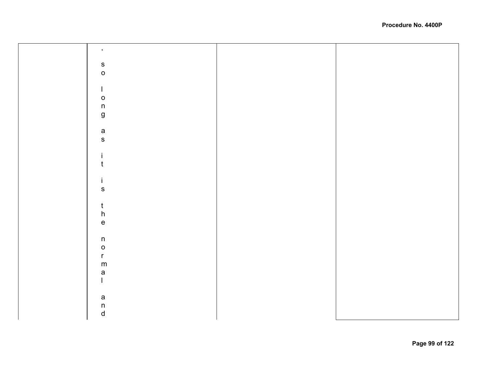| $\,$                                                                  |  |
|-----------------------------------------------------------------------|--|
|                                                                       |  |
| $\begin{array}{c} {\mathbf{S}} \\ {\mathbf{O}} \end{array}$           |  |
|                                                                       |  |
|                                                                       |  |
|                                                                       |  |
| $\mathbf{I}$                                                          |  |
|                                                                       |  |
| $\mathsf{o}$                                                          |  |
| $\sf n$                                                               |  |
|                                                                       |  |
| $\mathsf g$                                                           |  |
|                                                                       |  |
|                                                                       |  |
| a<br>s                                                                |  |
|                                                                       |  |
|                                                                       |  |
| j.                                                                    |  |
|                                                                       |  |
| $\mathfrak t$                                                         |  |
|                                                                       |  |
|                                                                       |  |
| j.                                                                    |  |
| ${\sf s}$                                                             |  |
|                                                                       |  |
|                                                                       |  |
|                                                                       |  |
| $\frac{t}{h}$                                                         |  |
|                                                                       |  |
| $\mathsf{e}% _{t}\left( t\right) \equiv\mathsf{e}_{t}\left( t\right)$ |  |
|                                                                       |  |
| $\sf n$                                                               |  |
|                                                                       |  |
| $\mathsf{o}$                                                          |  |
| $\mathsf{r}$                                                          |  |
|                                                                       |  |
| ${\sf m}$                                                             |  |
| $\mathsf{a}$                                                          |  |
| $\mathbf{I}$                                                          |  |
|                                                                       |  |
|                                                                       |  |
| $\mathsf a$                                                           |  |
|                                                                       |  |
| $\begin{matrix} n \\ d \end{matrix}$                                  |  |
|                                                                       |  |
|                                                                       |  |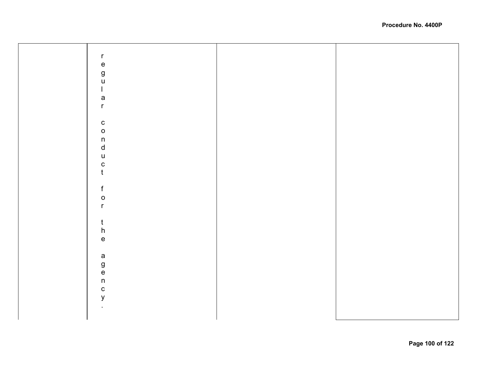| $\mathsf{r}$                               |  |
|--------------------------------------------|--|
|                                            |  |
| e<br>g<br>u                                |  |
|                                            |  |
|                                            |  |
|                                            |  |
|                                            |  |
|                                            |  |
| $\mathsf{I}$                               |  |
|                                            |  |
| $\mathsf{a}$                               |  |
|                                            |  |
|                                            |  |
| $\mathsf{r}$                               |  |
|                                            |  |
|                                            |  |
|                                            |  |
| $\mathbf{C}$                               |  |
|                                            |  |
|                                            |  |
| $\circ$                                    |  |
|                                            |  |
|                                            |  |
|                                            |  |
| $\begin{array}{c} n \\ d \end{array}$      |  |
|                                            |  |
| $\mathsf{u}%$                              |  |
|                                            |  |
| $\frac{c}{t}$                              |  |
|                                            |  |
|                                            |  |
|                                            |  |
|                                            |  |
|                                            |  |
| $\mathsf f$                                |  |
|                                            |  |
|                                            |  |
| $\circ$                                    |  |
|                                            |  |
| $\mathsf{r}$                               |  |
|                                            |  |
|                                            |  |
|                                            |  |
|                                            |  |
|                                            |  |
|                                            |  |
| $\frac{t}{h}$                              |  |
|                                            |  |
| $\mathsf{e}% _{0}\left( \mathsf{e}\right)$ |  |
|                                            |  |
|                                            |  |
|                                            |  |
|                                            |  |
|                                            |  |
| a<br>g<br>e<br>n                           |  |
|                                            |  |
|                                            |  |
|                                            |  |
|                                            |  |
|                                            |  |
|                                            |  |
| $\mathtt{C}$                               |  |
|                                            |  |
| $\mathsf{y}$                               |  |
|                                            |  |
|                                            |  |
| $\blacksquare$                             |  |
|                                            |  |
|                                            |  |
|                                            |  |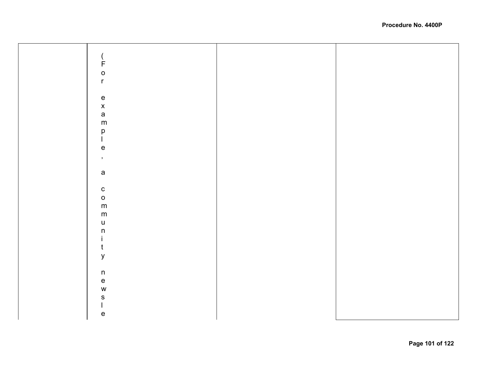| $\begin{array}{c} \begin{array}{c}  \end{array} \\ \text{F} \end{array}$ |  |
|--------------------------------------------------------------------------|--|
| $\circ$                                                                  |  |
|                                                                          |  |
| $\mathsf{r}$                                                             |  |
|                                                                          |  |
|                                                                          |  |
|                                                                          |  |
|                                                                          |  |
|                                                                          |  |
| $\begin{array}{c}\ne{6} \\ x \\ m\n\end{array}$                          |  |
|                                                                          |  |
|                                                                          |  |
| p<br>                                                                    |  |
|                                                                          |  |
| $\mathsf{e}% _{t}\left( t\right)$                                        |  |
|                                                                          |  |
| $\,$                                                                     |  |
|                                                                          |  |
| $\mathsf a$                                                              |  |
|                                                                          |  |
|                                                                          |  |
|                                                                          |  |
| $\begin{matrix} 0 \\ 0 \end{matrix}$                                     |  |
| m                                                                        |  |
|                                                                          |  |
| ${\sf m}$                                                                |  |
| $\mathsf{u}%$                                                            |  |
| $\mathsf{n}$                                                             |  |
|                                                                          |  |
| $\mathbf i$                                                              |  |
| $\mathfrak t$                                                            |  |
| $\mathsf{y}$                                                             |  |
|                                                                          |  |
|                                                                          |  |
| $\sf n$                                                                  |  |
| $\mathsf{e}% _{t}\left( t\right)$                                        |  |
|                                                                          |  |
| ${\mathsf W}$                                                            |  |
| ${\sf s}$                                                                |  |
| $\begin{array}{c} \hline \end{array}$                                    |  |
|                                                                          |  |
| $\mathsf{e}% _{t}\left( t\right)$                                        |  |
|                                                                          |  |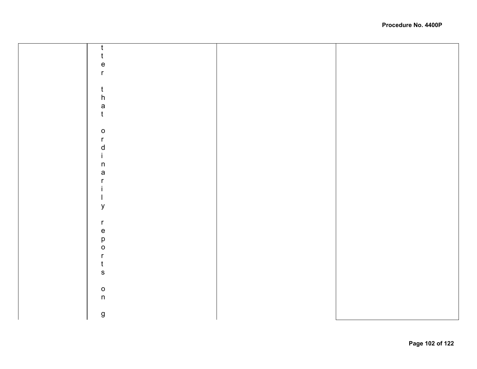| t                                 |  |
|-----------------------------------|--|
| t                                 |  |
| $\mathsf{e}% _{t}\left( t\right)$ |  |
| $\mathsf{r}$                      |  |
|                                   |  |
| t                                 |  |
| $\boldsymbol{\mathsf{h}}$         |  |
|                                   |  |
| a<br>t                            |  |
|                                   |  |
|                                   |  |
| $\mathsf{o}$                      |  |
| $\mathsf{r}$                      |  |
| $\mathsf{d}$                      |  |
| Ĺ                                 |  |
| $\sf n$                           |  |
| $\mathsf{a}$                      |  |
| r                                 |  |
|                                   |  |
|                                   |  |
| y                                 |  |
|                                   |  |
| $\mathsf{r}$                      |  |
| $\mathsf{e}% _{t}\left( t\right)$ |  |
|                                   |  |
| p<br>$\mathsf{o}$                 |  |
| $\mathsf{r}$                      |  |
| t                                 |  |
|                                   |  |
| $\mathbf{s}$                      |  |
|                                   |  |
| $\mathsf{o}$                      |  |
| $\mathsf n$                       |  |
|                                   |  |
| $\boldsymbol{g}$                  |  |
|                                   |  |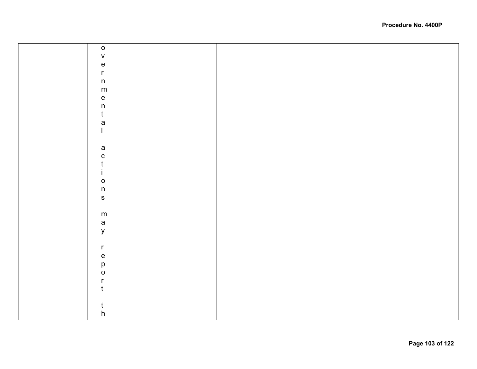| $\mathbf O$                                                           |  |
|-----------------------------------------------------------------------|--|
| $\mathsf{V}$                                                          |  |
| $\mathsf{e}% _{t}\left( t\right)$                                     |  |
| $\mathsf{r}$                                                          |  |
| $\sf n$                                                               |  |
| ${\sf m}$                                                             |  |
| $\mathsf{e}% _{t}\left( t\right) \equiv\mathsf{e}_{t}\left( t\right)$ |  |
| $\sf n$                                                               |  |
| $\mathfrak{t}$                                                        |  |
| a                                                                     |  |
| $\mathsf{I}$                                                          |  |
|                                                                       |  |
| a                                                                     |  |
| $\mathbf C$                                                           |  |
| t                                                                     |  |
| j.                                                                    |  |
| $\mathsf{o}$                                                          |  |
| $\sf n$                                                               |  |
| ${\bf S}$                                                             |  |
|                                                                       |  |
| ${\sf m}$                                                             |  |
| $\mathsf a$                                                           |  |
| $\mathsf{y}$                                                          |  |
|                                                                       |  |
| $\mathsf{r}$                                                          |  |
| ${\bf e}$                                                             |  |
| p                                                                     |  |
| $\mathsf O$                                                           |  |
| $\mathsf{r}$                                                          |  |
| t                                                                     |  |
|                                                                       |  |
| t                                                                     |  |
| $\boldsymbol{\mathsf{h}}$                                             |  |
|                                                                       |  |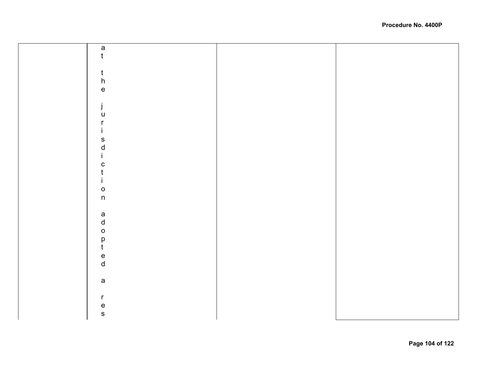| $\frac{a}{t}$                               |  |
|---------------------------------------------|--|
|                                             |  |
|                                             |  |
|                                             |  |
|                                             |  |
| $\begin{matrix} t \\ h \\ e \end{matrix}$   |  |
|                                             |  |
| $\dot{\mathbf{j}}$                          |  |
| $\mathsf{u}$                                |  |
| $\mathsf{r}$                                |  |
|                                             |  |
| İ.                                          |  |
|                                             |  |
| s<br>d<br>i                                 |  |
|                                             |  |
|                                             |  |
| c<br>t                                      |  |
| İ.                                          |  |
|                                             |  |
| $\frac{0}{n}$                               |  |
|                                             |  |
|                                             |  |
|                                             |  |
|                                             |  |
| $\begin{bmatrix} a \\ d \\ 0 \end{bmatrix}$ |  |
|                                             |  |
| $\frac{p}{t}$                               |  |
|                                             |  |
| $\frac{e}{d}$                               |  |
|                                             |  |
|                                             |  |
| $\mathsf{a}$                                |  |
|                                             |  |
| $\mathsf{r}$                                |  |
|                                             |  |
| e<br>s                                      |  |
|                                             |  |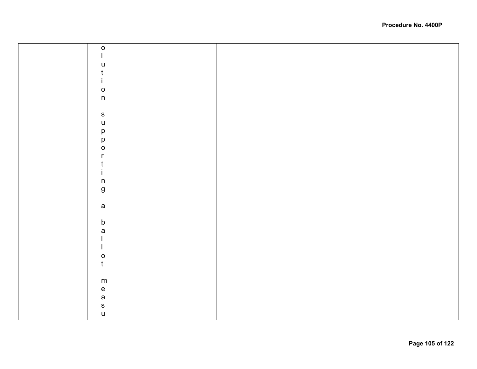| $\mathsf{o}$        |  |
|---------------------|--|
|                     |  |
| $\mathsf{u}%$       |  |
| $\mathfrak t$       |  |
|                     |  |
|                     |  |
| $\circ$             |  |
| $\mathsf{n}$        |  |
|                     |  |
| ${\sf s}$           |  |
|                     |  |
|                     |  |
|                     |  |
| u<br>p<br>p<br>o    |  |
| r                   |  |
| t                   |  |
|                     |  |
| $\sf n$             |  |
| $\mathsf{g}\,$      |  |
|                     |  |
|                     |  |
| $\mathsf{a}$        |  |
|                     |  |
| b<br>a              |  |
|                     |  |
| $\mathbf{I}$        |  |
|                     |  |
| $\mathsf O$         |  |
| $\mathfrak t$       |  |
|                     |  |
| ${\sf m}$           |  |
|                     |  |
| $rac{e}{s}$<br>as u |  |
|                     |  |
|                     |  |
|                     |  |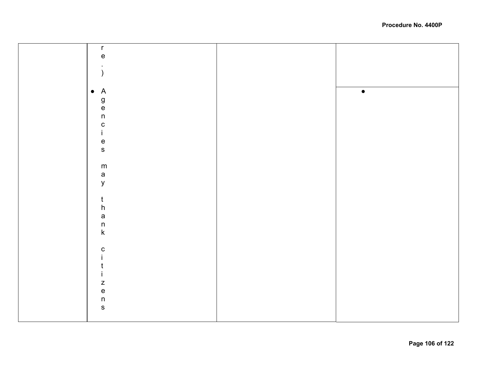| $\mathsf{r}$                      |           |
|-----------------------------------|-----------|
|                                   |           |
| $\mathsf{e}% _{t}\left( t\right)$ |           |
|                                   |           |
|                                   |           |
|                                   |           |
|                                   |           |
|                                   |           |
| $\bullet$ A                       | $\bullet$ |
|                                   |           |
|                                   |           |
| $9e$<br>n                         |           |
|                                   |           |
|                                   |           |
|                                   |           |
| c<br>i                            |           |
|                                   |           |
| $\mathsf{e}% _{t}\left( t\right)$ |           |
| $\mathbf S$                       |           |
|                                   |           |
|                                   |           |
| ${\sf m}$                         |           |
|                                   |           |
| a<br>y                            |           |
|                                   |           |
|                                   |           |
|                                   |           |
| $\frac{t}{h}$                     |           |
|                                   |           |
|                                   |           |
| $\mathsf{a}$                      |           |
| $\sf n$                           |           |
|                                   |           |
| $\sf k$                           |           |
|                                   |           |
|                                   |           |
| $\mathbf{C}$                      |           |
|                                   |           |
|                                   |           |
| ι                                 |           |
|                                   |           |
|                                   |           |
| $\mathsf z$                       |           |
| $\mathsf{e}% _{t}\left( t\right)$ |           |
|                                   |           |
| $\sf n$                           |           |
| $\mathbf S$                       |           |
|                                   |           |
|                                   |           |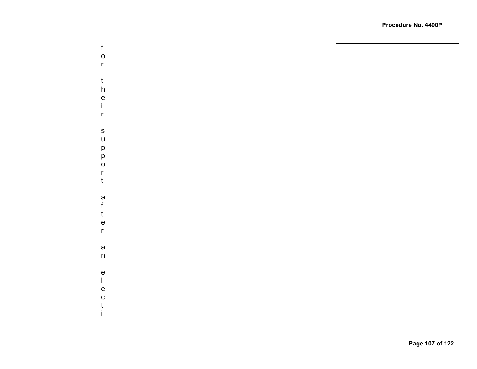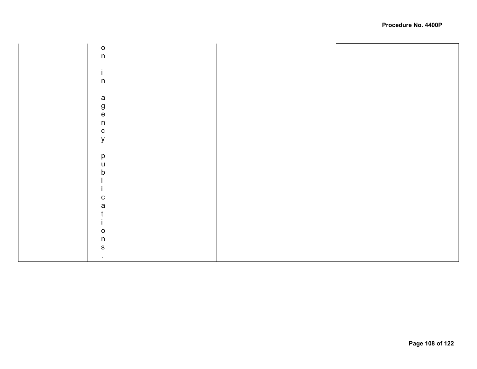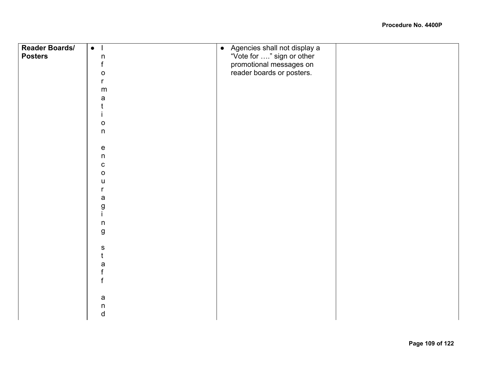| <b>Reader Boards/</b> | $\bullet$    | Agencies shall not display a<br>$\bullet$            |  |
|-----------------------|--------------|------------------------------------------------------|--|
| <b>Posters</b>        | $\sf n$      |                                                      |  |
|                       | f            | "Vote for " sign or other<br>promotional messages on |  |
|                       | o            | reader boards or posters.                            |  |
|                       | r            |                                                      |  |
|                       | ${\sf m}$    |                                                      |  |
|                       | a            |                                                      |  |
|                       |              |                                                      |  |
|                       |              |                                                      |  |
|                       | $\mathsf O$  |                                                      |  |
|                       | $\mathsf{n}$ |                                                      |  |
|                       |              |                                                      |  |
|                       | ${\bf e}$    |                                                      |  |
|                       | n            |                                                      |  |
|                       | ${\bf C}$    |                                                      |  |
|                       | $\mathbf O$  |                                                      |  |
|                       | u            |                                                      |  |
|                       | r            |                                                      |  |
|                       | a            |                                                      |  |
|                       | g            |                                                      |  |
|                       |              |                                                      |  |
|                       | $\sf n$      |                                                      |  |
|                       | g            |                                                      |  |
|                       |              |                                                      |  |
|                       | S            |                                                      |  |
|                       |              |                                                      |  |
|                       | a            |                                                      |  |
|                       | f            |                                                      |  |
|                       |              |                                                      |  |
|                       |              |                                                      |  |
|                       | $\mathsf a$  |                                                      |  |
|                       | $\sf n$      |                                                      |  |
|                       | $\sf d$      |                                                      |  |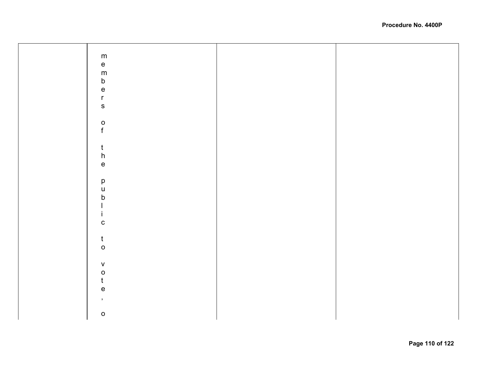| ${\sf m}$                                  |  |
|--------------------------------------------|--|
|                                            |  |
| $\mathsf{e}% _{t}\left( t\right)$          |  |
|                                            |  |
| ${\sf m}$                                  |  |
|                                            |  |
| b<br>e                                     |  |
|                                            |  |
|                                            |  |
| $\mathsf{r}$                               |  |
|                                            |  |
| ${\mathsf S}$                              |  |
|                                            |  |
|                                            |  |
|                                            |  |
|                                            |  |
|                                            |  |
| $\rm _f^o$                                 |  |
|                                            |  |
|                                            |  |
| t                                          |  |
|                                            |  |
| ${\sf h}$                                  |  |
|                                            |  |
| $\mathsf{e}% _{0}\left( \mathsf{e}\right)$ |  |
|                                            |  |
|                                            |  |
|                                            |  |
| $\mathsf{p}% _{T}$                         |  |
| $\sf U$                                    |  |
|                                            |  |
| $\mathsf b$                                |  |
|                                            |  |
|                                            |  |
|                                            |  |
|                                            |  |
|                                            |  |
| ${\bf C}$                                  |  |
|                                            |  |
|                                            |  |
| $\mathfrak{t}$                             |  |
|                                            |  |
| $\mathsf{o}$                               |  |
|                                            |  |
|                                            |  |
|                                            |  |
| $\sf V$                                    |  |
| $\mathsf O$                                |  |
|                                            |  |
| t                                          |  |
|                                            |  |
| $\mathsf{e}% _{t}\left( t_{0}\right)$      |  |
|                                            |  |
| $\,$                                       |  |
|                                            |  |
|                                            |  |
| $\mathsf{o}$                               |  |
|                                            |  |
|                                            |  |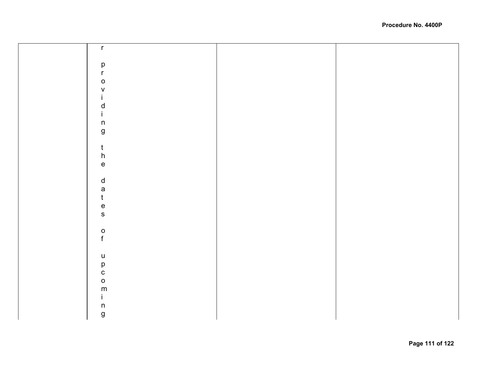| $\mathsf{r}$                      |  |
|-----------------------------------|--|
|                                   |  |
|                                   |  |
| $\mathsf{p}$                      |  |
| $\mathsf{r}$                      |  |
| $\mathsf{o}$                      |  |
| V                                 |  |
| L                                 |  |
| d                                 |  |
|                                   |  |
| $\mathbf{L}$                      |  |
| $\sf n$                           |  |
| $\boldsymbol{g}$                  |  |
|                                   |  |
| $\mathsf{t}$                      |  |
| ${\sf h}$                         |  |
|                                   |  |
| $\mathsf{e}% _{t}\left( t\right)$ |  |
|                                   |  |
| $\sf d$                           |  |
|                                   |  |
| a<br>t                            |  |
| $\mathsf{e}% _{t}\left( t\right)$ |  |
|                                   |  |
| $\mathsf{s}$                      |  |
|                                   |  |
|                                   |  |
| $\rm _f^o$                        |  |
|                                   |  |
| $\sf U$                           |  |
|                                   |  |
| $\frac{p}{c}$                     |  |
|                                   |  |
| $\mathsf{o}$                      |  |
| ${\sf m}$                         |  |
| İ.                                |  |
| $\sf n$                           |  |
|                                   |  |
| $\boldsymbol{g}$                  |  |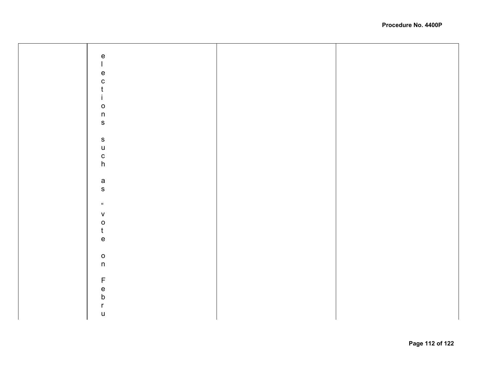| $\frac{e}{l}$                                                         |  |
|-----------------------------------------------------------------------|--|
|                                                                       |  |
|                                                                       |  |
|                                                                       |  |
|                                                                       |  |
| $\begin{array}{c} e \\ c \\ t \end{array}$                            |  |
|                                                                       |  |
|                                                                       |  |
| $\mathbf{i}$                                                          |  |
|                                                                       |  |
|                                                                       |  |
| $\frac{0}{n}$                                                         |  |
|                                                                       |  |
|                                                                       |  |
|                                                                       |  |
|                                                                       |  |
| $\mathsf{s}$                                                          |  |
|                                                                       |  |
|                                                                       |  |
| u<br>c<br>h                                                           |  |
|                                                                       |  |
|                                                                       |  |
|                                                                       |  |
|                                                                       |  |
| a<br>s                                                                |  |
|                                                                       |  |
|                                                                       |  |
|                                                                       |  |
| $\boldsymbol{\mu}$                                                    |  |
|                                                                       |  |
| ${\mathsf V}$                                                         |  |
|                                                                       |  |
|                                                                       |  |
| $\frac{0}{t}$                                                         |  |
|                                                                       |  |
| $\mathsf{e}% _{t}\left( t\right) \equiv\mathsf{e}_{t}\left( t\right)$ |  |
|                                                                       |  |
|                                                                       |  |
| $\frac{0}{n}$                                                         |  |
|                                                                       |  |
|                                                                       |  |
|                                                                       |  |
|                                                                       |  |
|                                                                       |  |
|                                                                       |  |
|                                                                       |  |
| F<br>e<br>b                                                           |  |
|                                                                       |  |
| $\mathsf{r}$                                                          |  |
| $\mathsf{u}%$                                                         |  |
|                                                                       |  |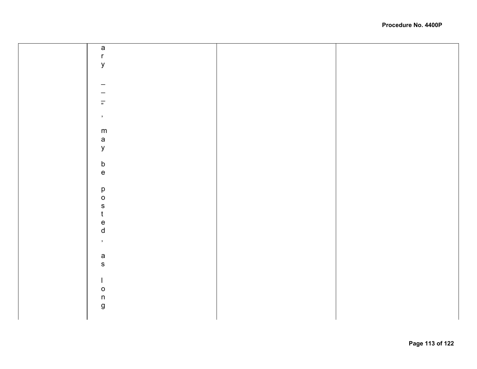|  | $\mathsf a$                                                           |  |
|--|-----------------------------------------------------------------------|--|
|  |                                                                       |  |
|  | $\mathsf{r}$                                                          |  |
|  |                                                                       |  |
|  | y                                                                     |  |
|  |                                                                       |  |
|  |                                                                       |  |
|  |                                                                       |  |
|  | -                                                                     |  |
|  |                                                                       |  |
|  |                                                                       |  |
|  |                                                                       |  |
|  |                                                                       |  |
|  | $\overline{\overline{n}}$                                             |  |
|  |                                                                       |  |
|  |                                                                       |  |
|  | $\mathcal{I}$                                                         |  |
|  |                                                                       |  |
|  |                                                                       |  |
|  | m                                                                     |  |
|  |                                                                       |  |
|  | $\mathsf{a}$                                                          |  |
|  |                                                                       |  |
|  | $\mathsf{y}$                                                          |  |
|  |                                                                       |  |
|  |                                                                       |  |
|  |                                                                       |  |
|  | $\mathsf b$                                                           |  |
|  |                                                                       |  |
|  | $\mathsf{e}% _{t}\left( t\right) \equiv\mathsf{e}_{t}\left( t\right)$ |  |
|  |                                                                       |  |
|  |                                                                       |  |
|  |                                                                       |  |
|  | $\mathsf{p}% _{T}$                                                    |  |
|  | $\mathsf{o}$                                                          |  |
|  |                                                                       |  |
|  | ${\sf S}$                                                             |  |
|  |                                                                       |  |
|  | t                                                                     |  |
|  |                                                                       |  |
|  | $\mathsf{e}% _{t}\left( t\right)$                                     |  |
|  |                                                                       |  |
|  | $\sf d$                                                               |  |
|  |                                                                       |  |
|  | $\mathcal{I}$                                                         |  |
|  |                                                                       |  |
|  |                                                                       |  |
|  | $\mathsf a$                                                           |  |
|  |                                                                       |  |
|  | ${\sf s}$                                                             |  |
|  |                                                                       |  |
|  |                                                                       |  |
|  |                                                                       |  |
|  | $\mathbf{I}$                                                          |  |
|  |                                                                       |  |
|  | $\mathsf{o}$                                                          |  |
|  |                                                                       |  |
|  | $\sf n$                                                               |  |
|  |                                                                       |  |
|  | ${\bf g}$                                                             |  |
|  |                                                                       |  |
|  |                                                                       |  |
|  |                                                                       |  |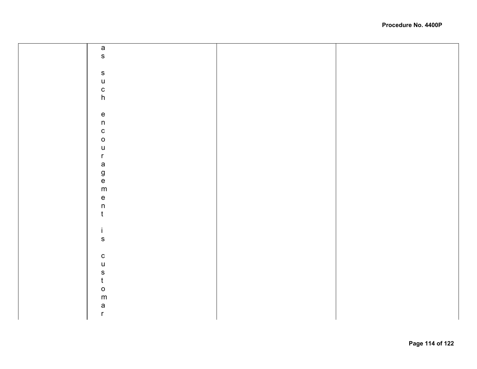| $\mathsf{a}$                               |  |
|--------------------------------------------|--|
| $\mathbf{s}$                               |  |
|                                            |  |
|                                            |  |
| ${\sf s}$                                  |  |
|                                            |  |
| $\begin{array}{c} u \\ c \\ h \end{array}$ |  |
|                                            |  |
|                                            |  |
|                                            |  |
| $\frac{e}{n}$                              |  |
|                                            |  |
| $\mathbf{C}$                               |  |
| $\mathsf{o}$                               |  |
| $\mathsf{u}%$                              |  |
| $\mathsf{r}$                               |  |
|                                            |  |
|                                            |  |
|                                            |  |
| a<br>g<br>m                                |  |
|                                            |  |
| $\frac{e}{n}$                              |  |
|                                            |  |
| $\mathfrak t$                              |  |
|                                            |  |
| $\mathbf i$                                |  |
|                                            |  |
| ${\sf s}$                                  |  |
|                                            |  |
| ${\bf c}$                                  |  |
| $\mathsf{u}$                               |  |
|                                            |  |
| s<br>t                                     |  |
| $\mathsf{o}$                               |  |
|                                            |  |
| ${\sf m}$                                  |  |
| a<br>r                                     |  |
|                                            |  |
|                                            |  |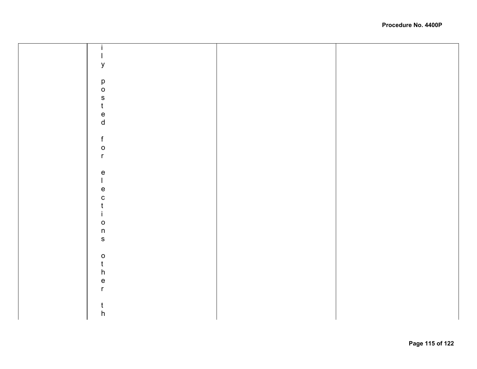| У                                         |  |
|-------------------------------------------|--|
|                                           |  |
| $\mathsf{p}% _{T}$                        |  |
| $\circ$                                   |  |
|                                           |  |
| s<br>t                                    |  |
|                                           |  |
| e<br>d                                    |  |
|                                           |  |
|                                           |  |
| $\mathsf f$                               |  |
| $\mathsf{o}$                              |  |
| $\mathsf{r}$                              |  |
|                                           |  |
| $\mathsf{e}% _{t}\left( t\right)$         |  |
| $\mathbf{I}$                              |  |
| $\mathsf{e}% _{t}\left( t\right)$         |  |
| $\mathbf{C}$                              |  |
| $\mathfrak t$                             |  |
| $\mathbf{i}$                              |  |
| $\mathsf{o}$                              |  |
| $\sf n$                                   |  |
| $\mathbf S$                               |  |
|                                           |  |
|                                           |  |
| $\begin{matrix} 0 \\ t \\ h \end{matrix}$ |  |
|                                           |  |
| $\mathsf{e}\mathsf{ }$                    |  |
| $\mathsf{r}$                              |  |
|                                           |  |
|                                           |  |
| $\mathsf{t}$                              |  |
| $\boldsymbol{\mathsf{h}}$                 |  |
|                                           |  |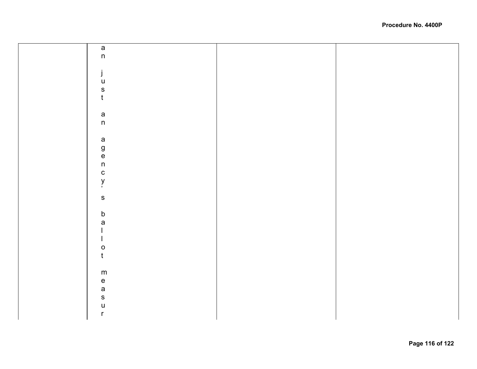| a<br>n           |  |
|------------------|--|
|                  |  |
|                  |  |
| j                |  |
| $\sf U$          |  |
| ${\mathsf S}$    |  |
| $\mathfrak t$    |  |
|                  |  |
|                  |  |
|                  |  |
| $\frac{a}{n}$    |  |
|                  |  |
|                  |  |
| a<br>g<br>n<br>n |  |
|                  |  |
|                  |  |
|                  |  |
| $\mathbf{C}$     |  |
| y<br>,           |  |
|                  |  |
| $\mathbf{s}$     |  |
|                  |  |
|                  |  |
| $\mathsf b$      |  |
| $\mathsf{a}$     |  |
|                  |  |
|                  |  |
| $\circ$          |  |
| $\mathfrak t$    |  |
|                  |  |
|                  |  |
| ${\sf m}$        |  |
| $\mathsf{e}\,$   |  |
| a<br>s           |  |
|                  |  |
| $\mathsf{u}$     |  |
|                  |  |
| $\mathsf{r}$     |  |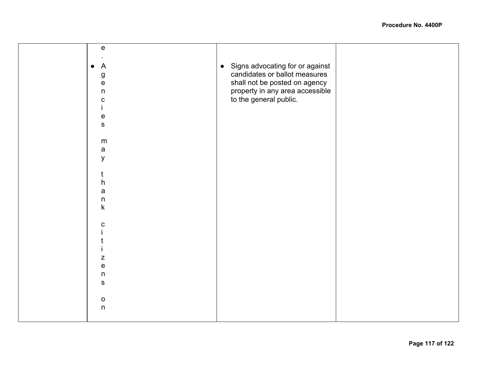| ${\bf e}$                         |                                   |  |
|-----------------------------------|-----------------------------------|--|
|                                   |                                   |  |
|                                   |                                   |  |
| $\overline{A}$<br>$\bullet$       | • Signs advocating for or against |  |
|                                   |                                   |  |
| ${\bf g}$                         | candidates or ballot measures     |  |
|                                   |                                   |  |
| ${\bf e}$                         | shall not be posted on agency     |  |
| $\mathsf{n}$                      | property in any area accessible   |  |
|                                   |                                   |  |
| $\mathbf C$                       | to the general public.            |  |
|                                   |                                   |  |
|                                   |                                   |  |
| $\mathsf{e}% _{t}\left( t\right)$ |                                   |  |
|                                   |                                   |  |
| $\mathbf S$                       |                                   |  |
|                                   |                                   |  |
|                                   |                                   |  |
| m                                 |                                   |  |
|                                   |                                   |  |
| $\mathsf a$                       |                                   |  |
| y                                 |                                   |  |
|                                   |                                   |  |
|                                   |                                   |  |
| t                                 |                                   |  |
|                                   |                                   |  |
| $\boldsymbol{\mathsf{h}}$         |                                   |  |
| a                                 |                                   |  |
|                                   |                                   |  |
| $\mathsf{n}$                      |                                   |  |
| $\mathsf k$                       |                                   |  |
|                                   |                                   |  |
|                                   |                                   |  |
|                                   |                                   |  |
| $\mathbf c$                       |                                   |  |
|                                   |                                   |  |
|                                   |                                   |  |
|                                   |                                   |  |
|                                   |                                   |  |
|                                   |                                   |  |
| Z                                 |                                   |  |
| $\mathsf{e}% _{t}\left( t\right)$ |                                   |  |
|                                   |                                   |  |
| $\mathsf{n}$                      |                                   |  |
|                                   |                                   |  |
| ${\bf S}$                         |                                   |  |
|                                   |                                   |  |
|                                   |                                   |  |
| $\mathsf{o}$                      |                                   |  |
| $\mathsf n$                       |                                   |  |
|                                   |                                   |  |
|                                   |                                   |  |
|                                   |                                   |  |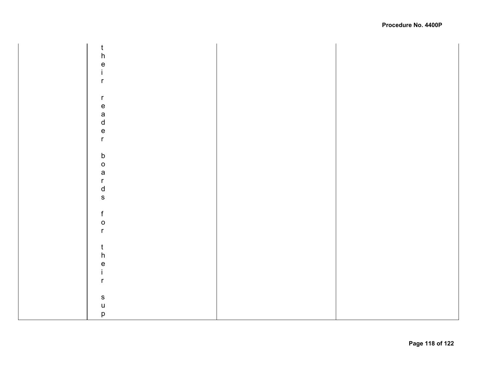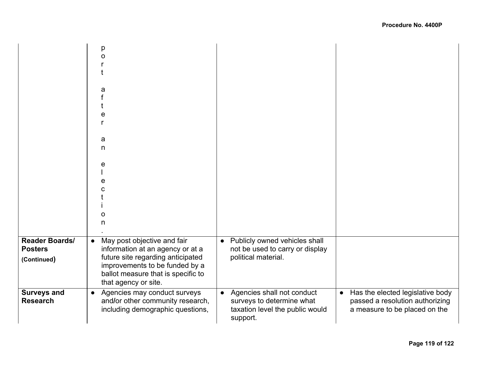|                                                        | p<br>$\Omega$<br>a<br>е<br>a<br>n<br>e<br>e<br>O<br>n                                                                                                                                                             |                                                                                                                     |                                                                                                                   |
|--------------------------------------------------------|-------------------------------------------------------------------------------------------------------------------------------------------------------------------------------------------------------------------|---------------------------------------------------------------------------------------------------------------------|-------------------------------------------------------------------------------------------------------------------|
| <b>Reader Boards/</b><br><b>Posters</b><br>(Continued) | May post objective and fair<br>$\bullet$<br>information at an agency or at a<br>future site regarding anticipated<br>improvements to be funded by a<br>ballot measure that is specific to<br>that agency or site. | Publicly owned vehicles shall<br>$\bullet$<br>not be used to carry or display<br>political material.                |                                                                                                                   |
| <b>Surveys and</b><br><b>Research</b>                  | Agencies may conduct surveys<br>$\bullet$<br>and/or other community research,<br>including demographic questions,                                                                                                 | Agencies shall not conduct<br>$\bullet$<br>surveys to determine what<br>taxation level the public would<br>support. | Has the elected legislative body<br>$\bullet$<br>passed a resolution authorizing<br>a measure to be placed on the |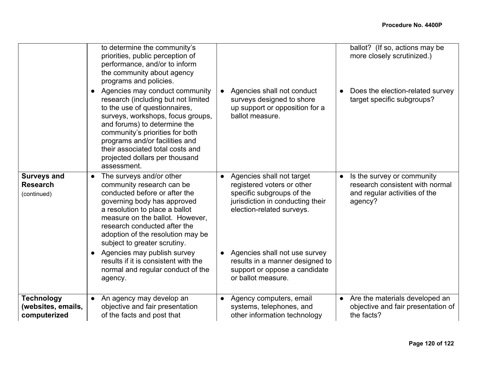|                                                         | to determine the community's<br>priorities, public perception of<br>performance, and/or to inform<br>the community about agency<br>programs and policies.                                                                                                                                                                             |                                                                                                                                                       | ballot? (If so, actions may be<br>more closely scrutinized.)                                                           |
|---------------------------------------------------------|---------------------------------------------------------------------------------------------------------------------------------------------------------------------------------------------------------------------------------------------------------------------------------------------------------------------------------------|-------------------------------------------------------------------------------------------------------------------------------------------------------|------------------------------------------------------------------------------------------------------------------------|
|                                                         | Agencies may conduct community<br>research (including but not limited<br>to the use of questionnaires,<br>surveys, workshops, focus groups,<br>and forums) to determine the<br>community's priorities for both<br>programs and/or facilities and<br>their associated total costs and<br>projected dollars per thousand<br>assessment. | Agencies shall not conduct<br>surveys designed to shore<br>up support or opposition for a<br>ballot measure.                                          | Does the election-related survey<br>target specific subgroups?                                                         |
| <b>Surveys and</b><br><b>Research</b><br>(continued)    | The surveys and/or other<br>$\bullet$<br>community research can be<br>conducted before or after the<br>governing body has approved<br>a resolution to place a ballot<br>measure on the ballot. However,<br>research conducted after the<br>adoption of the resolution may be<br>subject to greater scrutiny.                          | Agencies shall not target<br>registered voters or other<br>specific subgroups of the<br>jurisdiction in conducting their<br>election-related surveys. | Is the survey or community<br>$\bullet$<br>research consistent with normal<br>and regular activities of the<br>agency? |
|                                                         | Agencies may publish survey<br>results if it is consistent with the<br>normal and regular conduct of the<br>agency.                                                                                                                                                                                                                   | Agencies shall not use survey<br>results in a manner designed to<br>support or oppose a candidate<br>or ballot measure.                               |                                                                                                                        |
| <b>Technology</b><br>(websites, emails,<br>computerized | An agency may develop an<br>objective and fair presentation<br>of the facts and post that                                                                                                                                                                                                                                             | Agency computers, email<br>systems, telephones, and<br>other information technology                                                                   | • Are the materials developed an<br>objective and fair presentation of<br>the facts?                                   |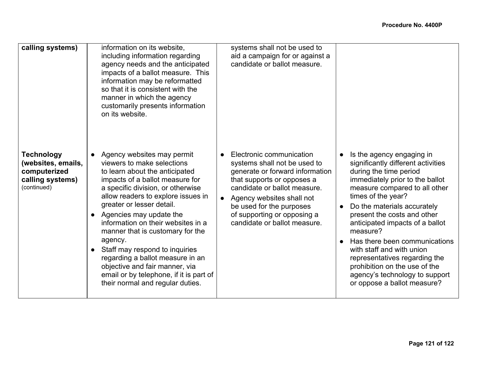| calling systems)                                                                           | information on its website,<br>including information regarding<br>agency needs and the anticipated<br>impacts of a ballot measure. This<br>information may be reformatted<br>so that it is consistent with the<br>manner in which the agency<br>customarily presents information<br>on its website.                                                                                                                                                                                                                                          | systems shall not be used to<br>aid a campaign for or against a<br>candidate or ballot measure.                                                                                                                                                                                   |                                                                                                                                                                                                                                                                                                                                                                                                                                                                                                   |
|--------------------------------------------------------------------------------------------|----------------------------------------------------------------------------------------------------------------------------------------------------------------------------------------------------------------------------------------------------------------------------------------------------------------------------------------------------------------------------------------------------------------------------------------------------------------------------------------------------------------------------------------------|-----------------------------------------------------------------------------------------------------------------------------------------------------------------------------------------------------------------------------------------------------------------------------------|---------------------------------------------------------------------------------------------------------------------------------------------------------------------------------------------------------------------------------------------------------------------------------------------------------------------------------------------------------------------------------------------------------------------------------------------------------------------------------------------------|
| <b>Technology</b><br>(websites, emails,<br>computerized<br>calling systems)<br>(continued) | Agency websites may permit<br>viewers to make selections<br>to learn about the anticipated<br>impacts of a ballot measure for<br>a specific division, or otherwise<br>allow readers to explore issues in<br>greater or lesser detail.<br>Agencies may update the<br>information on their websites in a<br>manner that is customary for the<br>agency.<br>Staff may respond to inquiries<br>regarding a ballot measure in an<br>objective and fair manner, via<br>email or by telephone, if it is part of<br>their normal and regular duties. | Electronic communication<br>systems shall not be used to<br>generate or forward information<br>that supports or opposes a<br>candidate or ballot measure.<br>Agency websites shall not<br>be used for the purposes<br>of supporting or opposing a<br>candidate or ballot measure. | Is the agency engaging in<br>significantly different activities<br>during the time period<br>immediately prior to the ballot<br>measure compared to all other<br>times of the year?<br>Do the materials accurately<br>present the costs and other<br>anticipated impacts of a ballot<br>measure?<br>Has there been communications<br>with staff and with union<br>representatives regarding the<br>prohibition on the use of the<br>agency's technology to support<br>or oppose a ballot measure? |